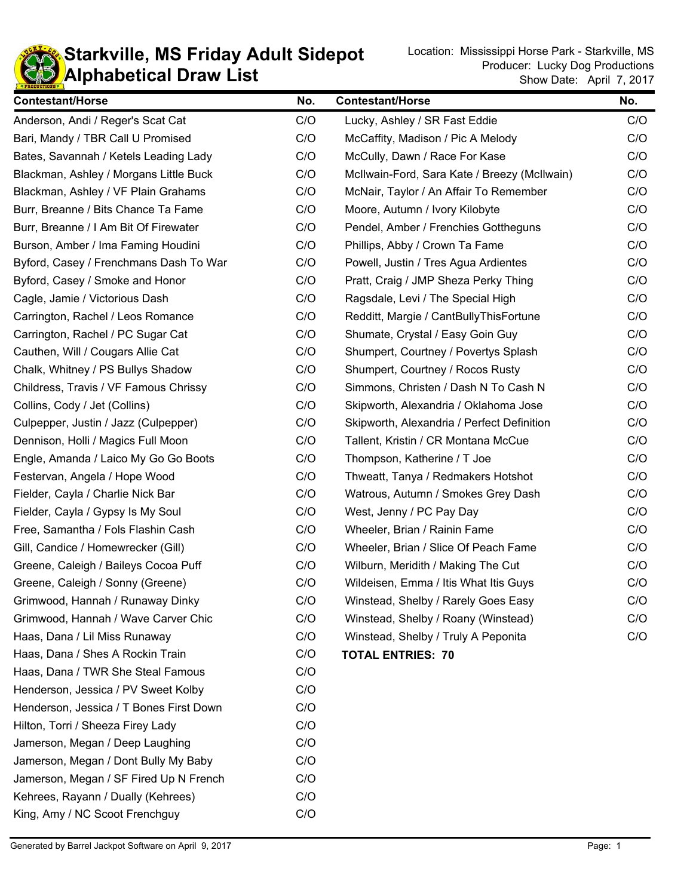## **KD** Alphabetical Draw List **Starkville, MS Friday Adult Sidepot** Location: Mississippi Horse Park - Starkville, MS Location: Location: Mississippi Horse Park - Starkville, MS

| <b>Contestant/Horse</b>                 | No. | <b>Contestant/Horse</b>                      | No. |
|-----------------------------------------|-----|----------------------------------------------|-----|
| Anderson, Andi / Reger's Scat Cat       | C/O | Lucky, Ashley / SR Fast Eddie                | C/O |
| Bari, Mandy / TBR Call U Promised       | C/O | McCaffity, Madison / Pic A Melody            | C/O |
| Bates, Savannah / Ketels Leading Lady   | C/O | McCully, Dawn / Race For Kase                | C/O |
| Blackman, Ashley / Morgans Little Buck  | C/O | McIlwain-Ford, Sara Kate / Breezy (McIlwain) | C/O |
| Blackman, Ashley / VF Plain Grahams     | C/O | McNair, Taylor / An Affair To Remember       | C/O |
| Burr, Breanne / Bits Chance Ta Fame     | C/O | Moore, Autumn / Ivory Kilobyte               | C/O |
| Burr, Breanne / I Am Bit Of Firewater   | C/O | Pendel, Amber / Frenchies Gottheguns         | C/O |
| Burson, Amber / Ima Faming Houdini      | C/O | Phillips, Abby / Crown Ta Fame               | C/O |
| Byford, Casey / Frenchmans Dash To War  | C/O | Powell, Justin / Tres Agua Ardientes         | C/O |
| Byford, Casey / Smoke and Honor         | C/O | Pratt, Craig / JMP Sheza Perky Thing         | C/O |
| Cagle, Jamie / Victorious Dash          | C/O | Ragsdale, Levi / The Special High            | C/O |
| Carrington, Rachel / Leos Romance       | C/O | Redditt, Margie / CantBullyThisFortune       | C/O |
| Carrington, Rachel / PC Sugar Cat       | C/O | Shumate, Crystal / Easy Goin Guy             | C/O |
| Cauthen, Will / Cougars Allie Cat       | C/O | Shumpert, Courtney / Povertys Splash         | C/O |
| Chalk, Whitney / PS Bullys Shadow       | C/O | Shumpert, Courtney / Rocos Rusty             | C/O |
| Childress, Travis / VF Famous Chrissy   | C/O | Simmons, Christen / Dash N To Cash N         | C/O |
| Collins, Cody / Jet (Collins)           | C/O | Skipworth, Alexandria / Oklahoma Jose        | C/O |
| Culpepper, Justin / Jazz (Culpepper)    | C/O | Skipworth, Alexandria / Perfect Definition   | C/O |
| Dennison, Holli / Magics Full Moon      | C/O | Tallent, Kristin / CR Montana McCue          | C/O |
| Engle, Amanda / Laico My Go Go Boots    | C/O | Thompson, Katherine / T Joe                  | C/O |
| Festervan, Angela / Hope Wood           | C/O | Thweatt, Tanya / Redmakers Hotshot           | C/O |
| Fielder, Cayla / Charlie Nick Bar       | C/O | Watrous, Autumn / Smokes Grey Dash           | C/O |
| Fielder, Cayla / Gypsy Is My Soul       | C/O | West, Jenny / PC Pay Day                     | C/O |
| Free, Samantha / Fols Flashin Cash      | C/O | Wheeler, Brian / Rainin Fame                 | C/O |
| Gill, Candice / Homewrecker (Gill)      | C/O | Wheeler, Brian / Slice Of Peach Fame         | C/O |
| Greene, Caleigh / Baileys Cocoa Puff    | C/O | Wilburn, Meridith / Making The Cut           | C/O |
| Greene, Caleigh / Sonny (Greene)        | C/O | Wildeisen, Emma / Itis What Itis Guys        | C/O |
| Grimwood, Hannah / Runaway Dinky        | C/O | Winstead, Shelby / Rarely Goes Easy          | C/O |
| Grimwood, Hannah / Wave Carver Chic     | C/O | Winstead, Shelby / Roany (Winstead)          | C/O |
| Haas, Dana / Lil Miss Runaway           | C/O | Winstead, Shelby / Truly A Peponita          | C/O |
| Haas, Dana / Shes A Rockin Train        | C/O | <b>TOTAL ENTRIES: 70</b>                     |     |
| Haas, Dana / TWR She Steal Famous       | C/O |                                              |     |
| Henderson, Jessica / PV Sweet Kolby     | C/O |                                              |     |
| Henderson, Jessica / T Bones First Down | C/O |                                              |     |
| Hilton, Torri / Sheeza Firey Lady       | C/O |                                              |     |
| Jamerson, Megan / Deep Laughing         | C/O |                                              |     |
| Jamerson, Megan / Dont Bully My Baby    | C/O |                                              |     |
| Jamerson, Megan / SF Fired Up N French  | C/O |                                              |     |
| Kehrees, Rayann / Dually (Kehrees)      | C/O |                                              |     |
| King, Amy / NC Scoot Frenchguy          | C/O |                                              |     |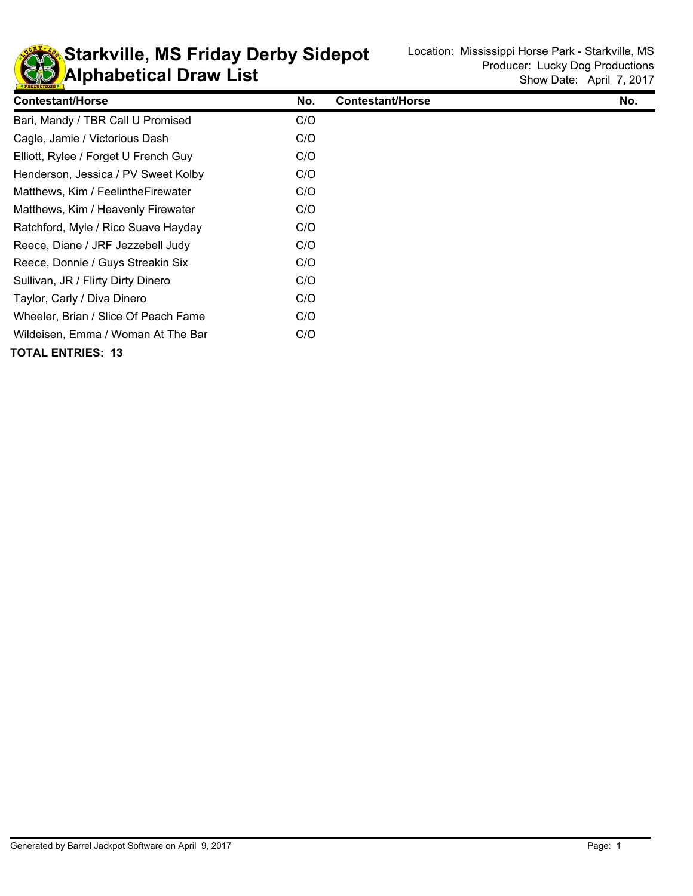

**KD** Alphabetical Draw List **Starkville, MS Friday Derby Sidepot** Location: Mississippi Horse Park - Starkville, MS Location: Location: Mississippi Horse Park - Starkville, MS

| <b>Contestant/Horse</b>              | No. | <b>Contestant/Horse</b> | No. |
|--------------------------------------|-----|-------------------------|-----|
| Bari, Mandy / TBR Call U Promised    | C/O |                         |     |
| Cagle, Jamie / Victorious Dash       | C/O |                         |     |
| Elliott, Rylee / Forget U French Guy | C/O |                         |     |
| Henderson, Jessica / PV Sweet Kolby  | C/O |                         |     |
| Matthews, Kim / Feelinthe Firewater  | C/O |                         |     |
| Matthews, Kim / Heavenly Firewater   | C/O |                         |     |
| Ratchford, Myle / Rico Suave Hayday  | C/O |                         |     |
| Reece, Diane / JRF Jezzebell Judy    | C/O |                         |     |
| Reece, Donnie / Guys Streakin Six    | C/O |                         |     |
| Sullivan, JR / Flirty Dirty Dinero   | C/O |                         |     |
| Taylor, Carly / Diva Dinero          | C/O |                         |     |
| Wheeler, Brian / Slice Of Peach Fame | C/O |                         |     |
| Wildeisen, Emma / Woman At The Bar   | C/O |                         |     |
| TOTAL ENTRIES: 13                    |     |                         |     |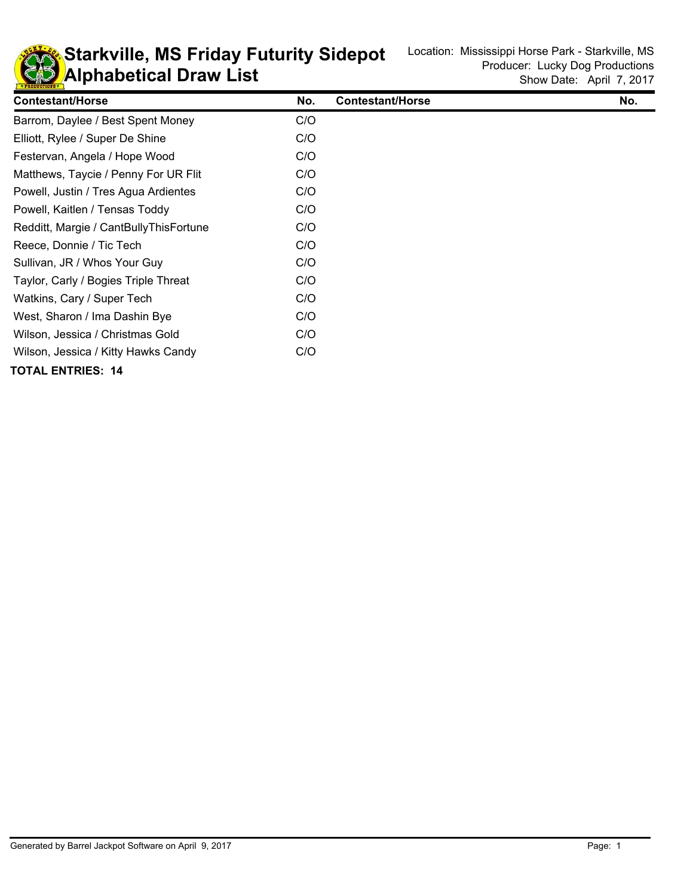

**KD** Alphabetical Draw List **Starkville, MS Friday Futurity Sidepot** Location: Mississippi Horse Park - Starkville, MS **Starkville, MS** 

| <b>Contestant/Horse</b>                | No. | <b>Contestant/Horse</b> | No. |
|----------------------------------------|-----|-------------------------|-----|
| Barrom, Daylee / Best Spent Money      | C/O |                         |     |
| Elliott, Rylee / Super De Shine        | C/O |                         |     |
| Festervan, Angela / Hope Wood          | C/O |                         |     |
| Matthews, Taycie / Penny For UR Flit   | C/O |                         |     |
| Powell, Justin / Tres Agua Ardientes   | C/O |                         |     |
| Powell, Kaitlen / Tensas Toddy         | C/O |                         |     |
| Redditt, Margie / CantBullyThisFortune | C/O |                         |     |
| Reece, Donnie / Tic Tech               | C/O |                         |     |
| Sullivan, JR / Whos Your Guy           | C/O |                         |     |
| Taylor, Carly / Bogies Triple Threat   | C/O |                         |     |
| Watkins, Cary / Super Tech             | C/O |                         |     |
| West, Sharon / Ima Dashin Bye          | C/O |                         |     |
| Wilson, Jessica / Christmas Gold       | C/O |                         |     |
| Wilson, Jessica / Kitty Hawks Candy    | C/O |                         |     |
| <b>TOTAL ENTRIES: 14</b>               |     |                         |     |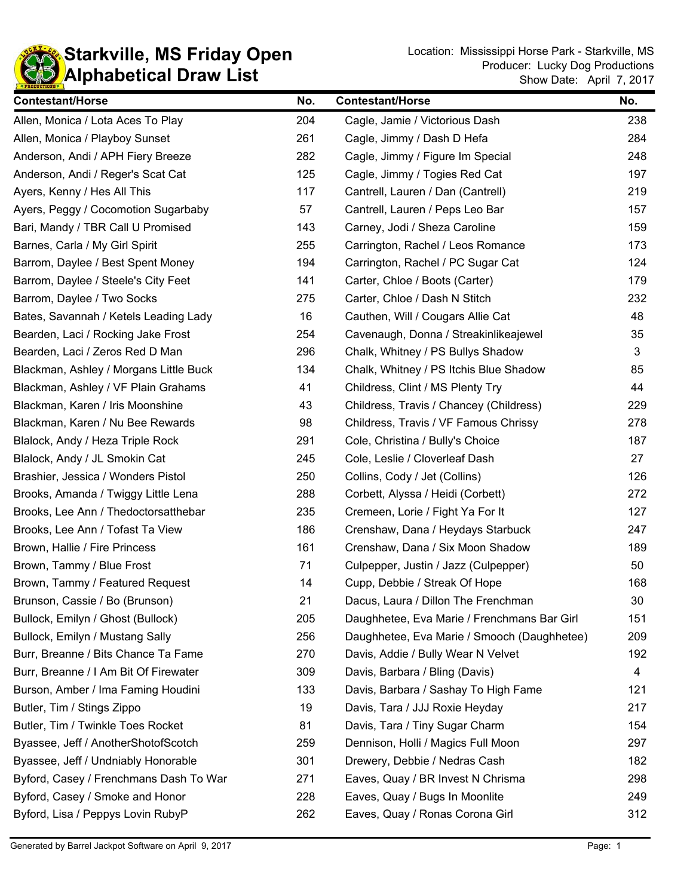

**Starkville, MS Friday Open** Location: Mississippi Horse Park - Starkville, MS **Contains And Accept Accept Accept** Show Date: April 7, 2017 Producer: Lucky Dog Productions

| <b>Contestant/Horse</b>                | No. | <b>Contestant/Horse</b>                     | No. |
|----------------------------------------|-----|---------------------------------------------|-----|
| Allen, Monica / Lota Aces To Play      | 204 | Cagle, Jamie / Victorious Dash              | 238 |
| Allen, Monica / Playboy Sunset         | 261 | Cagle, Jimmy / Dash D Hefa                  | 284 |
| Anderson, Andi / APH Fiery Breeze      | 282 | Cagle, Jimmy / Figure Im Special            | 248 |
| Anderson, Andi / Reger's Scat Cat      | 125 | Cagle, Jimmy / Togies Red Cat               | 197 |
| Ayers, Kenny / Hes All This            | 117 | Cantrell, Lauren / Dan (Cantrell)           | 219 |
| Ayers, Peggy / Cocomotion Sugarbaby    | 57  | Cantrell, Lauren / Peps Leo Bar             | 157 |
| Bari, Mandy / TBR Call U Promised      | 143 | Carney, Jodi / Sheza Caroline               | 159 |
| Barnes, Carla / My Girl Spirit         | 255 | Carrington, Rachel / Leos Romance           | 173 |
| Barrom, Daylee / Best Spent Money      | 194 | Carrington, Rachel / PC Sugar Cat           | 124 |
| Barrom, Daylee / Steele's City Feet    | 141 | Carter, Chloe / Boots (Carter)              | 179 |
| Barrom, Daylee / Two Socks             | 275 | Carter, Chloe / Dash N Stitch               | 232 |
| Bates, Savannah / Ketels Leading Lady  | 16  | Cauthen, Will / Cougars Allie Cat           | 48  |
| Bearden, Laci / Rocking Jake Frost     | 254 | Cavenaugh, Donna / Streakinlikeajewel       | 35  |
| Bearden, Laci / Zeros Red D Man        | 296 | Chalk, Whitney / PS Bullys Shadow           | 3   |
| Blackman, Ashley / Morgans Little Buck | 134 | Chalk, Whitney / PS Itchis Blue Shadow      | 85  |
| Blackman, Ashley / VF Plain Grahams    | 41  | Childress, Clint / MS Plenty Try            | 44  |
| Blackman, Karen / Iris Moonshine       | 43  | Childress, Travis / Chancey (Childress)     | 229 |
| Blackman, Karen / Nu Bee Rewards       | 98  | Childress, Travis / VF Famous Chrissy       | 278 |
| Blalock, Andy / Heza Triple Rock       | 291 | Cole, Christina / Bully's Choice            | 187 |
| Blalock, Andy / JL Smokin Cat          | 245 | Cole, Leslie / Cloverleaf Dash              | 27  |
| Brashier, Jessica / Wonders Pistol     | 250 | Collins, Cody / Jet (Collins)               | 126 |
| Brooks, Amanda / Twiggy Little Lena    | 288 | Corbett, Alyssa / Heidi (Corbett)           | 272 |
| Brooks, Lee Ann / Thedoctorsatthebar   | 235 | Cremeen, Lorie / Fight Ya For It            | 127 |
| Brooks, Lee Ann / Tofast Ta View       | 186 | Crenshaw, Dana / Heydays Starbuck           | 247 |
| Brown, Hallie / Fire Princess          | 161 | Crenshaw, Dana / Six Moon Shadow            | 189 |
| Brown, Tammy / Blue Frost              | 71  | Culpepper, Justin / Jazz (Culpepper)        | 50  |
| Brown, Tammy / Featured Request        | 14  | Cupp, Debbie / Streak Of Hope               | 168 |
| Brunson, Cassie / Bo (Brunson)         | 21  | Dacus, Laura / Dillon The Frenchman         | 30  |
| Bullock, Emilyn / Ghost (Bullock)      | 205 | Daughhetee, Eva Marie / Frenchmans Bar Girl | 151 |
| Bullock, Emilyn / Mustang Sally        | 256 | Daughhetee, Eva Marie / Smooch (Daughhetee) | 209 |
| Burr, Breanne / Bits Chance Ta Fame    | 270 | Davis, Addie / Bully Wear N Velvet          | 192 |
| Burr, Breanne / I Am Bit Of Firewater  | 309 | Davis, Barbara / Bling (Davis)              | 4   |
| Burson, Amber / Ima Faming Houdini     | 133 | Davis, Barbara / Sashay To High Fame        | 121 |
| Butler, Tim / Stings Zippo             | 19  | Davis, Tara / JJJ Roxie Heyday              | 217 |
| Butler, Tim / Twinkle Toes Rocket      | 81  | Davis, Tara / Tiny Sugar Charm              | 154 |
| Byassee, Jeff / AnotherShotofScotch    | 259 | Dennison, Holli / Magics Full Moon          | 297 |
| Byassee, Jeff / Undniably Honorable    | 301 | Drewery, Debbie / Nedras Cash               | 182 |
| Byford, Casey / Frenchmans Dash To War | 271 | Eaves, Quay / BR Invest N Chrisma           | 298 |
| Byford, Casey / Smoke and Honor        | 228 | Eaves, Quay / Bugs In Moonlite              | 249 |
| Byford, Lisa / Peppys Lovin RubyP      | 262 | Eaves, Quay / Ronas Corona Girl             | 312 |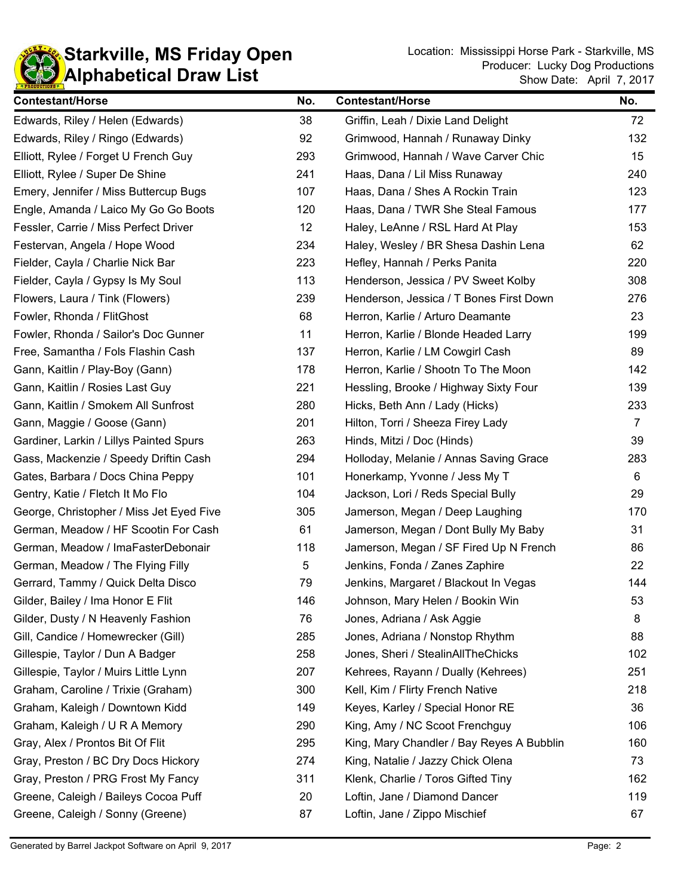

| <b>Contestant/Horse</b>                  | No. | <b>Contestant/Horse</b>                   | No.            |
|------------------------------------------|-----|-------------------------------------------|----------------|
| Edwards, Riley / Helen (Edwards)         | 38  | Griffin, Leah / Dixie Land Delight        | 72             |
| Edwards, Riley / Ringo (Edwards)         | 92  | Grimwood, Hannah / Runaway Dinky          | 132            |
| Elliott, Rylee / Forget U French Guy     | 293 | Grimwood, Hannah / Wave Carver Chic       | 15             |
| Elliott, Rylee / Super De Shine          | 241 | Haas, Dana / Lil Miss Runaway             | 240            |
| Emery, Jennifer / Miss Buttercup Bugs    | 107 | Haas, Dana / Shes A Rockin Train          | 123            |
| Engle, Amanda / Laico My Go Go Boots     | 120 | Haas, Dana / TWR She Steal Famous         | 177            |
| Fessler, Carrie / Miss Perfect Driver    | 12  | Haley, LeAnne / RSL Hard At Play          | 153            |
| Festervan, Angela / Hope Wood            | 234 | Haley, Wesley / BR Shesa Dashin Lena      | 62             |
| Fielder, Cayla / Charlie Nick Bar        | 223 | Hefley, Hannah / Perks Panita             | 220            |
| Fielder, Cayla / Gypsy Is My Soul        | 113 | Henderson, Jessica / PV Sweet Kolby       | 308            |
| Flowers, Laura / Tink (Flowers)          | 239 | Henderson, Jessica / T Bones First Down   | 276            |
| Fowler, Rhonda / FlitGhost               | 68  | Herron, Karlie / Arturo Deamante          | 23             |
| Fowler, Rhonda / Sailor's Doc Gunner     | 11  | Herron, Karlie / Blonde Headed Larry      | 199            |
| Free, Samantha / Fols Flashin Cash       | 137 | Herron, Karlie / LM Cowgirl Cash          | 89             |
| Gann, Kaitlin / Play-Boy (Gann)          | 178 | Herron, Karlie / Shootn To The Moon       | 142            |
| Gann, Kaitlin / Rosies Last Guy          | 221 | Hessling, Brooke / Highway Sixty Four     | 139            |
| Gann, Kaitlin / Smokem All Sunfrost      | 280 | Hicks, Beth Ann / Lady (Hicks)            | 233            |
| Gann, Maggie / Goose (Gann)              | 201 | Hilton, Torri / Sheeza Firey Lady         | $\overline{7}$ |
| Gardiner, Larkin / Lillys Painted Spurs  | 263 | Hinds, Mitzi / Doc (Hinds)                | 39             |
| Gass, Mackenzie / Speedy Driftin Cash    | 294 | Holloday, Melanie / Annas Saving Grace    | 283            |
| Gates, Barbara / Docs China Peppy        | 101 | Honerkamp, Yvonne / Jess My T             | 6              |
| Gentry, Katie / Fletch It Mo Flo         | 104 | Jackson, Lori / Reds Special Bully        | 29             |
| George, Christopher / Miss Jet Eyed Five | 305 | Jamerson, Megan / Deep Laughing           | 170            |
| German, Meadow / HF Scootin For Cash     | 61  | Jamerson, Megan / Dont Bully My Baby      | 31             |
| German, Meadow / ImaFasterDebonair       | 118 | Jamerson, Megan / SF Fired Up N French    | 86             |
| German, Meadow / The Flying Filly        | 5   | Jenkins, Fonda / Zanes Zaphire            | 22             |
| Gerrard, Tammy / Quick Delta Disco       | 79  | Jenkins, Margaret / Blackout In Vegas     | 144            |
| Gilder, Bailey / Ima Honor E Flit        | 146 | Johnson, Mary Helen / Bookin Win          | 53             |
| Gilder, Dusty / N Heavenly Fashion       | 76  | Jones, Adriana / Ask Aggie                | 8              |
| Gill, Candice / Homewrecker (Gill)       | 285 | Jones, Adriana / Nonstop Rhythm           | 88             |
| Gillespie, Taylor / Dun A Badger         | 258 | Jones, Sheri / StealinAllTheChicks        | 102            |
| Gillespie, Taylor / Muirs Little Lynn    | 207 | Kehrees, Rayann / Dually (Kehrees)        | 251            |
| Graham, Caroline / Trixie (Graham)       | 300 | Kell, Kim / Flirty French Native          | 218            |
| Graham, Kaleigh / Downtown Kidd          | 149 | Keyes, Karley / Special Honor RE          | 36             |
| Graham, Kaleigh / U R A Memory           | 290 | King, Amy / NC Scoot Frenchguy            | 106            |
| Gray, Alex / Prontos Bit Of Flit         | 295 | King, Mary Chandler / Bay Reyes A Bubblin | 160            |
| Gray, Preston / BC Dry Docs Hickory      | 274 | King, Natalie / Jazzy Chick Olena         | 73             |
| Gray, Preston / PRG Frost My Fancy       | 311 | Klenk, Charlie / Toros Gifted Tiny        | 162            |
| Greene, Caleigh / Baileys Cocoa Puff     | 20  | Loftin, Jane / Diamond Dancer             | 119            |
| Greene, Caleigh / Sonny (Greene)         | 87  | Loftin, Jane / Zippo Mischief             | 67             |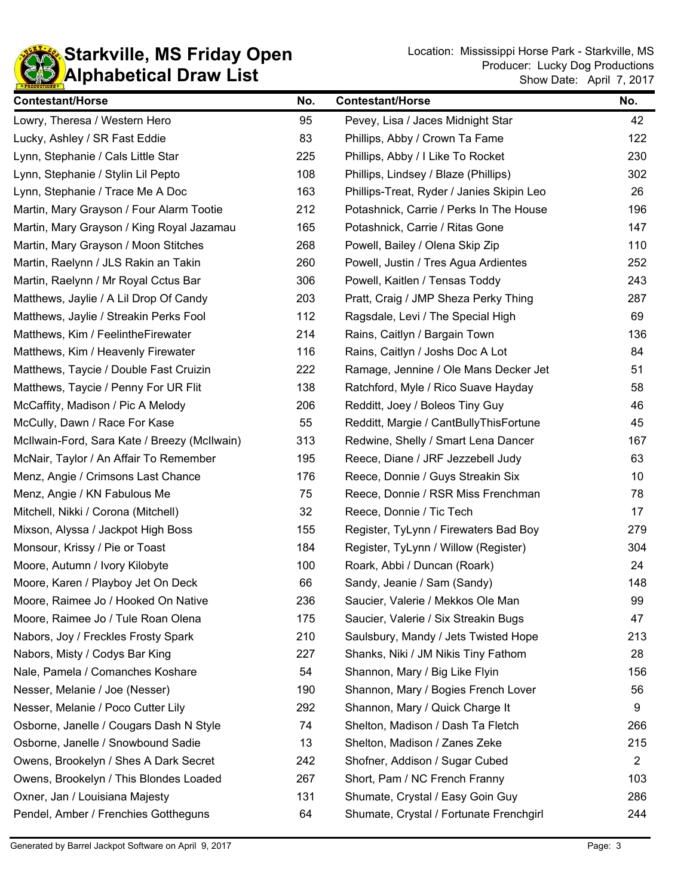

**Starkville, MS Friday Open** Location: Mississippi Horse Park - Starkville, MS **Contains And Accept Accept Accept** Show Date: April 7, 2017 Producer: Lucky Dog Productions

| <b>Contestant/Horse</b>                      | No. | <b>Contestant/Horse</b>                   | No.            |
|----------------------------------------------|-----|-------------------------------------------|----------------|
| Lowry, Theresa / Western Hero                | 95  | Pevey, Lisa / Jaces Midnight Star         | 42             |
| Lucky, Ashley / SR Fast Eddie                | 83  | Phillips, Abby / Crown Ta Fame            | 122            |
| Lynn, Stephanie / Cals Little Star           | 225 | Phillips, Abby / I Like To Rocket         | 230            |
| Lynn, Stephanie / Stylin Lil Pepto           | 108 | Phillips, Lindsey / Blaze (Phillips)      | 302            |
| Lynn, Stephanie / Trace Me A Doc             | 163 | Phillips-Treat, Ryder / Janies Skipin Leo | 26             |
| Martin, Mary Grayson / Four Alarm Tootie     | 212 | Potashnick, Carrie / Perks In The House   | 196            |
| Martin, Mary Grayson / King Royal Jazamau    | 165 | Potashnick, Carrie / Ritas Gone           | 147            |
| Martin, Mary Grayson / Moon Stitches         | 268 | Powell, Bailey / Olena Skip Zip           | 110            |
| Martin, Raelynn / JLS Rakin an Takin         | 260 | Powell, Justin / Tres Agua Ardientes      | 252            |
| Martin, Raelynn / Mr Royal Cctus Bar         | 306 | Powell, Kaitlen / Tensas Toddy            | 243            |
| Matthews, Jaylie / A Lil Drop Of Candy       | 203 | Pratt, Craig / JMP Sheza Perky Thing      | 287            |
| Matthews, Jaylie / Streakin Perks Fool       | 112 | Ragsdale, Levi / The Special High         | 69             |
| Matthews, Kim / FeelintheFirewater           | 214 | Rains, Caitlyn / Bargain Town             | 136            |
| Matthews, Kim / Heavenly Firewater           | 116 | Rains, Caitlyn / Joshs Doc A Lot          | 84             |
| Matthews, Taycie / Double Fast Cruizin       | 222 | Ramage, Jennine / Ole Mans Decker Jet     | 51             |
| Matthews, Taycie / Penny For UR Flit         | 138 | Ratchford, Myle / Rico Suave Hayday       | 58             |
| McCaffity, Madison / Pic A Melody            | 206 | Redditt, Joey / Boleos Tiny Guy           | 46             |
| McCully, Dawn / Race For Kase                | 55  | Redditt, Margie / CantBullyThisFortune    | 45             |
| McIlwain-Ford, Sara Kate / Breezy (McIlwain) | 313 | Redwine, Shelly / Smart Lena Dancer       | 167            |
| McNair, Taylor / An Affair To Remember       | 195 | Reece, Diane / JRF Jezzebell Judy         | 63             |
| Menz, Angie / Crimsons Last Chance           | 176 | Reece, Donnie / Guys Streakin Six         | 10             |
| Menz, Angie / KN Fabulous Me                 | 75  | Reece, Donnie / RSR Miss Frenchman        | 78             |
| Mitchell, Nikki / Corona (Mitchell)          | 32  | Reece, Donnie / Tic Tech                  | 17             |
| Mixson, Alyssa / Jackpot High Boss           | 155 | Register, TyLynn / Firewaters Bad Boy     | 279            |
| Monsour, Krissy / Pie or Toast               | 184 | Register, TyLynn / Willow (Register)      | 304            |
| Moore, Autumn / Ivory Kilobyte               | 100 | Roark, Abbi / Duncan (Roark)              | 24             |
| Moore, Karen / Playboy Jet On Deck           | 66  | Sandy, Jeanie / Sam (Sandy)               | 148            |
| Moore, Raimee Jo / Hooked On Native          | 236 | Saucier, Valerie / Mekkos Ole Man         | 99             |
| Moore, Raimee Jo / Tule Roan Olena           | 175 | Saucier, Valerie / Six Streakin Bugs      | 47             |
| Nabors, Joy / Freckles Frosty Spark          | 210 | Saulsbury, Mandy / Jets Twisted Hope      | 213            |
| Nabors, Misty / Codys Bar King               | 227 | Shanks, Niki / JM Nikis Tiny Fathom       | 28             |
| Nale, Pamela / Comanches Koshare             | 54  | Shannon, Mary / Big Like Flyin            | 156            |
| Nesser, Melanie / Joe (Nesser)               | 190 | Shannon, Mary / Bogies French Lover       | 56             |
| Nesser, Melanie / Poco Cutter Lily           | 292 | Shannon, Mary / Quick Charge It           | 9              |
| Osborne, Janelle / Cougars Dash N Style      | 74  | Shelton, Madison / Dash Ta Fletch         | 266            |
| Osborne, Janelle / Snowbound Sadie           | 13  | Shelton, Madison / Zanes Zeke             | 215            |
| Owens, Brookelyn / Shes A Dark Secret        | 242 | Shofner, Addison / Sugar Cubed            | $\overline{2}$ |
| Owens, Brookelyn / This Blondes Loaded       | 267 | Short, Pam / NC French Franny             | 103            |
| Oxner, Jan / Louisiana Majesty               | 131 | Shumate, Crystal / Easy Goin Guy          | 286            |
| Pendel, Amber / Frenchies Gottheguns         | 64  | Shumate, Crystal / Fortunate Frenchgirl   | 244            |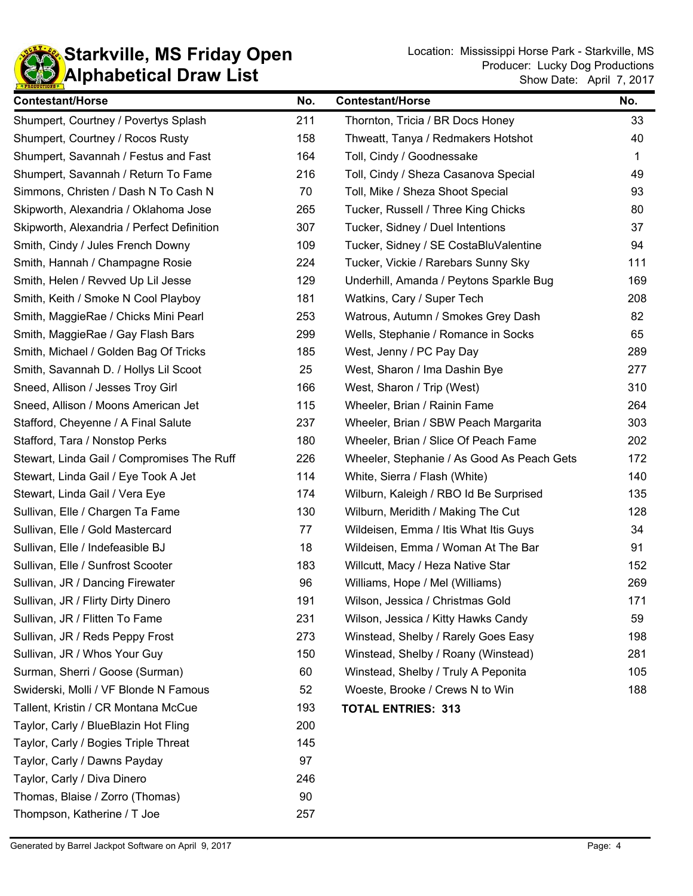

| <b>Contestant/Horse</b>                    | No. | <b>Contestant/Horse</b>                    | No. |
|--------------------------------------------|-----|--------------------------------------------|-----|
| Shumpert, Courtney / Povertys Splash       | 211 | Thornton, Tricia / BR Docs Honey           | 33  |
| Shumpert, Courtney / Rocos Rusty           | 158 | Thweatt, Tanya / Redmakers Hotshot         | 40  |
| Shumpert, Savannah / Festus and Fast       | 164 | Toll, Cindy / Goodnessake                  | 1   |
| Shumpert, Savannah / Return To Fame        | 216 | Toll, Cindy / Sheza Casanova Special       | 49  |
| Simmons, Christen / Dash N To Cash N       | 70  | Toll, Mike / Sheza Shoot Special           | 93  |
| Skipworth, Alexandria / Oklahoma Jose      | 265 | Tucker, Russell / Three King Chicks        | 80  |
| Skipworth, Alexandria / Perfect Definition | 307 | Tucker, Sidney / Duel Intentions           | 37  |
| Smith, Cindy / Jules French Downy          | 109 | Tucker, Sidney / SE CostaBluValentine      | 94  |
| Smith, Hannah / Champagne Rosie            | 224 | Tucker, Vickie / Rarebars Sunny Sky        | 111 |
| Smith, Helen / Revved Up Lil Jesse         | 129 | Underhill, Amanda / Peytons Sparkle Bug    | 169 |
| Smith, Keith / Smoke N Cool Playboy        | 181 | Watkins, Cary / Super Tech                 | 208 |
| Smith, MaggieRae / Chicks Mini Pearl       | 253 | Watrous, Autumn / Smokes Grey Dash         | 82  |
| Smith, MaggieRae / Gay Flash Bars          | 299 | Wells, Stephanie / Romance in Socks        | 65  |
| Smith, Michael / Golden Bag Of Tricks      | 185 | West, Jenny / PC Pay Day                   | 289 |
| Smith, Savannah D. / Hollys Lil Scoot      | 25  | West, Sharon / Ima Dashin Bye              | 277 |
| Sneed, Allison / Jesses Troy Girl          | 166 | West, Sharon / Trip (West)                 | 310 |
| Sneed, Allison / Moons American Jet        | 115 | Wheeler, Brian / Rainin Fame               | 264 |
| Stafford, Cheyenne / A Final Salute        | 237 | Wheeler, Brian / SBW Peach Margarita       | 303 |
| Stafford, Tara / Nonstop Perks             | 180 | Wheeler, Brian / Slice Of Peach Fame       | 202 |
| Stewart, Linda Gail / Compromises The Ruff | 226 | Wheeler, Stephanie / As Good As Peach Gets | 172 |
| Stewart, Linda Gail / Eye Took A Jet       | 114 | White, Sierra / Flash (White)              | 140 |
| Stewart, Linda Gail / Vera Eye             | 174 | Wilburn, Kaleigh / RBO Id Be Surprised     | 135 |
| Sullivan, Elle / Chargen Ta Fame           | 130 | Wilburn, Meridith / Making The Cut         | 128 |
| Sullivan, Elle / Gold Mastercard           | 77  | Wildeisen, Emma / Itis What Itis Guys      | 34  |
| Sullivan, Elle / Indefeasible BJ           | 18  | Wildeisen, Emma / Woman At The Bar         | 91  |
| Sullivan, Elle / Sunfrost Scooter          | 183 | Willcutt, Macy / Heza Native Star          | 152 |
| Sullivan, JR / Dancing Firewater           | 96  | Williams, Hope / Mel (Williams)            | 269 |
| Sullivan, JR / Flirty Dirty Dinero         | 191 | Wilson, Jessica / Christmas Gold           | 171 |
| Sullivan, JR / Flitten To Fame             | 231 | Wilson, Jessica / Kitty Hawks Candy        | 59  |
| Sullivan, JR / Reds Peppy Frost            | 273 | Winstead, Shelby / Rarely Goes Easy        | 198 |
| Sullivan, JR / Whos Your Guy               | 150 | Winstead, Shelby / Roany (Winstead)        | 281 |
| Surman, Sherri / Goose (Surman)            | 60  | Winstead, Shelby / Truly A Peponita        | 105 |
| Swiderski, Molli / VF Blonde N Famous      | 52  | Woeste, Brooke / Crews N to Win            | 188 |
| Tallent, Kristin / CR Montana McCue        | 193 | <b>TOTAL ENTRIES: 313</b>                  |     |
| Taylor, Carly / BlueBlazin Hot Fling       | 200 |                                            |     |
| Taylor, Carly / Bogies Triple Threat       | 145 |                                            |     |
| Taylor, Carly / Dawns Payday               | 97  |                                            |     |
| Taylor, Carly / Diva Dinero                | 246 |                                            |     |
| Thomas, Blaise / Zorro (Thomas)            | 90  |                                            |     |

Thompson, Katherine / T Joe 257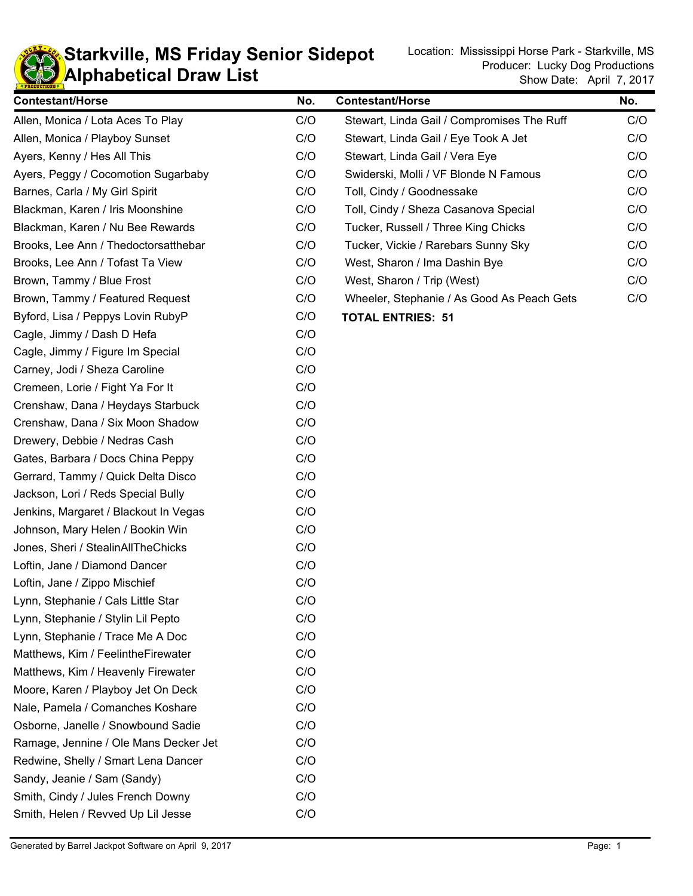

## **KD** Alphabetical Draw List **Starkville, MS Friday Senior Sidepot** Location: Mississippi Horse Park - Starkville, MS **Starkville, MS**

| <b>Contestant/Horse</b>               | No. | <b>Contestant/Horse</b>                    | No. |
|---------------------------------------|-----|--------------------------------------------|-----|
| Allen, Monica / Lota Aces To Play     | C/O | Stewart, Linda Gail / Compromises The Ruff | C/O |
| Allen, Monica / Playboy Sunset        | C/O | Stewart, Linda Gail / Eye Took A Jet       | C/O |
| Ayers, Kenny / Hes All This           | C/O | Stewart, Linda Gail / Vera Eye             | C/O |
| Ayers, Peggy / Cocomotion Sugarbaby   | C/O | Swiderski, Molli / VF Blonde N Famous      | C/O |
| Barnes, Carla / My Girl Spirit        | C/O | Toll, Cindy / Goodnessake                  | C/O |
| Blackman, Karen / Iris Moonshine      | C/O | Toll, Cindy / Sheza Casanova Special       | C/O |
| Blackman, Karen / Nu Bee Rewards      | C/O | Tucker, Russell / Three King Chicks        | C/O |
| Brooks, Lee Ann / Thedoctorsatthebar  | C/O | Tucker, Vickie / Rarebars Sunny Sky        | C/O |
| Brooks, Lee Ann / Tofast Ta View      | C/O | West, Sharon / Ima Dashin Bye              | C/O |
| Brown, Tammy / Blue Frost             | C/O | West, Sharon / Trip (West)                 | C/O |
| Brown, Tammy / Featured Request       | C/O | Wheeler, Stephanie / As Good As Peach Gets | C/O |
| Byford, Lisa / Peppys Lovin RubyP     | C/O | <b>TOTAL ENTRIES: 51</b>                   |     |
| Cagle, Jimmy / Dash D Hefa            | C/O |                                            |     |
| Cagle, Jimmy / Figure Im Special      | C/O |                                            |     |
| Carney, Jodi / Sheza Caroline         | C/O |                                            |     |
| Cremeen, Lorie / Fight Ya For It      | C/O |                                            |     |
| Crenshaw, Dana / Heydays Starbuck     | C/O |                                            |     |
| Crenshaw, Dana / Six Moon Shadow      | C/O |                                            |     |
| Drewery, Debbie / Nedras Cash         | C/O |                                            |     |
| Gates, Barbara / Docs China Peppy     | C/O |                                            |     |
| Gerrard, Tammy / Quick Delta Disco    | C/O |                                            |     |
| Jackson, Lori / Reds Special Bully    | C/O |                                            |     |
| Jenkins, Margaret / Blackout In Vegas | C/O |                                            |     |
| Johnson, Mary Helen / Bookin Win      | C/O |                                            |     |
| Jones, Sheri / StealinAllTheChicks    | C/O |                                            |     |
| Loftin, Jane / Diamond Dancer         | C/O |                                            |     |
| Loftin, Jane / Zippo Mischief         | C/O |                                            |     |
| Lynn, Stephanie / Cals Little Star    | C/O |                                            |     |
| Lynn, Stephanie / Stylin Lil Pepto    | C/O |                                            |     |
| Lynn, Stephanie / Trace Me A Doc      | C/O |                                            |     |
| Matthews, Kim / FeelintheFirewater    | C/O |                                            |     |
| Matthews, Kim / Heavenly Firewater    | C/O |                                            |     |
| Moore, Karen / Playboy Jet On Deck    | C/O |                                            |     |
| Nale, Pamela / Comanches Koshare      | C/O |                                            |     |
| Osborne, Janelle / Snowbound Sadie    | C/O |                                            |     |
| Ramage, Jennine / Ole Mans Decker Jet | C/O |                                            |     |
| Redwine, Shelly / Smart Lena Dancer   | C/O |                                            |     |
| Sandy, Jeanie / Sam (Sandy)           | C/O |                                            |     |
| Smith, Cindy / Jules French Downy     | C/O |                                            |     |
| Smith, Helen / Revved Up Lil Jesse    | C/O |                                            |     |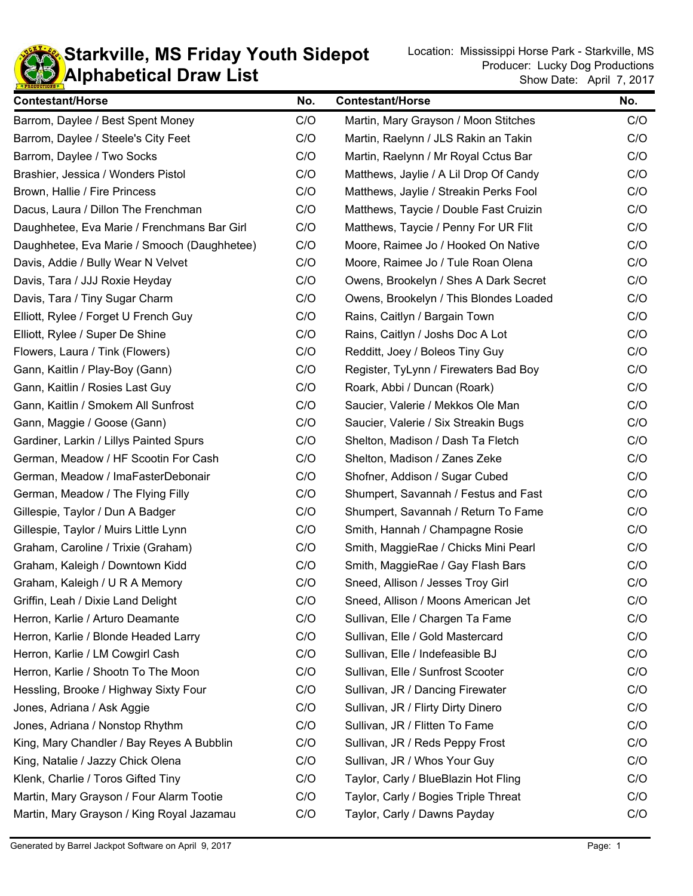

#### **KD** Alphabetical Draw List **Starkville, MS Friday Youth Sidepot** Location: Mississippi Horse Park - Starkville, MS Location: Location: Mississippi Horse Park - Starkville, MS

| <b>Contestant/Horse</b>                     | No. | <b>Contestant/Horse</b>                | No. |
|---------------------------------------------|-----|----------------------------------------|-----|
| Barrom, Daylee / Best Spent Money           | C/O | Martin, Mary Grayson / Moon Stitches   | C/O |
| Barrom, Daylee / Steele's City Feet         | C/O | Martin, Raelynn / JLS Rakin an Takin   | C/O |
| Barrom, Daylee / Two Socks                  | C/O | Martin, Raelynn / Mr Royal Cctus Bar   | C/O |
| Brashier, Jessica / Wonders Pistol          | C/O | Matthews, Jaylie / A Lil Drop Of Candy | C/O |
| Brown, Hallie / Fire Princess               | C/O | Matthews, Jaylie / Streakin Perks Fool | C/O |
| Dacus, Laura / Dillon The Frenchman         | C/O | Matthews, Taycie / Double Fast Cruizin | C/O |
| Daughhetee, Eva Marie / Frenchmans Bar Girl | C/O | Matthews, Taycie / Penny For UR Flit   | C/O |
| Daughhetee, Eva Marie / Smooch (Daughhetee) | C/O | Moore, Raimee Jo / Hooked On Native    | C/O |
| Davis, Addie / Bully Wear N Velvet          | C/O | Moore, Raimee Jo / Tule Roan Olena     | C/O |
| Davis, Tara / JJJ Roxie Heyday              | C/O | Owens, Brookelyn / Shes A Dark Secret  | C/O |
| Davis, Tara / Tiny Sugar Charm              | C/O | Owens, Brookelyn / This Blondes Loaded | C/O |
| Elliott, Rylee / Forget U French Guy        | C/O | Rains, Caitlyn / Bargain Town          | C/O |
| Elliott, Rylee / Super De Shine             | C/O | Rains, Caitlyn / Joshs Doc A Lot       | C/O |
| Flowers, Laura / Tink (Flowers)             | C/O | Redditt, Joey / Boleos Tiny Guy        | C/O |
| Gann, Kaitlin / Play-Boy (Gann)             | C/O | Register, TyLynn / Firewaters Bad Boy  | C/O |
| Gann, Kaitlin / Rosies Last Guy             | C/O | Roark, Abbi / Duncan (Roark)           | C/O |
| Gann, Kaitlin / Smokem All Sunfrost         | C/O | Saucier, Valerie / Mekkos Ole Man      | C/O |
| Gann, Maggie / Goose (Gann)                 | C/O | Saucier, Valerie / Six Streakin Bugs   | C/O |
| Gardiner, Larkin / Lillys Painted Spurs     | C/O | Shelton, Madison / Dash Ta Fletch      | C/O |
| German, Meadow / HF Scootin For Cash        | C/O | Shelton, Madison / Zanes Zeke          | C/O |
| German, Meadow / ImaFasterDebonair          | C/O | Shofner, Addison / Sugar Cubed         | C/O |
| German, Meadow / The Flying Filly           | C/O | Shumpert, Savannah / Festus and Fast   | C/O |
| Gillespie, Taylor / Dun A Badger            | C/O | Shumpert, Savannah / Return To Fame    | C/O |
| Gillespie, Taylor / Muirs Little Lynn       | C/O | Smith, Hannah / Champagne Rosie        | C/O |
| Graham, Caroline / Trixie (Graham)          | C/O | Smith, MaggieRae / Chicks Mini Pearl   | C/O |
| Graham, Kaleigh / Downtown Kidd             | C/O | Smith, MaggieRae / Gay Flash Bars      | C/O |
| Graham, Kaleigh / U R A Memory              | C/O | Sneed, Allison / Jesses Troy Girl      | C/O |
| Griffin, Leah / Dixie Land Delight          | C/O | Sneed, Allison / Moons American Jet    | C/O |
| Herron, Karlie / Arturo Deamante            | C/O | Sullivan, Elle / Chargen Ta Fame       | C/O |
| Herron, Karlie / Blonde Headed Larry        | C/O | Sullivan, Elle / Gold Mastercard       | C/O |
| Herron, Karlie / LM Cowgirl Cash            | C/O | Sullivan, Elle / Indefeasible BJ       | C/O |
| Herron, Karlie / Shootn To The Moon         | C/O | Sullivan, Elle / Sunfrost Scooter      | C/O |
| Hessling, Brooke / Highway Sixty Four       | C/O | Sullivan, JR / Dancing Firewater       | C/O |
| Jones, Adriana / Ask Aggie                  | C/O | Sullivan, JR / Flirty Dirty Dinero     | C/O |
| Jones, Adriana / Nonstop Rhythm             | C/O | Sullivan, JR / Flitten To Fame         | C/O |
| King, Mary Chandler / Bay Reyes A Bubblin   | C/O | Sullivan, JR / Reds Peppy Frost        | C/O |
| King, Natalie / Jazzy Chick Olena           | C/O | Sullivan, JR / Whos Your Guy           | C/O |
| Klenk, Charlie / Toros Gifted Tiny          | C/O | Taylor, Carly / BlueBlazin Hot Fling   | C/O |
| Martin, Mary Grayson / Four Alarm Tootie    | C/O | Taylor, Carly / Bogies Triple Threat   | C/O |
| Martin, Mary Grayson / King Royal Jazamau   | C/O | Taylor, Carly / Dawns Payday           | C/O |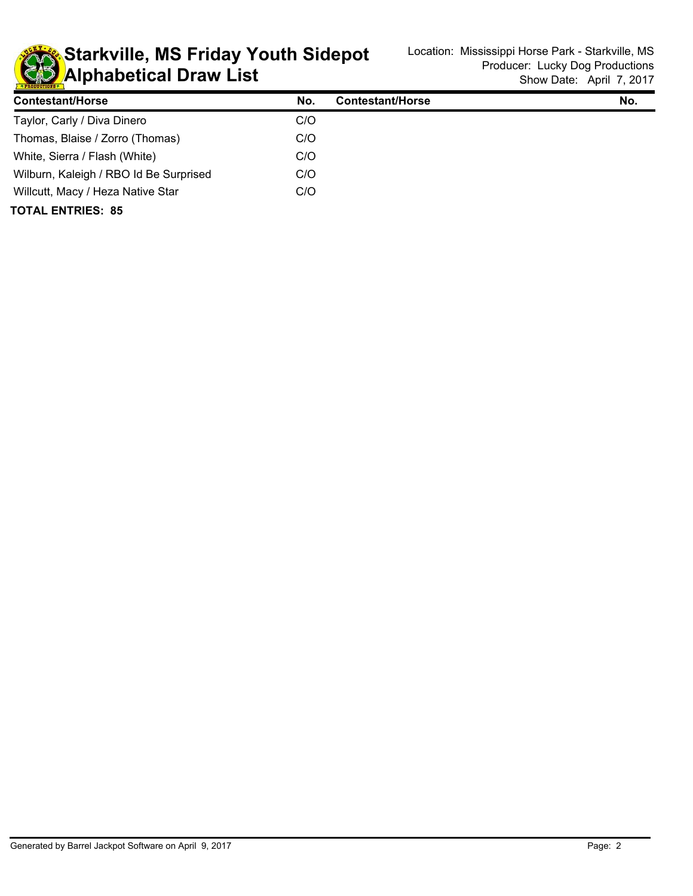

**KD** Alphabetical Draw List **Starkville, MS Friday Youth Sidepot** Location: Mississippi Horse Park - Starkville, MS Location: Location: Mississippi Horse Park - Starkville, MS

| <b>Contestant/Horse</b>                | No. | Contestant/Horse | No. |
|----------------------------------------|-----|------------------|-----|
| Taylor, Carly / Diva Dinero            | C/O |                  |     |
| Thomas, Blaise / Zorro (Thomas)        | C/O |                  |     |
| White, Sierra / Flash (White)          | C/O |                  |     |
| Wilburn, Kaleigh / RBO Id Be Surprised | C/O |                  |     |
| Willcutt, Macy / Heza Native Star      | C/O |                  |     |
| <b>TOTAL ENTRIES: 85</b>               |     |                  |     |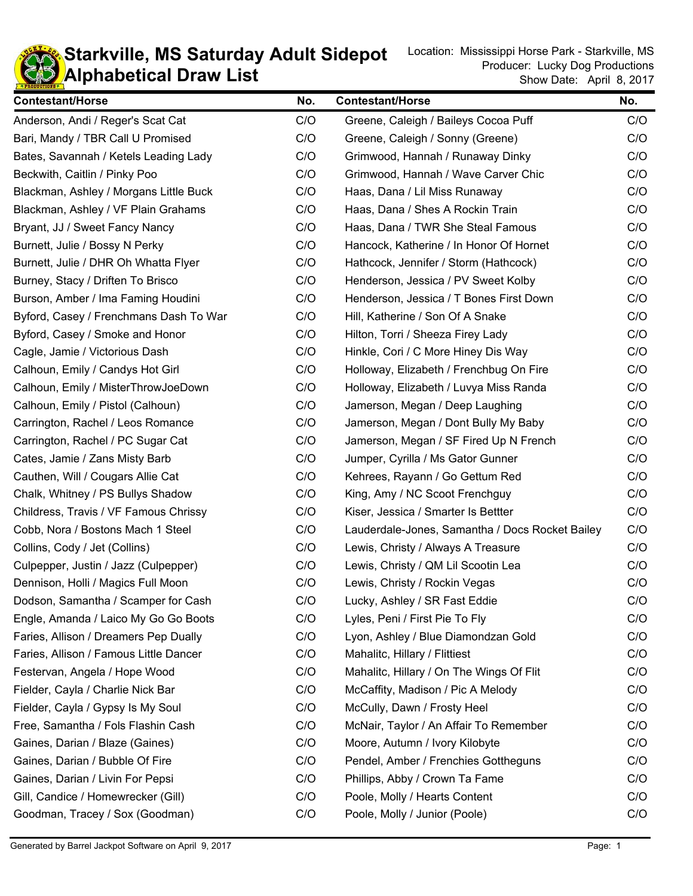

#### **KD** Alphabetical Draw List **Starkville, MS Saturday Adult Sidepot** Location: Mississippi Horse Park - Starkville, MS Saturday Adult Sidepot

| <b>Contestant/Horse</b>                | No. | <b>Contestant/Horse</b>                         | No. |
|----------------------------------------|-----|-------------------------------------------------|-----|
| Anderson, Andi / Reger's Scat Cat      | C/O | Greene, Caleigh / Baileys Cocoa Puff            | C/O |
| Bari, Mandy / TBR Call U Promised      | C/O | Greene, Caleigh / Sonny (Greene)                | C/O |
| Bates, Savannah / Ketels Leading Lady  | C/O | Grimwood, Hannah / Runaway Dinky                | C/O |
| Beckwith, Caitlin / Pinky Poo          | C/O | Grimwood, Hannah / Wave Carver Chic             | C/O |
| Blackman, Ashley / Morgans Little Buck | C/O | Haas, Dana / Lil Miss Runaway                   | C/O |
| Blackman, Ashley / VF Plain Grahams    | C/O | Haas, Dana / Shes A Rockin Train                | C/O |
| Bryant, JJ / Sweet Fancy Nancy         | C/O | Haas, Dana / TWR She Steal Famous               | C/O |
| Burnett, Julie / Bossy N Perky         | C/O | Hancock, Katherine / In Honor Of Hornet         | C/O |
| Burnett, Julie / DHR Oh Whatta Flyer   | C/O | Hathcock, Jennifer / Storm (Hathcock)           | C/O |
| Burney, Stacy / Driften To Brisco      | C/O | Henderson, Jessica / PV Sweet Kolby             | C/O |
| Burson, Amber / Ima Faming Houdini     | C/O | Henderson, Jessica / T Bones First Down         | C/O |
| Byford, Casey / Frenchmans Dash To War | C/O | Hill, Katherine / Son Of A Snake                | C/O |
| Byford, Casey / Smoke and Honor        | C/O | Hilton, Torri / Sheeza Firey Lady               | C/O |
| Cagle, Jamie / Victorious Dash         | C/O | Hinkle, Cori / C More Hiney Dis Way             | C/O |
| Calhoun, Emily / Candys Hot Girl       | C/O | Holloway, Elizabeth / Frenchbug On Fire         | C/O |
| Calhoun, Emily / MisterThrowJoeDown    | C/O | Holloway, Elizabeth / Luvya Miss Randa          | C/O |
| Calhoun, Emily / Pistol (Calhoun)      | C/O | Jamerson, Megan / Deep Laughing                 | C/O |
| Carrington, Rachel / Leos Romance      | C/O | Jamerson, Megan / Dont Bully My Baby            | C/O |
| Carrington, Rachel / PC Sugar Cat      | C/O | Jamerson, Megan / SF Fired Up N French          | C/O |
| Cates, Jamie / Zans Misty Barb         | C/O | Jumper, Cyrilla / Ms Gator Gunner               | C/O |
| Cauthen, Will / Cougars Allie Cat      | C/O | Kehrees, Rayann / Go Gettum Red                 | C/O |
| Chalk, Whitney / PS Bullys Shadow      | C/O | King, Amy / NC Scoot Frenchguy                  | C/O |
| Childress, Travis / VF Famous Chrissy  | C/O | Kiser, Jessica / Smarter Is Bettter             | C/O |
| Cobb, Nora / Bostons Mach 1 Steel      | C/O | Lauderdale-Jones, Samantha / Docs Rocket Bailey | C/O |
| Collins, Cody / Jet (Collins)          | C/O | Lewis, Christy / Always A Treasure              | C/O |
| Culpepper, Justin / Jazz (Culpepper)   | C/O | Lewis, Christy / QM Lil Scootin Lea             | C/O |
| Dennison, Holli / Magics Full Moon     | C/O | Lewis, Christy / Rockin Vegas                   | C/O |
| Dodson, Samantha / Scamper for Cash    | C/O | Lucky, Ashley / SR Fast Eddie                   | C/O |
| Engle, Amanda / Laico My Go Go Boots   | C/O | Lyles, Peni / First Pie To Fly                  | C/O |
| Faries, Allison / Dreamers Pep Dually  | C/O | Lyon, Ashley / Blue Diamondzan Gold             | C/O |
| Faries, Allison / Famous Little Dancer | C/O | Mahalitc, Hillary / Flittiest                   | C/O |
| Festervan, Angela / Hope Wood          | C/O | Mahalitc, Hillary / On The Wings Of Flit        | C/O |
| Fielder, Cayla / Charlie Nick Bar      | C/O | McCaffity, Madison / Pic A Melody               | C/O |
| Fielder, Cayla / Gypsy Is My Soul      | C/O | McCully, Dawn / Frosty Heel                     | C/O |
| Free, Samantha / Fols Flashin Cash     | C/O | McNair, Taylor / An Affair To Remember          | C/O |
| Gaines, Darian / Blaze (Gaines)        | C/O | Moore, Autumn / Ivory Kilobyte                  | C/O |
| Gaines, Darian / Bubble Of Fire        | C/O | Pendel, Amber / Frenchies Gottheguns            | C/O |
| Gaines, Darian / Livin For Pepsi       | C/O | Phillips, Abby / Crown Ta Fame                  | C/O |
| Gill, Candice / Homewrecker (Gill)     | C/O | Poole, Molly / Hearts Content                   | C/O |
| Goodman, Tracey / Sox (Goodman)        | C/O | Poole, Molly / Junior (Poole)                   | C/O |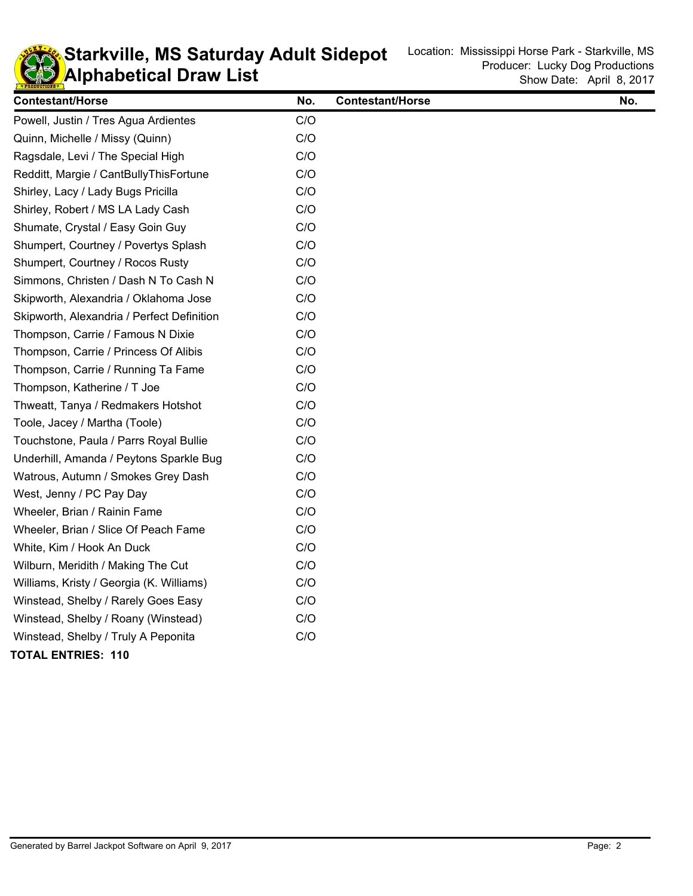

#### **KD** Alphabetical Draw List **Starkville, MS Saturday Adult Sidepot** Location: Mississippi Horse Park - Starkville, MS Saturday Adult Sidepot

| <b>Contestant/Horse</b>                    | No. | <b>Contestant/Horse</b> | No. |
|--------------------------------------------|-----|-------------------------|-----|
| Powell, Justin / Tres Agua Ardientes       | C/O |                         |     |
| Quinn, Michelle / Missy (Quinn)            | C/O |                         |     |
| Ragsdale, Levi / The Special High          | C/O |                         |     |
| Redditt, Margie / CantBullyThisFortune     | C/O |                         |     |
| Shirley, Lacy / Lady Bugs Pricilla         | C/O |                         |     |
| Shirley, Robert / MS LA Lady Cash          | C/O |                         |     |
| Shumate, Crystal / Easy Goin Guy           | C/O |                         |     |
| Shumpert, Courtney / Povertys Splash       | C/O |                         |     |
| Shumpert, Courtney / Rocos Rusty           | C/O |                         |     |
| Simmons, Christen / Dash N To Cash N       | C/O |                         |     |
| Skipworth, Alexandria / Oklahoma Jose      | C/O |                         |     |
| Skipworth, Alexandria / Perfect Definition | C/O |                         |     |
| Thompson, Carrie / Famous N Dixie          | C/O |                         |     |
| Thompson, Carrie / Princess Of Alibis      | C/O |                         |     |
| Thompson, Carrie / Running Ta Fame         | C/O |                         |     |
| Thompson, Katherine / T Joe                | C/O |                         |     |
| Thweatt, Tanya / Redmakers Hotshot         | C/O |                         |     |
| Toole, Jacey / Martha (Toole)              | C/O |                         |     |
| Touchstone, Paula / Parrs Royal Bullie     | C/O |                         |     |
| Underhill, Amanda / Peytons Sparkle Bug    | C/O |                         |     |
| Watrous, Autumn / Smokes Grey Dash         | C/O |                         |     |
| West, Jenny / PC Pay Day                   | C/O |                         |     |
| Wheeler, Brian / Rainin Fame               | C/O |                         |     |
| Wheeler, Brian / Slice Of Peach Fame       | C/O |                         |     |
| White, Kim / Hook An Duck                  | C/O |                         |     |
| Wilburn, Meridith / Making The Cut         | C/O |                         |     |
| Williams, Kristy / Georgia (K. Williams)   | C/O |                         |     |
| Winstead, Shelby / Rarely Goes Easy        | C/O |                         |     |
| Winstead, Shelby / Roany (Winstead)        | C/O |                         |     |
| Winstead, Shelby / Truly A Peponita        | C/O |                         |     |
| <b>TOTAL ENTRIES: 110</b>                  |     |                         |     |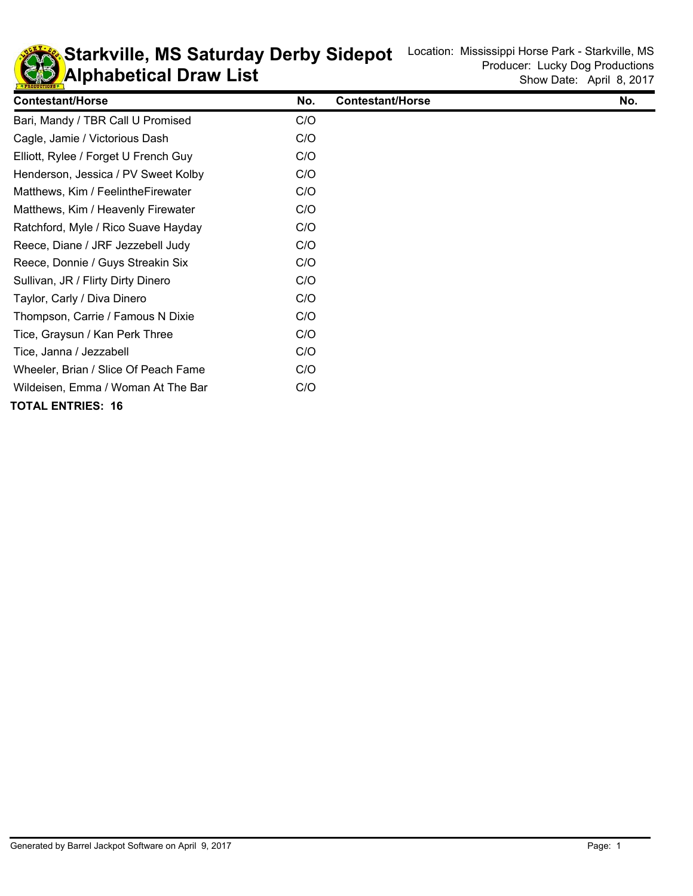

## **KD** Alphabetical Draw List **Starkville, MS Saturday Derby Sidepot** Location: Mississippi Horse Park - Starkville, MS Saturday Derby Sidepot

| <b>Contestant/Horse</b>              | No. | <b>Contestant/Horse</b> | No. |
|--------------------------------------|-----|-------------------------|-----|
| Bari, Mandy / TBR Call U Promised    | C/O |                         |     |
| Cagle, Jamie / Victorious Dash       | C/O |                         |     |
| Elliott, Rylee / Forget U French Guy | C/O |                         |     |
| Henderson, Jessica / PV Sweet Kolby  | C/O |                         |     |
| Matthews, Kim / Feelinthe Firewater  | C/O |                         |     |
| Matthews, Kim / Heavenly Firewater   | C/O |                         |     |
| Ratchford, Myle / Rico Suave Hayday  | C/O |                         |     |
| Reece, Diane / JRF Jezzebell Judy    | C/O |                         |     |
| Reece, Donnie / Guys Streakin Six    | C/O |                         |     |
| Sullivan, JR / Flirty Dirty Dinero   | C/O |                         |     |
| Taylor, Carly / Diva Dinero          | C/O |                         |     |
| Thompson, Carrie / Famous N Dixie    | C/O |                         |     |
| Tice, Graysun / Kan Perk Three       | C/O |                         |     |
| Tice, Janna / Jezzabell              | C/O |                         |     |
| Wheeler, Brian / Slice Of Peach Fame | C/O |                         |     |
| Wildeisen, Emma / Woman At The Bar   | C/O |                         |     |
| <b>TOTAL ENTRIES: 16</b>             |     |                         |     |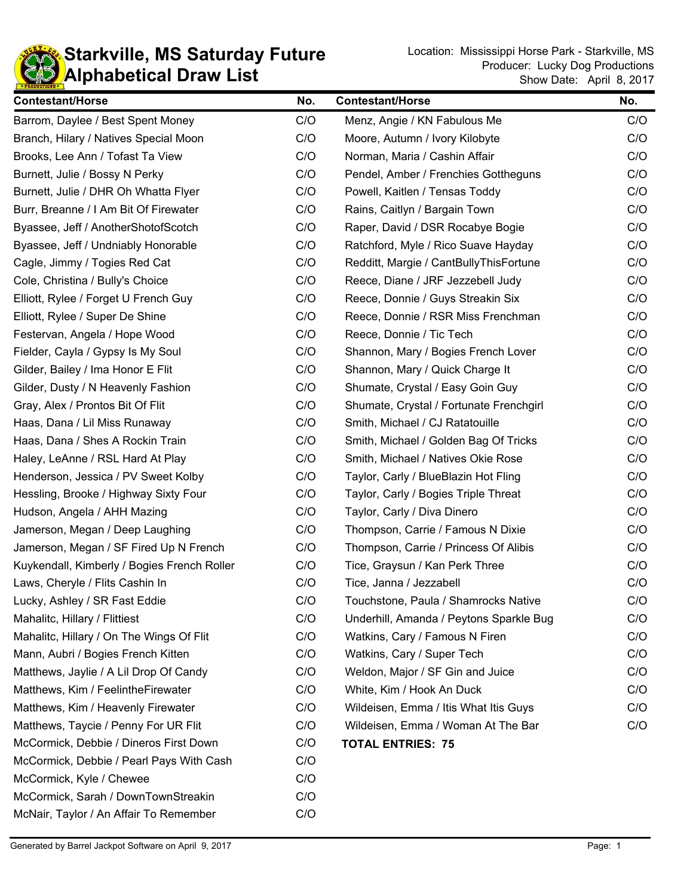

| <b>Contestant/Horse</b>                     | No. | <b>Contestant/Horse</b>                 | No. |
|---------------------------------------------|-----|-----------------------------------------|-----|
| Barrom, Daylee / Best Spent Money           | C/O | Menz, Angie / KN Fabulous Me            | C/O |
| Branch, Hilary / Natives Special Moon       | C/O | Moore, Autumn / Ivory Kilobyte          | C/O |
| Brooks, Lee Ann / Tofast Ta View            | C/O | Norman, Maria / Cashin Affair           | C/O |
| Burnett, Julie / Bossy N Perky              | C/O | Pendel, Amber / Frenchies Gottheguns    | C/O |
| Burnett, Julie / DHR Oh Whatta Flyer        | C/O | Powell, Kaitlen / Tensas Toddy          | C/O |
| Burr, Breanne / I Am Bit Of Firewater       | C/O | Rains, Caitlyn / Bargain Town           | C/O |
| Byassee, Jeff / AnotherShotofScotch         | C/O | Raper, David / DSR Rocabye Bogie        | C/O |
| Byassee, Jeff / Undniably Honorable         | C/O | Ratchford, Myle / Rico Suave Hayday     | C/O |
| Cagle, Jimmy / Togies Red Cat               | C/O | Redditt, Margie / CantBullyThisFortune  | C/O |
| Cole, Christina / Bully's Choice            | C/O | Reece, Diane / JRF Jezzebell Judy       | C/O |
| Elliott, Rylee / Forget U French Guy        | C/O | Reece, Donnie / Guys Streakin Six       | C/O |
| Elliott, Rylee / Super De Shine             | C/O | Reece, Donnie / RSR Miss Frenchman      | C/O |
| Festervan, Angela / Hope Wood               | C/O | Reece, Donnie / Tic Tech                | C/O |
| Fielder, Cayla / Gypsy Is My Soul           | C/O | Shannon, Mary / Bogies French Lover     | C/O |
| Gilder, Bailey / Ima Honor E Flit           | C/O | Shannon, Mary / Quick Charge It         | C/O |
| Gilder, Dusty / N Heavenly Fashion          | C/O | Shumate, Crystal / Easy Goin Guy        | C/O |
| Gray, Alex / Prontos Bit Of Flit            | C/O | Shumate, Crystal / Fortunate Frenchgirl | C/O |
| Haas, Dana / Lil Miss Runaway               | C/O | Smith, Michael / CJ Ratatouille         | C/O |
| Haas, Dana / Shes A Rockin Train            | C/O | Smith, Michael / Golden Bag Of Tricks   | C/O |
| Haley, LeAnne / RSL Hard At Play            | C/O | Smith, Michael / Natives Okie Rose      | C/O |
| Henderson, Jessica / PV Sweet Kolby         | C/O | Taylor, Carly / BlueBlazin Hot Fling    | C/O |
| Hessling, Brooke / Highway Sixty Four       | C/O | Taylor, Carly / Bogies Triple Threat    | C/O |
| Hudson, Angela / AHH Mazing                 | C/O | Taylor, Carly / Diva Dinero             | C/O |
| Jamerson, Megan / Deep Laughing             | C/O | Thompson, Carrie / Famous N Dixie       | C/O |
| Jamerson, Megan / SF Fired Up N French      | C/O | Thompson, Carrie / Princess Of Alibis   | C/O |
| Kuykendall, Kimberly / Bogies French Roller | C/O | Tice, Graysun / Kan Perk Three          | C/O |
| Laws, Cheryle / Flits Cashin In             | C/O | Tice, Janna / Jezzabell                 | C/O |
| Lucky, Ashley / SR Fast Eddie               | C/O | Touchstone, Paula / Shamrocks Native    | C/O |
| Mahalitc, Hillary / Flittiest               | C/O | Underhill, Amanda / Peytons Sparkle Bug | C/O |
| Mahalitc, Hillary / On The Wings Of Flit    | C/O | Watkins, Cary / Famous N Firen          | C/O |
| Mann, Aubri / Bogies French Kitten          | C/O | Watkins, Cary / Super Tech              | C/O |
| Matthews, Jaylie / A Lil Drop Of Candy      | C/O | Weldon, Major / SF Gin and Juice        | C/O |
| Matthews, Kim / FeelintheFirewater          | C/O | White, Kim / Hook An Duck               | C/O |
| Matthews, Kim / Heavenly Firewater          | C/O | Wildeisen, Emma / Itis What Itis Guys   | C/O |
| Matthews, Taycie / Penny For UR Flit        | C/O | Wildeisen, Emma / Woman At The Bar      | C/O |
| McCormick, Debbie / Dineros First Down      | C/O | <b>TOTAL ENTRIES: 75</b>                |     |
| McCormick, Debbie / Pearl Pays With Cash    | C/O |                                         |     |
| McCormick, Kyle / Chewee                    | C/O |                                         |     |
| McCormick, Sarah / DownTownStreakin         | C/O |                                         |     |
| McNair, Taylor / An Affair To Remember      | C/O |                                         |     |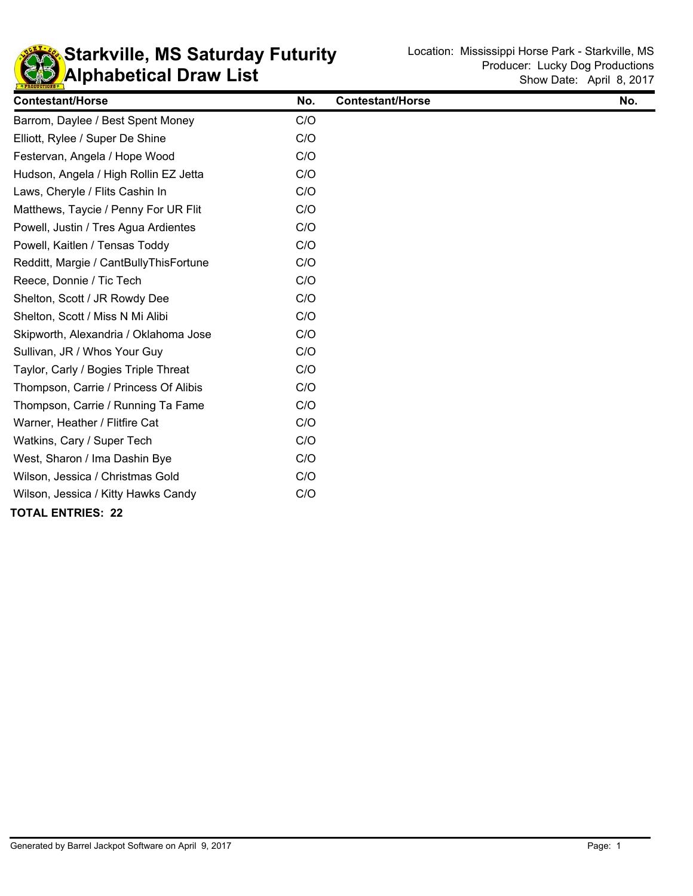

## **KD** Alphabetical Draw List **Starkville, MS Saturday Futurity** Location: Mississippi Horse Park - Starkville, MS **Saturday Futurity**

| <b>Contestant/Horse</b>                | No. | <b>Contestant/Horse</b> | No. |
|----------------------------------------|-----|-------------------------|-----|
| Barrom, Daylee / Best Spent Money      | C/O |                         |     |
| Elliott, Rylee / Super De Shine        | C/O |                         |     |
| Festervan, Angela / Hope Wood          | C/O |                         |     |
| Hudson, Angela / High Rollin EZ Jetta  | C/O |                         |     |
| Laws, Cheryle / Flits Cashin In        | C/O |                         |     |
| Matthews, Taycie / Penny For UR Flit   | C/O |                         |     |
| Powell, Justin / Tres Agua Ardientes   | C/O |                         |     |
| Powell, Kaitlen / Tensas Toddy         | C/O |                         |     |
| Redditt, Margie / CantBullyThisFortune | C/O |                         |     |
| Reece, Donnie / Tic Tech               | C/O |                         |     |
| Shelton, Scott / JR Rowdy Dee          | C/O |                         |     |
| Shelton, Scott / Miss N Mi Alibi       | C/O |                         |     |
| Skipworth, Alexandria / Oklahoma Jose  | C/O |                         |     |
| Sullivan, JR / Whos Your Guy           | C/O |                         |     |
| Taylor, Carly / Bogies Triple Threat   | C/O |                         |     |
| Thompson, Carrie / Princess Of Alibis  | C/O |                         |     |
| Thompson, Carrie / Running Ta Fame     | C/O |                         |     |
| Warner, Heather / Flitfire Cat         | C/O |                         |     |
| Watkins, Cary / Super Tech             | C/O |                         |     |
| West, Sharon / Ima Dashin Bye          | C/O |                         |     |
| Wilson, Jessica / Christmas Gold       | C/O |                         |     |
| Wilson, Jessica / Kitty Hawks Candy    | C/O |                         |     |
| <b>TOTAL ENTRIES: 22</b>               |     |                         |     |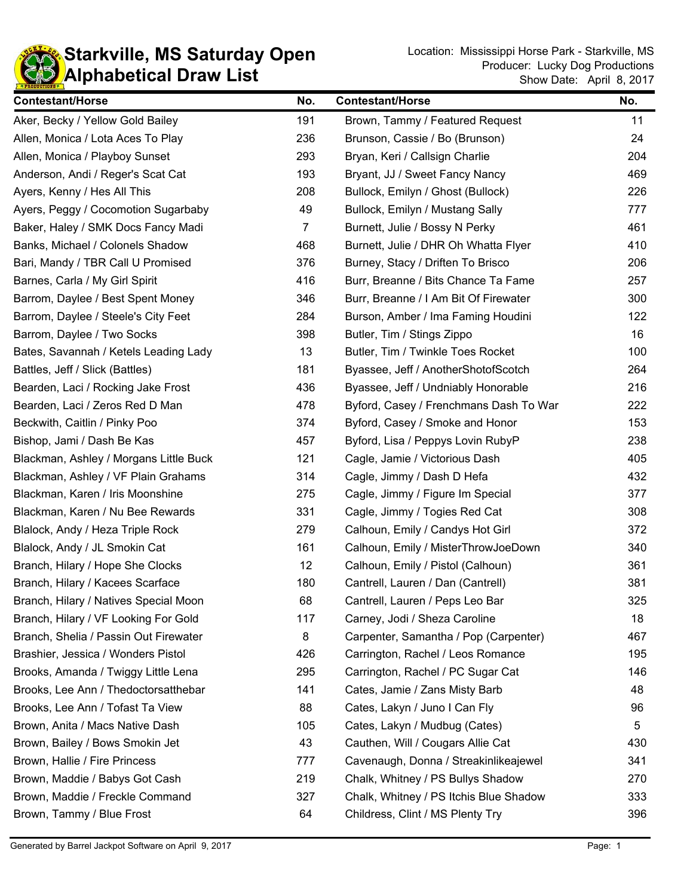

| <b>Contestant/Horse</b>                | No.            | <b>Contestant/Horse</b>                | No. |
|----------------------------------------|----------------|----------------------------------------|-----|
| Aker, Becky / Yellow Gold Bailey       | 191            | Brown, Tammy / Featured Request        | 11  |
| Allen, Monica / Lota Aces To Play      | 236            | Brunson, Cassie / Bo (Brunson)         | 24  |
| Allen, Monica / Playboy Sunset         | 293            | Bryan, Keri / Callsign Charlie         | 204 |
| Anderson, Andi / Reger's Scat Cat      | 193            | Bryant, JJ / Sweet Fancy Nancy         | 469 |
| Ayers, Kenny / Hes All This            | 208            | Bullock, Emilyn / Ghost (Bullock)      | 226 |
| Ayers, Peggy / Cocomotion Sugarbaby    | 49             | Bullock, Emilyn / Mustang Sally        | 777 |
| Baker, Haley / SMK Docs Fancy Madi     | $\overline{7}$ | Burnett, Julie / Bossy N Perky         | 461 |
| Banks, Michael / Colonels Shadow       | 468            | Burnett, Julie / DHR Oh Whatta Flyer   | 410 |
| Bari, Mandy / TBR Call U Promised      | 376            | Burney, Stacy / Driften To Brisco      | 206 |
| Barnes, Carla / My Girl Spirit         | 416            | Burr, Breanne / Bits Chance Ta Fame    | 257 |
| Barrom, Daylee / Best Spent Money      | 346            | Burr, Breanne / I Am Bit Of Firewater  | 300 |
| Barrom, Daylee / Steele's City Feet    | 284            | Burson, Amber / Ima Faming Houdini     | 122 |
| Barrom, Daylee / Two Socks             | 398            | Butler, Tim / Stings Zippo             | 16  |
| Bates, Savannah / Ketels Leading Lady  | 13             | Butler, Tim / Twinkle Toes Rocket      | 100 |
| Battles, Jeff / Slick (Battles)        | 181            | Byassee, Jeff / AnotherShotofScotch    | 264 |
| Bearden, Laci / Rocking Jake Frost     | 436            | Byassee, Jeff / Undniably Honorable    | 216 |
| Bearden, Laci / Zeros Red D Man        | 478            | Byford, Casey / Frenchmans Dash To War | 222 |
| Beckwith, Caitlin / Pinky Poo          | 374            | Byford, Casey / Smoke and Honor        | 153 |
| Bishop, Jami / Dash Be Kas             | 457            | Byford, Lisa / Peppys Lovin RubyP      | 238 |
| Blackman, Ashley / Morgans Little Buck | 121            | Cagle, Jamie / Victorious Dash         | 405 |
| Blackman, Ashley / VF Plain Grahams    | 314            | Cagle, Jimmy / Dash D Hefa             | 432 |
| Blackman, Karen / Iris Moonshine       | 275            | Cagle, Jimmy / Figure Im Special       | 377 |
| Blackman, Karen / Nu Bee Rewards       | 331            | Cagle, Jimmy / Togies Red Cat          | 308 |
| Blalock, Andy / Heza Triple Rock       | 279            | Calhoun, Emily / Candys Hot Girl       | 372 |
| Blalock, Andy / JL Smokin Cat          | 161            | Calhoun, Emily / MisterThrowJoeDown    | 340 |
| Branch, Hilary / Hope She Clocks       | 12             | Calhoun, Emily / Pistol (Calhoun)      | 361 |
| Branch, Hilary / Kacees Scarface       | 180            | Cantrell, Lauren / Dan (Cantrell)      | 381 |
| Branch, Hilary / Natives Special Moon  | 68             | Cantrell, Lauren / Peps Leo Bar        | 325 |
| Branch, Hilary / VF Looking For Gold   | 117            | Carney, Jodi / Sheza Caroline          | 18  |
| Branch, Shelia / Passin Out Firewater  | 8              | Carpenter, Samantha / Pop (Carpenter)  | 467 |
| Brashier, Jessica / Wonders Pistol     | 426            | Carrington, Rachel / Leos Romance      | 195 |
| Brooks, Amanda / Twiggy Little Lena    | 295            | Carrington, Rachel / PC Sugar Cat      | 146 |
| Brooks, Lee Ann / Thedoctorsatthebar   | 141            | Cates, Jamie / Zans Misty Barb         | 48  |
| Brooks, Lee Ann / Tofast Ta View       | 88             | Cates, Lakyn / Juno I Can Fly          | 96  |
| Brown, Anita / Macs Native Dash        | 105            | Cates, Lakyn / Mudbug (Cates)          | 5   |
| Brown, Bailey / Bows Smokin Jet        | 43             | Cauthen, Will / Cougars Allie Cat      | 430 |
| Brown, Hallie / Fire Princess          | 777            | Cavenaugh, Donna / Streakinlikeajewel  | 341 |
| Brown, Maddie / Babys Got Cash         | 219            | Chalk, Whitney / PS Bullys Shadow      | 270 |
| Brown, Maddie / Freckle Command        | 327            | Chalk, Whitney / PS Itchis Blue Shadow | 333 |
| Brown, Tammy / Blue Frost              | 64             | Childress, Clint / MS Plenty Try       | 396 |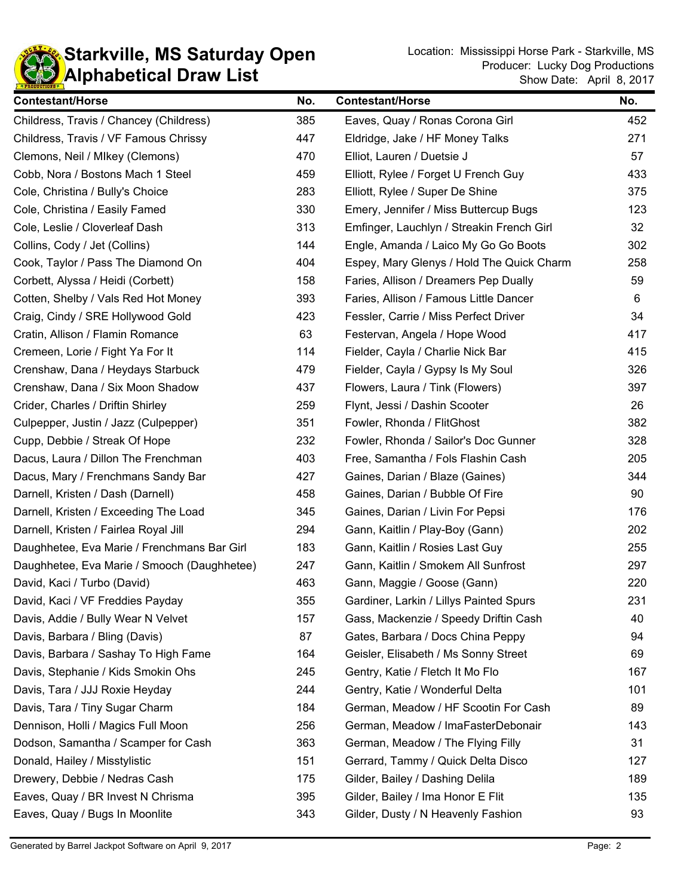

| <b>Contestant/Horse</b>                     | No. | <b>Contestant/Horse</b>                   | No. |
|---------------------------------------------|-----|-------------------------------------------|-----|
| Childress, Travis / Chancey (Childress)     | 385 | Eaves, Quay / Ronas Corona Girl           | 452 |
| Childress, Travis / VF Famous Chrissy       | 447 | Eldridge, Jake / HF Money Talks           | 271 |
| Clemons, Neil / Mlkey (Clemons)             | 470 | Elliot, Lauren / Duetsie J                | 57  |
| Cobb, Nora / Bostons Mach 1 Steel           | 459 | Elliott, Rylee / Forget U French Guy      | 433 |
| Cole, Christina / Bully's Choice            | 283 | Elliott, Rylee / Super De Shine           | 375 |
| Cole, Christina / Easily Famed              | 330 | Emery, Jennifer / Miss Buttercup Bugs     | 123 |
| Cole, Leslie / Cloverleaf Dash              | 313 | Emfinger, Lauchlyn / Streakin French Girl | 32  |
| Collins, Cody / Jet (Collins)               | 144 | Engle, Amanda / Laico My Go Go Boots      | 302 |
| Cook, Taylor / Pass The Diamond On          | 404 | Espey, Mary Glenys / Hold The Quick Charm | 258 |
| Corbett, Alyssa / Heidi (Corbett)           | 158 | Faries, Allison / Dreamers Pep Dually     | 59  |
| Cotten, Shelby / Vals Red Hot Money         | 393 | Faries, Allison / Famous Little Dancer    | 6   |
| Craig, Cindy / SRE Hollywood Gold           | 423 | Fessler, Carrie / Miss Perfect Driver     | 34  |
| Cratin, Allison / Flamin Romance            | 63  | Festervan, Angela / Hope Wood             | 417 |
| Cremeen, Lorie / Fight Ya For It            | 114 | Fielder, Cayla / Charlie Nick Bar         | 415 |
| Crenshaw, Dana / Heydays Starbuck           | 479 | Fielder, Cayla / Gypsy Is My Soul         | 326 |
| Crenshaw, Dana / Six Moon Shadow            | 437 | Flowers, Laura / Tink (Flowers)           | 397 |
| Crider, Charles / Driftin Shirley           | 259 | Flynt, Jessi / Dashin Scooter             | 26  |
| Culpepper, Justin / Jazz (Culpepper)        | 351 | Fowler, Rhonda / FlitGhost                | 382 |
| Cupp, Debbie / Streak Of Hope               | 232 | Fowler, Rhonda / Sailor's Doc Gunner      | 328 |
| Dacus, Laura / Dillon The Frenchman         | 403 | Free, Samantha / Fols Flashin Cash        | 205 |
| Dacus, Mary / Frenchmans Sandy Bar          | 427 | Gaines, Darian / Blaze (Gaines)           | 344 |
| Darnell, Kristen / Dash (Darnell)           | 458 | Gaines, Darian / Bubble Of Fire           | 90  |
| Darnell, Kristen / Exceeding The Load       | 345 | Gaines, Darian / Livin For Pepsi          | 176 |
| Darnell, Kristen / Fairlea Royal Jill       | 294 | Gann, Kaitlin / Play-Boy (Gann)           | 202 |
| Daughhetee, Eva Marie / Frenchmans Bar Girl | 183 | Gann, Kaitlin / Rosies Last Guy           | 255 |
| Daughhetee, Eva Marie / Smooch (Daughhetee) | 247 | Gann, Kaitlin / Smokem All Sunfrost       | 297 |
| David, Kaci / Turbo (David)                 | 463 | Gann, Maggie / Goose (Gann)               | 220 |
| David, Kaci / VF Freddies Payday            | 355 | Gardiner, Larkin / Lillys Painted Spurs   | 231 |
| Davis, Addie / Bully Wear N Velvet          | 157 | Gass, Mackenzie / Speedy Driftin Cash     | 40  |
| Davis, Barbara / Bling (Davis)              | 87  | Gates, Barbara / Docs China Peppy         | 94  |
| Davis, Barbara / Sashay To High Fame        | 164 | Geisler, Elisabeth / Ms Sonny Street      | 69  |
| Davis, Stephanie / Kids Smokin Ohs          | 245 | Gentry, Katie / Fletch It Mo Flo          | 167 |
| Davis, Tara / JJJ Roxie Heyday              | 244 | Gentry, Katie / Wonderful Delta           | 101 |
| Davis, Tara / Tiny Sugar Charm              | 184 | German, Meadow / HF Scootin For Cash      | 89  |
| Dennison, Holli / Magics Full Moon          | 256 | German, Meadow / ImaFasterDebonair        | 143 |
| Dodson, Samantha / Scamper for Cash         | 363 | German, Meadow / The Flying Filly         | 31  |
| Donald, Hailey / Misstylistic               | 151 | Gerrard, Tammy / Quick Delta Disco        | 127 |
| Drewery, Debbie / Nedras Cash               | 175 | Gilder, Bailey / Dashing Delila           | 189 |
| Eaves, Quay / BR Invest N Chrisma           | 395 | Gilder, Bailey / Ima Honor E Flit         | 135 |
| Eaves, Quay / Bugs In Moonlite              | 343 | Gilder, Dusty / N Heavenly Fashion        | 93  |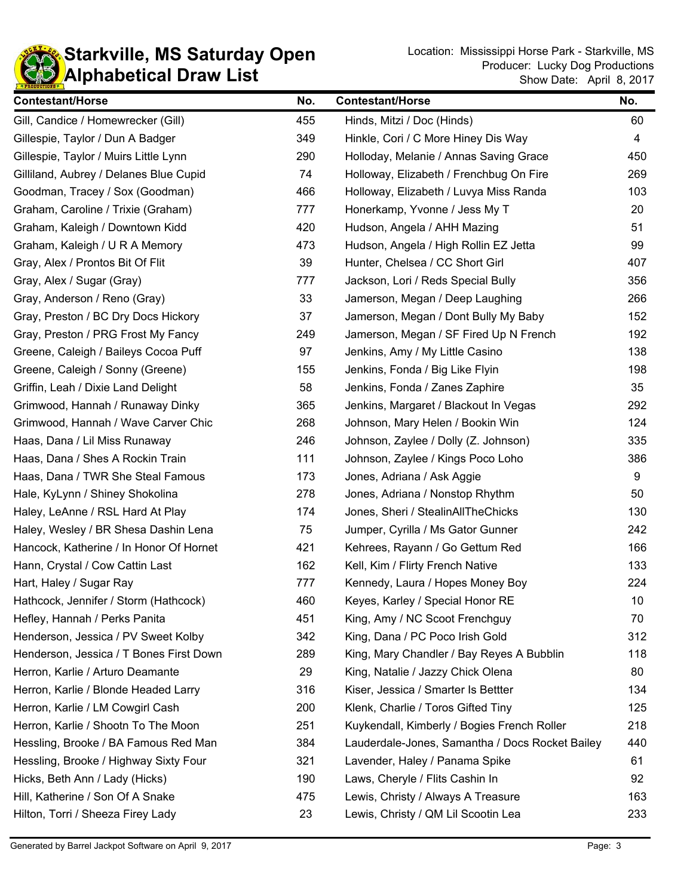

| <b>Contestant/Horse</b>                 | No. | <b>Contestant/Horse</b>                         | No. |
|-----------------------------------------|-----|-------------------------------------------------|-----|
| Gill, Candice / Homewrecker (Gill)      | 455 | Hinds, Mitzi / Doc (Hinds)                      | 60  |
| Gillespie, Taylor / Dun A Badger        | 349 | Hinkle, Cori / C More Hiney Dis Way             | 4   |
| Gillespie, Taylor / Muirs Little Lynn   | 290 | Holloday, Melanie / Annas Saving Grace          | 450 |
| Gilliland, Aubrey / Delanes Blue Cupid  | 74  | Holloway, Elizabeth / Frenchbug On Fire         | 269 |
| Goodman, Tracey / Sox (Goodman)         | 466 | Holloway, Elizabeth / Luvya Miss Randa          | 103 |
| Graham, Caroline / Trixie (Graham)      | 777 | Honerkamp, Yvonne / Jess My T                   | 20  |
| Graham, Kaleigh / Downtown Kidd         | 420 | Hudson, Angela / AHH Mazing                     | 51  |
| Graham, Kaleigh / U R A Memory          | 473 | Hudson, Angela / High Rollin EZ Jetta           | 99  |
| Gray, Alex / Prontos Bit Of Flit        | 39  | Hunter, Chelsea / CC Short Girl                 | 407 |
| Gray, Alex / Sugar (Gray)               | 777 | Jackson, Lori / Reds Special Bully              | 356 |
| Gray, Anderson / Reno (Gray)            | 33  | Jamerson, Megan / Deep Laughing                 | 266 |
| Gray, Preston / BC Dry Docs Hickory     | 37  | Jamerson, Megan / Dont Bully My Baby            | 152 |
| Gray, Preston / PRG Frost My Fancy      | 249 | Jamerson, Megan / SF Fired Up N French          | 192 |
| Greene, Caleigh / Baileys Cocoa Puff    | 97  | Jenkins, Amy / My Little Casino                 | 138 |
| Greene, Caleigh / Sonny (Greene)        | 155 | Jenkins, Fonda / Big Like Flyin                 | 198 |
| Griffin, Leah / Dixie Land Delight      | 58  | Jenkins, Fonda / Zanes Zaphire                  | 35  |
| Grimwood, Hannah / Runaway Dinky        | 365 | Jenkins, Margaret / Blackout In Vegas           | 292 |
| Grimwood, Hannah / Wave Carver Chic     | 268 | Johnson, Mary Helen / Bookin Win                | 124 |
| Haas, Dana / Lil Miss Runaway           | 246 | Johnson, Zaylee / Dolly (Z. Johnson)            | 335 |
| Haas, Dana / Shes A Rockin Train        | 111 | Johnson, Zaylee / Kings Poco Loho               | 386 |
| Haas, Dana / TWR She Steal Famous       | 173 | Jones, Adriana / Ask Aggie                      | 9   |
| Hale, KyLynn / Shiney Shokolina         | 278 | Jones, Adriana / Nonstop Rhythm                 | 50  |
| Haley, LeAnne / RSL Hard At Play        | 174 | Jones, Sheri / StealinAllTheChicks              | 130 |
| Haley, Wesley / BR Shesa Dashin Lena    | 75  | Jumper, Cyrilla / Ms Gator Gunner               | 242 |
| Hancock, Katherine / In Honor Of Hornet | 421 | Kehrees, Rayann / Go Gettum Red                 | 166 |
| Hann, Crystal / Cow Cattin Last         | 162 | Kell, Kim / Flirty French Native                | 133 |
| Hart, Haley / Sugar Ray                 | 777 | Kennedy, Laura / Hopes Money Boy                | 224 |
| Hathcock, Jennifer / Storm (Hathcock)   | 460 | Keyes, Karley / Special Honor RE                | 10  |
| Hefley, Hannah / Perks Panita           | 451 | King, Amy / NC Scoot Frenchguy                  | 70  |
| Henderson, Jessica / PV Sweet Kolby     | 342 | King, Dana / PC Poco Irish Gold                 | 312 |
| Henderson, Jessica / T Bones First Down | 289 | King, Mary Chandler / Bay Reyes A Bubblin       | 118 |
| Herron, Karlie / Arturo Deamante        | 29  | King, Natalie / Jazzy Chick Olena               | 80  |
| Herron, Karlie / Blonde Headed Larry    | 316 | Kiser, Jessica / Smarter Is Bettter             | 134 |
| Herron, Karlie / LM Cowgirl Cash        | 200 | Klenk, Charlie / Toros Gifted Tiny              | 125 |
| Herron, Karlie / Shootn To The Moon     | 251 | Kuykendall, Kimberly / Bogies French Roller     | 218 |
| Hessling, Brooke / BA Famous Red Man    | 384 | Lauderdale-Jones, Samantha / Docs Rocket Bailey | 440 |
| Hessling, Brooke / Highway Sixty Four   | 321 | Lavender, Haley / Panama Spike                  | 61  |
| Hicks, Beth Ann / Lady (Hicks)          | 190 | Laws, Cheryle / Flits Cashin In                 | 92  |
| Hill, Katherine / Son Of A Snake        | 475 | Lewis, Christy / Always A Treasure              | 163 |
| Hilton, Torri / Sheeza Firey Lady       | 23  | Lewis, Christy / QM Lil Scootin Lea             | 233 |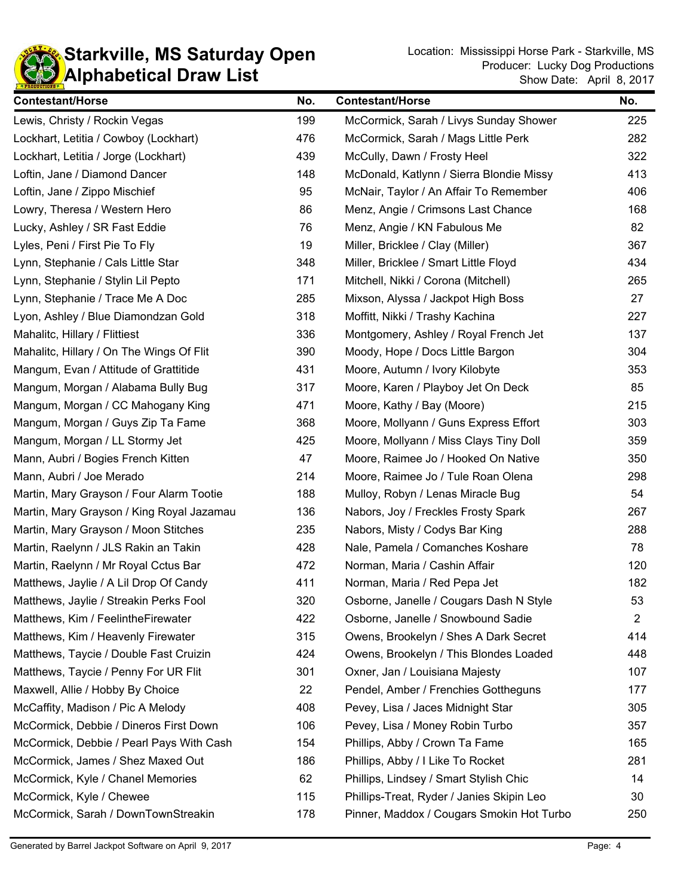

| <b>Contestant/Horse</b>                   | No. | <b>Contestant/Horse</b>                   | No.            |
|-------------------------------------------|-----|-------------------------------------------|----------------|
| Lewis, Christy / Rockin Vegas             | 199 | McCormick, Sarah / Livys Sunday Shower    | 225            |
| Lockhart, Letitia / Cowboy (Lockhart)     | 476 | McCormick, Sarah / Mags Little Perk       | 282            |
| Lockhart, Letitia / Jorge (Lockhart)      | 439 | McCully, Dawn / Frosty Heel               | 322            |
| Loftin, Jane / Diamond Dancer             | 148 | McDonald, Katlynn / Sierra Blondie Missy  | 413            |
| Loftin, Jane / Zippo Mischief             | 95  | McNair, Taylor / An Affair To Remember    | 406            |
| Lowry, Theresa / Western Hero             | 86  | Menz, Angie / Crimsons Last Chance        | 168            |
| Lucky, Ashley / SR Fast Eddie             | 76  | Menz, Angie / KN Fabulous Me              | 82             |
| Lyles, Peni / First Pie To Fly            | 19  | Miller, Bricklee / Clay (Miller)          | 367            |
| Lynn, Stephanie / Cals Little Star        | 348 | Miller, Bricklee / Smart Little Floyd     | 434            |
| Lynn, Stephanie / Stylin Lil Pepto        | 171 | Mitchell, Nikki / Corona (Mitchell)       | 265            |
| Lynn, Stephanie / Trace Me A Doc          | 285 | Mixson, Alyssa / Jackpot High Boss        | 27             |
| Lyon, Ashley / Blue Diamondzan Gold       | 318 | Moffitt, Nikki / Trashy Kachina           | 227            |
| Mahalitc, Hillary / Flittiest             | 336 | Montgomery, Ashley / Royal French Jet     | 137            |
| Mahalitc, Hillary / On The Wings Of Flit  | 390 | Moody, Hope / Docs Little Bargon          | 304            |
| Mangum, Evan / Attitude of Grattitide     | 431 | Moore, Autumn / Ivory Kilobyte            | 353            |
| Mangum, Morgan / Alabama Bully Bug        | 317 | Moore, Karen / Playboy Jet On Deck        | 85             |
| Mangum, Morgan / CC Mahogany King         | 471 | Moore, Kathy / Bay (Moore)                | 215            |
| Mangum, Morgan / Guys Zip Ta Fame         | 368 | Moore, Mollyann / Guns Express Effort     | 303            |
| Mangum, Morgan / LL Stormy Jet            | 425 | Moore, Mollyann / Miss Clays Tiny Doll    | 359            |
| Mann, Aubri / Bogies French Kitten        | 47  | Moore, Raimee Jo / Hooked On Native       | 350            |
| Mann, Aubri / Joe Merado                  | 214 | Moore, Raimee Jo / Tule Roan Olena        | 298            |
| Martin, Mary Grayson / Four Alarm Tootie  | 188 | Mulloy, Robyn / Lenas Miracle Bug         | 54             |
| Martin, Mary Grayson / King Royal Jazamau | 136 | Nabors, Joy / Freckles Frosty Spark       | 267            |
| Martin, Mary Grayson / Moon Stitches      | 235 | Nabors, Misty / Codys Bar King            | 288            |
| Martin, Raelynn / JLS Rakin an Takin      | 428 | Nale, Pamela / Comanches Koshare          | 78             |
| Martin, Raelynn / Mr Royal Cctus Bar      | 472 | Norman, Maria / Cashin Affair             | 120            |
| Matthews, Jaylie / A Lil Drop Of Candy    | 411 | Norman, Maria / Red Pepa Jet              | 182            |
| Matthews, Jaylie / Streakin Perks Fool    | 320 | Osborne, Janelle / Cougars Dash N Style   | 53             |
| Matthews, Kim / FeelintheFirewater        | 422 | Osborne, Janelle / Snowbound Sadie        | $\overline{2}$ |
| Matthews, Kim / Heavenly Firewater        | 315 | Owens, Brookelyn / Shes A Dark Secret     | 414            |
| Matthews, Taycie / Double Fast Cruizin    | 424 | Owens, Brookelyn / This Blondes Loaded    | 448            |
| Matthews, Taycie / Penny For UR Flit      | 301 | Oxner, Jan / Louisiana Majesty            | 107            |
| Maxwell, Allie / Hobby By Choice          | 22  | Pendel, Amber / Frenchies Gottheguns      | 177            |
| McCaffity, Madison / Pic A Melody         | 408 | Pevey, Lisa / Jaces Midnight Star         | 305            |
| McCormick, Debbie / Dineros First Down    | 106 | Pevey, Lisa / Money Robin Turbo           | 357            |
| McCormick, Debbie / Pearl Pays With Cash  | 154 | Phillips, Abby / Crown Ta Fame            | 165            |
| McCormick, James / Shez Maxed Out         | 186 | Phillips, Abby / I Like To Rocket         | 281            |
| McCormick, Kyle / Chanel Memories         | 62  | Phillips, Lindsey / Smart Stylish Chic    | 14             |
| McCormick, Kyle / Chewee                  | 115 | Phillips-Treat, Ryder / Janies Skipin Leo | 30             |
| McCormick, Sarah / DownTownStreakin       | 178 | Pinner, Maddox / Cougars Smokin Hot Turbo | 250            |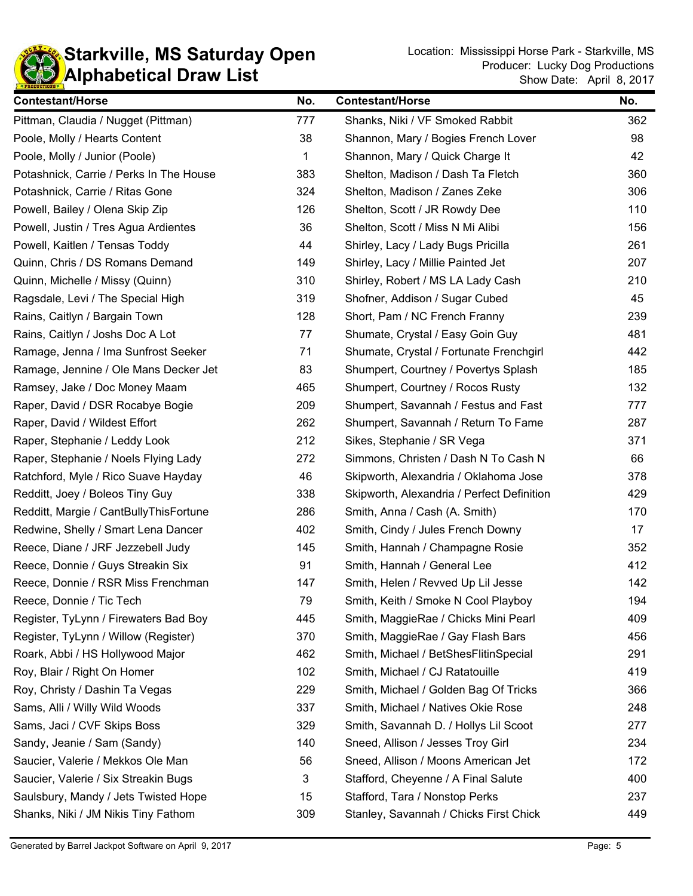

| <b>Contestant/Horse</b>                 | No. | <b>Contestant/Horse</b>                    | No. |
|-----------------------------------------|-----|--------------------------------------------|-----|
| Pittman, Claudia / Nugget (Pittman)     | 777 | Shanks, Niki / VF Smoked Rabbit            | 362 |
| Poole, Molly / Hearts Content           | 38  | Shannon, Mary / Bogies French Lover        | 98  |
| Poole, Molly / Junior (Poole)           | 1   | Shannon, Mary / Quick Charge It            | 42  |
| Potashnick, Carrie / Perks In The House | 383 | Shelton, Madison / Dash Ta Fletch          | 360 |
| Potashnick, Carrie / Ritas Gone         | 324 | Shelton, Madison / Zanes Zeke              | 306 |
| Powell, Bailey / Olena Skip Zip         | 126 | Shelton, Scott / JR Rowdy Dee              | 110 |
| Powell, Justin / Tres Agua Ardientes    | 36  | Shelton, Scott / Miss N Mi Alibi           | 156 |
| Powell, Kaitlen / Tensas Toddy          | 44  | Shirley, Lacy / Lady Bugs Pricilla         | 261 |
| Quinn, Chris / DS Romans Demand         | 149 | Shirley, Lacy / Millie Painted Jet         | 207 |
| Quinn, Michelle / Missy (Quinn)         | 310 | Shirley, Robert / MS LA Lady Cash          | 210 |
| Ragsdale, Levi / The Special High       | 319 | Shofner, Addison / Sugar Cubed             | 45  |
| Rains, Caitlyn / Bargain Town           | 128 | Short, Pam / NC French Franny              | 239 |
| Rains, Caitlyn / Joshs Doc A Lot        | 77  | Shumate, Crystal / Easy Goin Guy           | 481 |
| Ramage, Jenna / Ima Sunfrost Seeker     | 71  | Shumate, Crystal / Fortunate Frenchgirl    | 442 |
| Ramage, Jennine / Ole Mans Decker Jet   | 83  | Shumpert, Courtney / Povertys Splash       | 185 |
| Ramsey, Jake / Doc Money Maam           | 465 | Shumpert, Courtney / Rocos Rusty           | 132 |
| Raper, David / DSR Rocabye Bogie        | 209 | Shumpert, Savannah / Festus and Fast       | 777 |
| Raper, David / Wildest Effort           | 262 | Shumpert, Savannah / Return To Fame        | 287 |
| Raper, Stephanie / Leddy Look           | 212 | Sikes, Stephanie / SR Vega                 | 371 |
| Raper, Stephanie / Noels Flying Lady    | 272 | Simmons, Christen / Dash N To Cash N       | 66  |
| Ratchford, Myle / Rico Suave Hayday     | 46  | Skipworth, Alexandria / Oklahoma Jose      | 378 |
| Redditt, Joey / Boleos Tiny Guy         | 338 | Skipworth, Alexandria / Perfect Definition | 429 |
| Redditt, Margie / CantBullyThisFortune  | 286 | Smith, Anna / Cash (A. Smith)              | 170 |
| Redwine, Shelly / Smart Lena Dancer     | 402 | Smith, Cindy / Jules French Downy          | 17  |
| Reece, Diane / JRF Jezzebell Judy       | 145 | Smith, Hannah / Champagne Rosie            | 352 |
| Reece, Donnie / Guys Streakin Six       | 91  | Smith, Hannah / General Lee                | 412 |
| Reece, Donnie / RSR Miss Frenchman      | 147 | Smith, Helen / Revved Up Lil Jesse         | 142 |
| Reece, Donnie / Tic Tech                | 79  | Smith, Keith / Smoke N Cool Playboy        | 194 |
| Register, TyLynn / Firewaters Bad Boy   | 445 | Smith, MaggieRae / Chicks Mini Pearl       | 409 |
| Register, TyLynn / Willow (Register)    | 370 | Smith, MaggieRae / Gay Flash Bars          | 456 |
| Roark, Abbi / HS Hollywood Major        | 462 | Smith, Michael / BetShesFlitinSpecial      | 291 |
| Roy, Blair / Right On Homer             | 102 | Smith, Michael / CJ Ratatouille            | 419 |
| Roy, Christy / Dashin Ta Vegas          | 229 | Smith, Michael / Golden Bag Of Tricks      | 366 |
| Sams, Alli / Willy Wild Woods           | 337 | Smith, Michael / Natives Okie Rose         | 248 |
| Sams, Jaci / CVF Skips Boss             | 329 | Smith, Savannah D. / Hollys Lil Scoot      | 277 |
| Sandy, Jeanie / Sam (Sandy)             | 140 | Sneed, Allison / Jesses Troy Girl          | 234 |
| Saucier, Valerie / Mekkos Ole Man       | 56  | Sneed, Allison / Moons American Jet        | 172 |
| Saucier, Valerie / Six Streakin Bugs    | 3   | Stafford, Cheyenne / A Final Salute        | 400 |
| Saulsbury, Mandy / Jets Twisted Hope    | 15  | Stafford, Tara / Nonstop Perks             | 237 |
| Shanks, Niki / JM Nikis Tiny Fathom     | 309 | Stanley, Savannah / Chicks First Chick     | 449 |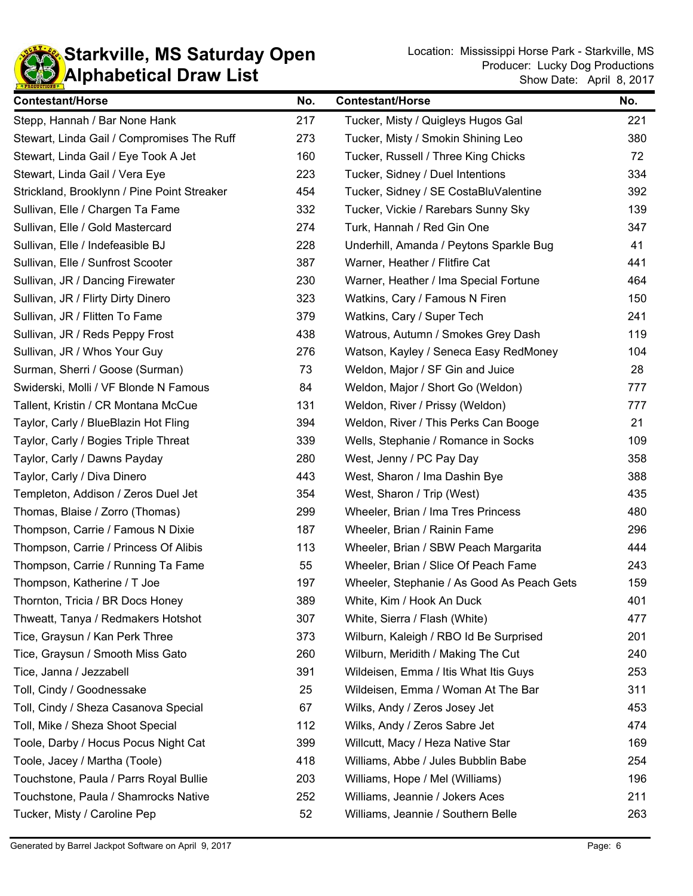

| <b>Contestant/Horse</b>                     | No. | <b>Contestant/Horse</b>                    | No. |
|---------------------------------------------|-----|--------------------------------------------|-----|
| Stepp, Hannah / Bar None Hank               | 217 | Tucker, Misty / Quigleys Hugos Gal         | 221 |
| Stewart, Linda Gail / Compromises The Ruff  | 273 | Tucker, Misty / Smokin Shining Leo         | 380 |
| Stewart, Linda Gail / Eye Took A Jet        | 160 | Tucker, Russell / Three King Chicks        | 72  |
| Stewart, Linda Gail / Vera Eye              | 223 | Tucker, Sidney / Duel Intentions           | 334 |
| Strickland, Brooklynn / Pine Point Streaker | 454 | Tucker, Sidney / SE CostaBluValentine      | 392 |
| Sullivan, Elle / Chargen Ta Fame            | 332 | Tucker, Vickie / Rarebars Sunny Sky        | 139 |
| Sullivan, Elle / Gold Mastercard            | 274 | Turk, Hannah / Red Gin One                 | 347 |
| Sullivan, Elle / Indefeasible BJ            | 228 | Underhill, Amanda / Peytons Sparkle Bug    | 41  |
| Sullivan, Elle / Sunfrost Scooter           | 387 | Warner, Heather / Flitfire Cat             | 441 |
| Sullivan, JR / Dancing Firewater            | 230 | Warner, Heather / Ima Special Fortune      | 464 |
| Sullivan, JR / Flirty Dirty Dinero          | 323 | Watkins, Cary / Famous N Firen             | 150 |
| Sullivan, JR / Flitten To Fame              | 379 | Watkins, Cary / Super Tech                 | 241 |
| Sullivan, JR / Reds Peppy Frost             | 438 | Watrous, Autumn / Smokes Grey Dash         | 119 |
| Sullivan, JR / Whos Your Guy                | 276 | Watson, Kayley / Seneca Easy RedMoney      | 104 |
| Surman, Sherri / Goose (Surman)             | 73  | Weldon, Major / SF Gin and Juice           | 28  |
| Swiderski, Molli / VF Blonde N Famous       | 84  | Weldon, Major / Short Go (Weldon)          | 777 |
| Tallent, Kristin / CR Montana McCue         | 131 | Weldon, River / Prissy (Weldon)            | 777 |
| Taylor, Carly / BlueBlazin Hot Fling        | 394 | Weldon, River / This Perks Can Booge       | 21  |
| Taylor, Carly / Bogies Triple Threat        | 339 | Wells, Stephanie / Romance in Socks        | 109 |
| Taylor, Carly / Dawns Payday                | 280 | West, Jenny / PC Pay Day                   | 358 |
| Taylor, Carly / Diva Dinero                 | 443 | West, Sharon / Ima Dashin Bye              | 388 |
| Templeton, Addison / Zeros Duel Jet         | 354 | West, Sharon / Trip (West)                 | 435 |
| Thomas, Blaise / Zorro (Thomas)             | 299 | Wheeler, Brian / Ima Tres Princess         | 480 |
| Thompson, Carrie / Famous N Dixie           | 187 | Wheeler, Brian / Rainin Fame               | 296 |
| Thompson, Carrie / Princess Of Alibis       | 113 | Wheeler, Brian / SBW Peach Margarita       | 444 |
| Thompson, Carrie / Running Ta Fame          | 55  | Wheeler, Brian / Slice Of Peach Fame       | 243 |
| Thompson, Katherine / T Joe                 | 197 | Wheeler, Stephanie / As Good As Peach Gets | 159 |
| Thornton, Tricia / BR Docs Honey            | 389 | White, Kim / Hook An Duck                  | 401 |
| Thweatt, Tanya / Redmakers Hotshot          | 307 | White, Sierra / Flash (White)              | 477 |
| Tice, Graysun / Kan Perk Three              | 373 | Wilburn, Kaleigh / RBO Id Be Surprised     | 201 |
| Tice, Graysun / Smooth Miss Gato            | 260 | Wilburn, Meridith / Making The Cut         | 240 |
| Tice, Janna / Jezzabell                     | 391 | Wildeisen, Emma / Itis What Itis Guys      | 253 |
| Toll, Cindy / Goodnessake                   | 25  | Wildeisen, Emma / Woman At The Bar         | 311 |
| Toll, Cindy / Sheza Casanova Special        | 67  | Wilks, Andy / Zeros Josey Jet              | 453 |
| Toll, Mike / Sheza Shoot Special            | 112 | Wilks, Andy / Zeros Sabre Jet              | 474 |
| Toole, Darby / Hocus Pocus Night Cat        | 399 | Willcutt, Macy / Heza Native Star          | 169 |
| Toole, Jacey / Martha (Toole)               | 418 | Williams, Abbe / Jules Bubblin Babe        | 254 |
| Touchstone, Paula / Parrs Royal Bullie      | 203 | Williams, Hope / Mel (Williams)            | 196 |
| Touchstone, Paula / Shamrocks Native        | 252 | Williams, Jeannie / Jokers Aces            | 211 |
| Tucker, Misty / Caroline Pep                | 52  | Williams, Jeannie / Southern Belle         | 263 |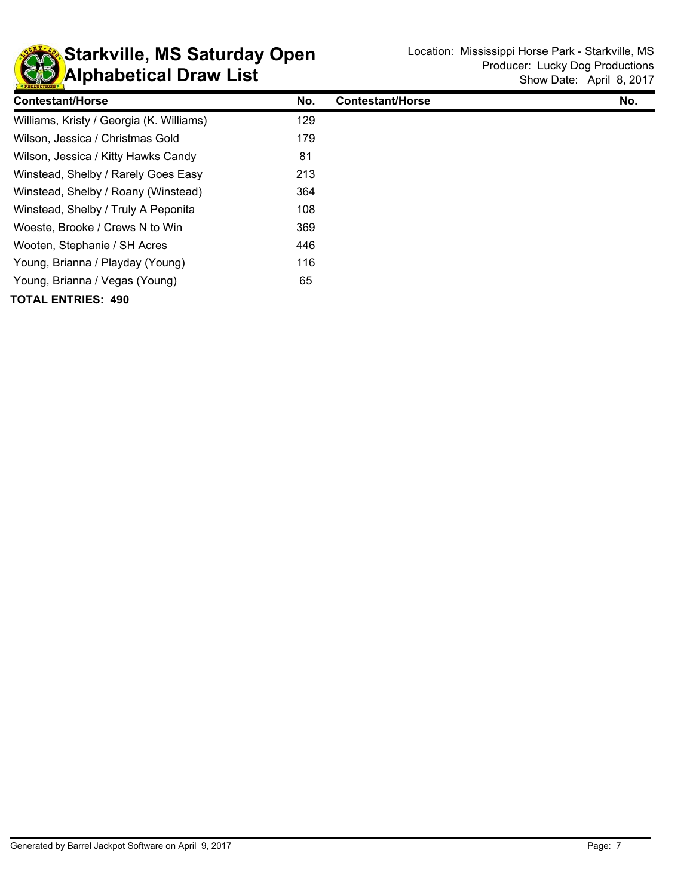

| <b>Contestant/Horse</b>                  | No. | <b>Contestant/Horse</b> | No. |
|------------------------------------------|-----|-------------------------|-----|
| Williams, Kristy / Georgia (K. Williams) | 129 |                         |     |
| Wilson, Jessica / Christmas Gold         | 179 |                         |     |
| Wilson, Jessica / Kitty Hawks Candy      | 81  |                         |     |
| Winstead, Shelby / Rarely Goes Easy      | 213 |                         |     |
| Winstead, Shelby / Roany (Winstead)      | 364 |                         |     |
| Winstead, Shelby / Truly A Peponita      | 108 |                         |     |
| Woeste, Brooke / Crews N to Win          | 369 |                         |     |
| Wooten, Stephanie / SH Acres             | 446 |                         |     |
| Young, Brianna / Playday (Young)         | 116 |                         |     |
| Young, Brianna / Vegas (Young)           | 65  |                         |     |
| <b>TOTAL ENTRIES: 490</b>                |     |                         |     |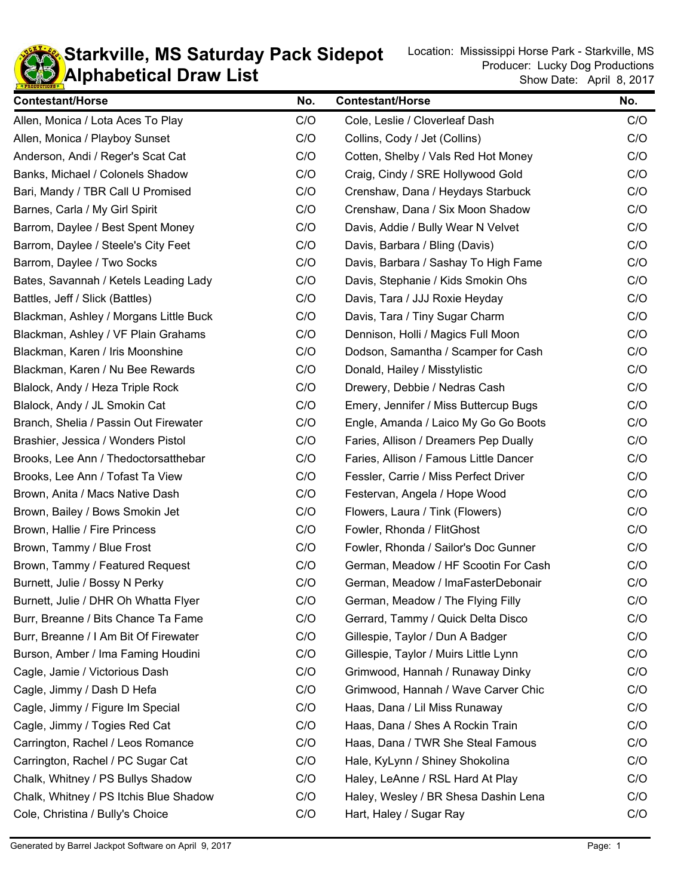

**KD** Alphabetical Draw List **Starkville, MS Saturday Pack Sidepot** Location: Mississippi Horse Park - Starkville, MS

| <b>Contestant/Horse</b>                | No. | <b>Contestant/Horse</b>                | No. |
|----------------------------------------|-----|----------------------------------------|-----|
| Allen, Monica / Lota Aces To Play      | C/O | Cole, Leslie / Cloverleaf Dash         | C/O |
| Allen, Monica / Playboy Sunset         | C/O | Collins, Cody / Jet (Collins)          | C/O |
| Anderson, Andi / Reger's Scat Cat      | C/O | Cotten, Shelby / Vals Red Hot Money    | C/O |
| Banks, Michael / Colonels Shadow       | C/O | Craig, Cindy / SRE Hollywood Gold      | C/O |
| Bari, Mandy / TBR Call U Promised      | C/O | Crenshaw, Dana / Heydays Starbuck      | C/O |
| Barnes, Carla / My Girl Spirit         | C/O | Crenshaw, Dana / Six Moon Shadow       | C/O |
| Barrom, Daylee / Best Spent Money      | C/O | Davis, Addie / Bully Wear N Velvet     | C/O |
| Barrom, Daylee / Steele's City Feet    | C/O | Davis, Barbara / Bling (Davis)         | C/O |
| Barrom, Daylee / Two Socks             | C/O | Davis, Barbara / Sashay To High Fame   | C/O |
| Bates, Savannah / Ketels Leading Lady  | C/O | Davis, Stephanie / Kids Smokin Ohs     | C/O |
| Battles, Jeff / Slick (Battles)        | C/O | Davis, Tara / JJJ Roxie Heyday         | C/O |
| Blackman, Ashley / Morgans Little Buck | C/O | Davis, Tara / Tiny Sugar Charm         | C/O |
| Blackman, Ashley / VF Plain Grahams    | C/O | Dennison, Holli / Magics Full Moon     | C/O |
| Blackman, Karen / Iris Moonshine       | C/O | Dodson, Samantha / Scamper for Cash    | C/O |
| Blackman, Karen / Nu Bee Rewards       | C/O | Donald, Hailey / Misstylistic          | C/O |
| Blalock, Andy / Heza Triple Rock       | C/O | Drewery, Debbie / Nedras Cash          | C/O |
| Blalock, Andy / JL Smokin Cat          | C/O | Emery, Jennifer / Miss Buttercup Bugs  | C/O |
| Branch, Shelia / Passin Out Firewater  | C/O | Engle, Amanda / Laico My Go Go Boots   | C/O |
| Brashier, Jessica / Wonders Pistol     | C/O | Faries, Allison / Dreamers Pep Dually  | C/O |
| Brooks, Lee Ann / Thedoctorsatthebar   | C/O | Faries, Allison / Famous Little Dancer | C/O |
| Brooks, Lee Ann / Tofast Ta View       | C/O | Fessler, Carrie / Miss Perfect Driver  | C/O |
| Brown, Anita / Macs Native Dash        | C/O | Festervan, Angela / Hope Wood          | C/O |
| Brown, Bailey / Bows Smokin Jet        | C/O | Flowers, Laura / Tink (Flowers)        | C/O |
| Brown, Hallie / Fire Princess          | C/O | Fowler, Rhonda / FlitGhost             | C/O |
| Brown, Tammy / Blue Frost              | C/O | Fowler, Rhonda / Sailor's Doc Gunner   | C/O |
| Brown, Tammy / Featured Request        | C/O | German, Meadow / HF Scootin For Cash   | C/O |
| Burnett, Julie / Bossy N Perky         | C/O | German, Meadow / ImaFasterDebonair     | C/O |
| Burnett, Julie / DHR Oh Whatta Flyer   | C/O | German, Meadow / The Flying Filly      | C/O |
| Burr, Breanne / Bits Chance Ta Fame    | C/O | Gerrard, Tammy / Quick Delta Disco     | C/O |
| Burr, Breanne / I Am Bit Of Firewater  | C/O | Gillespie, Taylor / Dun A Badger       | C/O |
| Burson, Amber / Ima Faming Houdini     | C/O | Gillespie, Taylor / Muirs Little Lynn  | C/O |
| Cagle, Jamie / Victorious Dash         | C/O | Grimwood, Hannah / Runaway Dinky       | C/O |
| Cagle, Jimmy / Dash D Hefa             | C/O | Grimwood, Hannah / Wave Carver Chic    | C/O |
| Cagle, Jimmy / Figure Im Special       | C/O | Haas, Dana / Lil Miss Runaway          | C/O |
| Cagle, Jimmy / Togies Red Cat          | C/O | Haas, Dana / Shes A Rockin Train       | C/O |
| Carrington, Rachel / Leos Romance      | C/O | Haas, Dana / TWR She Steal Famous      | C/O |
| Carrington, Rachel / PC Sugar Cat      | C/O | Hale, KyLynn / Shiney Shokolina        | C/O |
| Chalk, Whitney / PS Bullys Shadow      | C/O | Haley, LeAnne / RSL Hard At Play       | C/O |
| Chalk, Whitney / PS Itchis Blue Shadow | C/O | Haley, Wesley / BR Shesa Dashin Lena   | C/O |
| Cole, Christina / Bully's Choice       | C/O | Hart, Haley / Sugar Ray                | C/O |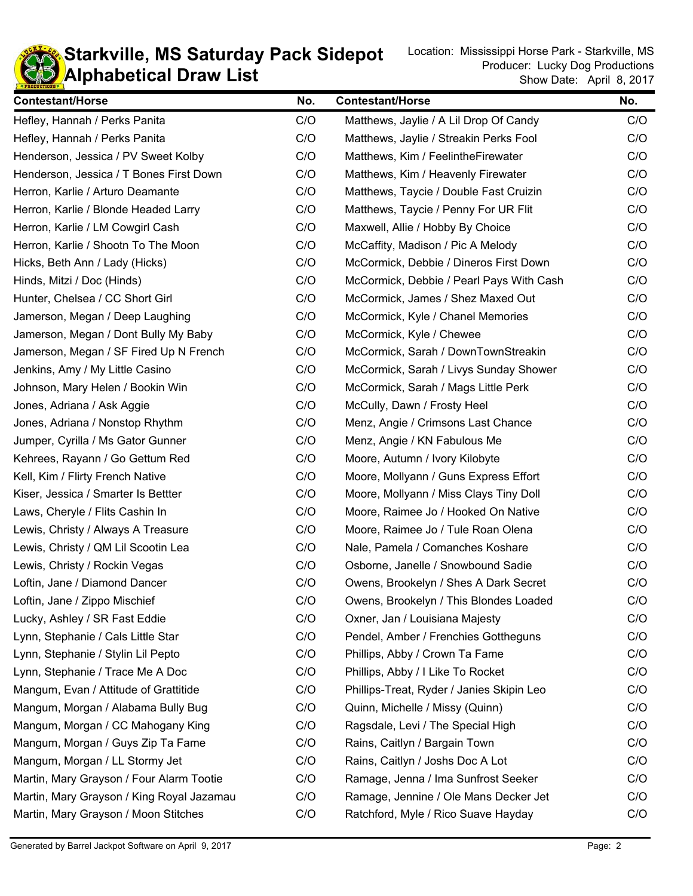

**KD** Alphabetical Draw List **Starkville, MS Saturday Pack Sidepot** Location: Mississippi Horse Park - Starkville, MS

| <b>Contestant/Horse</b>                   | No. | <b>Contestant/Horse</b>                   | No. |
|-------------------------------------------|-----|-------------------------------------------|-----|
| Hefley, Hannah / Perks Panita             | C/O | Matthews, Jaylie / A Lil Drop Of Candy    | C/O |
| Hefley, Hannah / Perks Panita             | C/O | Matthews, Jaylie / Streakin Perks Fool    | C/O |
| Henderson, Jessica / PV Sweet Kolby       | C/O | Matthews, Kim / FeelintheFirewater        | C/O |
| Henderson, Jessica / T Bones First Down   | C/O | Matthews, Kim / Heavenly Firewater        | C/O |
| Herron, Karlie / Arturo Deamante          | C/O | Matthews, Taycie / Double Fast Cruizin    | C/O |
| Herron, Karlie / Blonde Headed Larry      | C/O | Matthews, Taycie / Penny For UR Flit      | C/O |
| Herron, Karlie / LM Cowgirl Cash          | C/O | Maxwell, Allie / Hobby By Choice          | C/O |
| Herron, Karlie / Shootn To The Moon       | C/O | McCaffity, Madison / Pic A Melody         | C/O |
| Hicks, Beth Ann / Lady (Hicks)            | C/O | McCormick, Debbie / Dineros First Down    | C/O |
| Hinds, Mitzi / Doc (Hinds)                | C/O | McCormick, Debbie / Pearl Pays With Cash  | C/O |
| Hunter, Chelsea / CC Short Girl           | C/O | McCormick, James / Shez Maxed Out         | C/O |
| Jamerson, Megan / Deep Laughing           | C/O | McCormick, Kyle / Chanel Memories         | C/O |
| Jamerson, Megan / Dont Bully My Baby      | C/O | McCormick, Kyle / Chewee                  | C/O |
| Jamerson, Megan / SF Fired Up N French    | C/O | McCormick, Sarah / DownTownStreakin       | C/O |
| Jenkins, Amy / My Little Casino           | C/O | McCormick, Sarah / Livys Sunday Shower    | C/O |
| Johnson, Mary Helen / Bookin Win          | C/O | McCormick, Sarah / Mags Little Perk       | C/O |
| Jones, Adriana / Ask Aggie                | C/O | McCully, Dawn / Frosty Heel               | C/O |
| Jones, Adriana / Nonstop Rhythm           | C/O | Menz, Angie / Crimsons Last Chance        | C/O |
| Jumper, Cyrilla / Ms Gator Gunner         | C/O | Menz, Angie / KN Fabulous Me              | C/O |
| Kehrees, Rayann / Go Gettum Red           | C/O | Moore, Autumn / Ivory Kilobyte            | C/O |
| Kell, Kim / Flirty French Native          | C/O | Moore, Mollyann / Guns Express Effort     | C/O |
| Kiser, Jessica / Smarter Is Bettter       | C/O | Moore, Mollyann / Miss Clays Tiny Doll    | C/O |
| Laws, Cheryle / Flits Cashin In           | C/O | Moore, Raimee Jo / Hooked On Native       | C/O |
| Lewis, Christy / Always A Treasure        | C/O | Moore, Raimee Jo / Tule Roan Olena        | C/O |
| Lewis, Christy / QM Lil Scootin Lea       | C/O | Nale, Pamela / Comanches Koshare          | C/O |
| Lewis, Christy / Rockin Vegas             | C/O | Osborne, Janelle / Snowbound Sadie        | C/O |
| Loftin, Jane / Diamond Dancer             | C/O | Owens, Brookelyn / Shes A Dark Secret     | C/O |
| Loftin, Jane / Zippo Mischief             | C/O | Owens, Brookelyn / This Blondes Loaded    | C/O |
| Lucky, Ashley / SR Fast Eddie             | C/O | Oxner, Jan / Louisiana Majesty            | C/O |
| Lynn, Stephanie / Cals Little Star        | C/O | Pendel, Amber / Frenchies Gottheguns      | C/O |
| Lynn, Stephanie / Stylin Lil Pepto        | C/O | Phillips, Abby / Crown Ta Fame            | C/O |
| Lynn, Stephanie / Trace Me A Doc          | C/O | Phillips, Abby / I Like To Rocket         | C/O |
| Mangum, Evan / Attitude of Grattitide     | C/O | Phillips-Treat, Ryder / Janies Skipin Leo | C/O |
| Mangum, Morgan / Alabama Bully Bug        | C/O | Quinn, Michelle / Missy (Quinn)           | C/O |
| Mangum, Morgan / CC Mahogany King         | C/O | Ragsdale, Levi / The Special High         | C/O |
| Mangum, Morgan / Guys Zip Ta Fame         | C/O | Rains, Caitlyn / Bargain Town             | C/O |
| Mangum, Morgan / LL Stormy Jet            | C/O | Rains, Caitlyn / Joshs Doc A Lot          | C/O |
| Martin, Mary Grayson / Four Alarm Tootie  | C/O | Ramage, Jenna / Ima Sunfrost Seeker       | C/O |
| Martin, Mary Grayson / King Royal Jazamau | C/O | Ramage, Jennine / Ole Mans Decker Jet     | C/O |
| Martin, Mary Grayson / Moon Stitches      | C/O | Ratchford, Myle / Rico Suave Hayday       | C/O |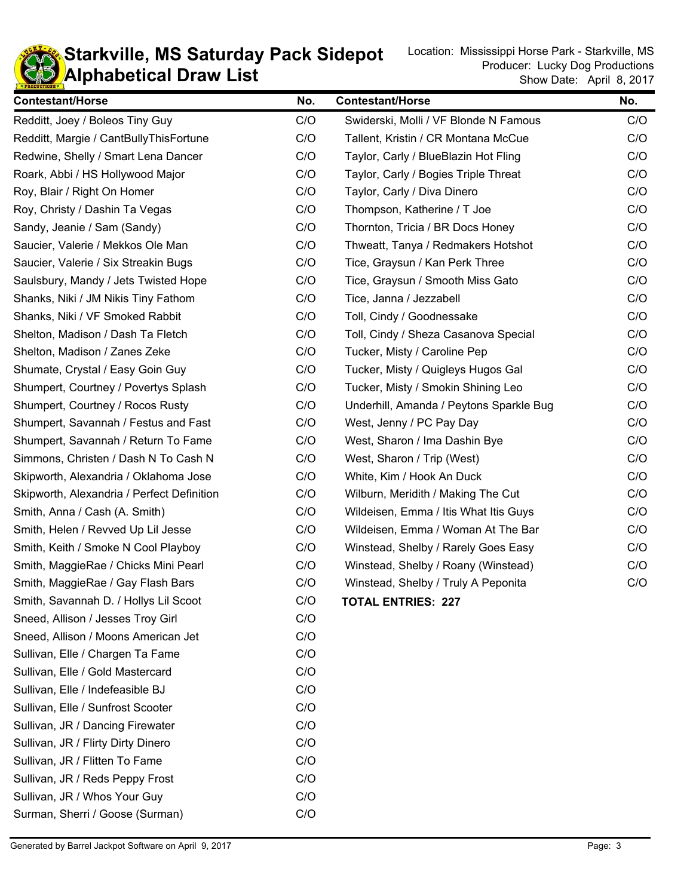

**KD** Alphabetical Draw List **Starkville, MS Saturday Pack Sidepot** Location: Mississippi Horse Park - Starkville, MS

| <b>Contestant/Horse</b>                    | No. | <b>Contestant/Horse</b>                 | No. |
|--------------------------------------------|-----|-----------------------------------------|-----|
| Redditt, Joey / Boleos Tiny Guy            | C/O | Swiderski, Molli / VF Blonde N Famous   | C/O |
| Redditt, Margie / CantBullyThisFortune     | C/O | Tallent, Kristin / CR Montana McCue     | C/O |
| Redwine, Shelly / Smart Lena Dancer        | C/O | Taylor, Carly / BlueBlazin Hot Fling    | C/O |
| Roark, Abbi / HS Hollywood Major           | C/O | Taylor, Carly / Bogies Triple Threat    | C/O |
| Roy, Blair / Right On Homer                | C/O | Taylor, Carly / Diva Dinero             | C/O |
| Roy, Christy / Dashin Ta Vegas             | C/O | Thompson, Katherine / T Joe             | C/O |
| Sandy, Jeanie / Sam (Sandy)                | C/O | Thornton, Tricia / BR Docs Honey        | C/O |
| Saucier, Valerie / Mekkos Ole Man          | C/O | Thweatt, Tanya / Redmakers Hotshot      | C/O |
| Saucier, Valerie / Six Streakin Bugs       | C/O | Tice, Graysun / Kan Perk Three          | C/O |
| Saulsbury, Mandy / Jets Twisted Hope       | C/O | Tice, Graysun / Smooth Miss Gato        | C/O |
| Shanks, Niki / JM Nikis Tiny Fathom        | C/O | Tice, Janna / Jezzabell                 | C/O |
| Shanks, Niki / VF Smoked Rabbit            | C/O | Toll, Cindy / Goodnessake               | C/O |
| Shelton, Madison / Dash Ta Fletch          | C/O | Toll, Cindy / Sheza Casanova Special    | C/O |
| Shelton, Madison / Zanes Zeke              | C/O | Tucker, Misty / Caroline Pep            | C/O |
| Shumate, Crystal / Easy Goin Guy           | C/O | Tucker, Misty / Quigleys Hugos Gal      | C/O |
| Shumpert, Courtney / Povertys Splash       | C/O | Tucker, Misty / Smokin Shining Leo      | C/O |
| Shumpert, Courtney / Rocos Rusty           | C/O | Underhill, Amanda / Peytons Sparkle Bug | C/O |
| Shumpert, Savannah / Festus and Fast       | C/O | West, Jenny / PC Pay Day                | C/O |
| Shumpert, Savannah / Return To Fame        | C/O | West, Sharon / Ima Dashin Bye           | C/O |
| Simmons, Christen / Dash N To Cash N       | C/O | West, Sharon / Trip (West)              | C/O |
| Skipworth, Alexandria / Oklahoma Jose      | C/O | White, Kim / Hook An Duck               | C/O |
| Skipworth, Alexandria / Perfect Definition | C/O | Wilburn, Meridith / Making The Cut      | C/O |
| Smith, Anna / Cash (A. Smith)              | C/O | Wildeisen, Emma / Itis What Itis Guys   | C/O |
| Smith, Helen / Revved Up Lil Jesse         | C/O | Wildeisen, Emma / Woman At The Bar      | C/O |
| Smith, Keith / Smoke N Cool Playboy        | C/O | Winstead, Shelby / Rarely Goes Easy     | C/O |
| Smith, MaggieRae / Chicks Mini Pearl       | C/O | Winstead, Shelby / Roany (Winstead)     | C/O |
| Smith, MaggieRae / Gay Flash Bars          | C/O | Winstead, Shelby / Truly A Peponita     | C/O |
| Smith, Savannah D. / Hollys Lil Scoot      | C/O | <b>TOTAL ENTRIES: 227</b>               |     |
| Sneed, Allison / Jesses Troy Girl          | C/O |                                         |     |
| Sneed, Allison / Moons American Jet        | C/O |                                         |     |
| Sullivan, Elle / Chargen Ta Fame           | C/O |                                         |     |
| Sullivan, Elle / Gold Mastercard           | C/O |                                         |     |
| Sullivan, Elle / Indefeasible BJ           | C/O |                                         |     |
| Sullivan, Elle / Sunfrost Scooter          | C/O |                                         |     |
| Sullivan, JR / Dancing Firewater           | C/O |                                         |     |
| Sullivan, JR / Flirty Dirty Dinero         | C/O |                                         |     |
| Sullivan, JR / Flitten To Fame             | C/O |                                         |     |
| Sullivan, JR / Reds Peppy Frost            | C/O |                                         |     |
| Sullivan, JR / Whos Your Guy               | C/O |                                         |     |
| Surman, Sherri / Goose (Surman)            | C/O |                                         |     |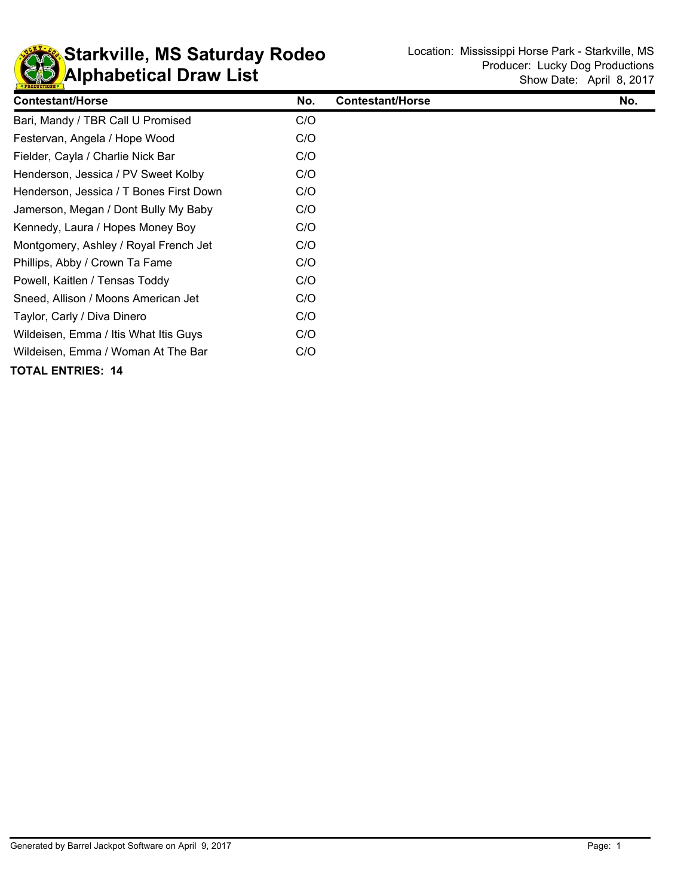

| <b>Contestant/Horse</b>                 | No. | <b>Contestant/Horse</b> | No. |
|-----------------------------------------|-----|-------------------------|-----|
| Bari, Mandy / TBR Call U Promised       | C/O |                         |     |
| Festervan, Angela / Hope Wood           | C/O |                         |     |
| Fielder, Cayla / Charlie Nick Bar       | C/O |                         |     |
| Henderson, Jessica / PV Sweet Kolby     | C/O |                         |     |
| Henderson, Jessica / T Bones First Down | C/O |                         |     |
| Jamerson, Megan / Dont Bully My Baby    | C/O |                         |     |
| Kennedy, Laura / Hopes Money Boy        | C/O |                         |     |
| Montgomery, Ashley / Royal French Jet   | C/O |                         |     |
| Phillips, Abby / Crown Ta Fame          | C/O |                         |     |
| Powell, Kaitlen / Tensas Toddy          | C/O |                         |     |
| Sneed, Allison / Moons American Jet     | C/O |                         |     |
| Taylor, Carly / Diva Dinero             | C/O |                         |     |
| Wildeisen, Emma / Itis What Itis Guys   | C/O |                         |     |
| Wildeisen, Emma / Woman At The Bar      | C/O |                         |     |
| <b>TOTAL ENTRIES: 14</b>                |     |                         |     |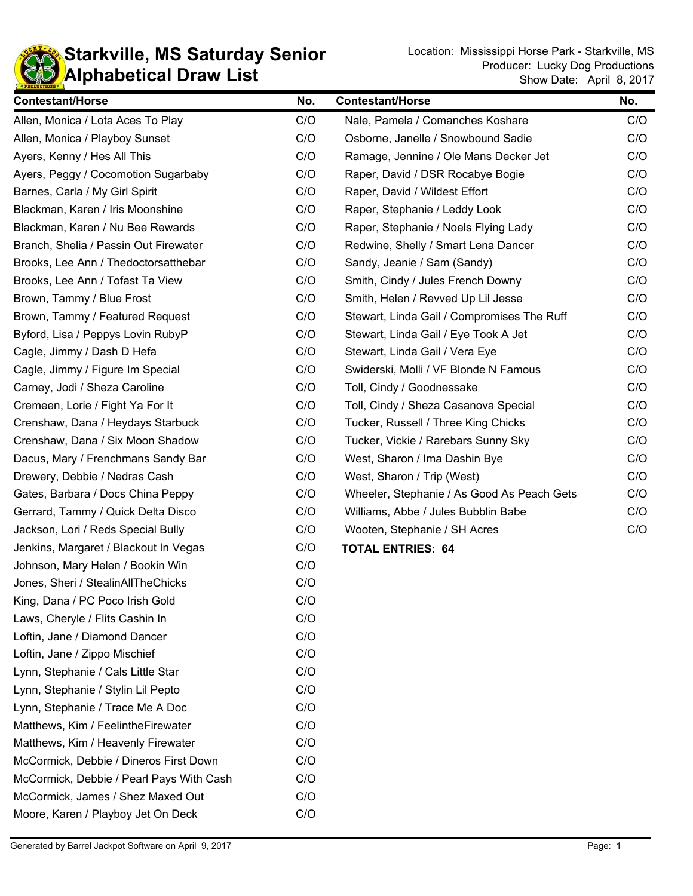

| <b>Contestant/Horse</b>                  | No. | <b>Contestant/Horse</b>                    | No. |
|------------------------------------------|-----|--------------------------------------------|-----|
| Allen, Monica / Lota Aces To Play        | C/O | Nale, Pamela / Comanches Koshare           | C/O |
| Allen, Monica / Playboy Sunset           | C/O | Osborne, Janelle / Snowbound Sadie         | C/O |
| Ayers, Kenny / Hes All This              | C/O | Ramage, Jennine / Ole Mans Decker Jet      | C/O |
| Ayers, Peggy / Cocomotion Sugarbaby      | C/O | Raper, David / DSR Rocabye Bogie           | C/O |
| Barnes, Carla / My Girl Spirit           | C/O | Raper, David / Wildest Effort              | C/O |
| Blackman, Karen / Iris Moonshine         | C/O | Raper, Stephanie / Leddy Look              | C/O |
| Blackman, Karen / Nu Bee Rewards         | C/O | Raper, Stephanie / Noels Flying Lady       | C/O |
| Branch, Shelia / Passin Out Firewater    | C/O | Redwine, Shelly / Smart Lena Dancer        | C/O |
| Brooks, Lee Ann / Thedoctorsatthebar     | C/O | Sandy, Jeanie / Sam (Sandy)                | C/O |
| Brooks, Lee Ann / Tofast Ta View         | C/O | Smith, Cindy / Jules French Downy          | C/O |
| Brown, Tammy / Blue Frost                | C/O | Smith, Helen / Revved Up Lil Jesse         | C/O |
| Brown, Tammy / Featured Request          | C/O | Stewart, Linda Gail / Compromises The Ruff | C/O |
| Byford, Lisa / Peppys Lovin RubyP        | C/O | Stewart, Linda Gail / Eye Took A Jet       | C/O |
| Cagle, Jimmy / Dash D Hefa               | C/O | Stewart, Linda Gail / Vera Eye             | C/O |
| Cagle, Jimmy / Figure Im Special         | C/O | Swiderski, Molli / VF Blonde N Famous      | C/O |
| Carney, Jodi / Sheza Caroline            | C/O | Toll, Cindy / Goodnessake                  | C/O |
| Cremeen, Lorie / Fight Ya For It         | C/O | Toll, Cindy / Sheza Casanova Special       | C/O |
| Crenshaw, Dana / Heydays Starbuck        | C/O | Tucker, Russell / Three King Chicks        | C/O |
| Crenshaw, Dana / Six Moon Shadow         | C/O | Tucker, Vickie / Rarebars Sunny Sky        | C/O |
| Dacus, Mary / Frenchmans Sandy Bar       | C/O | West, Sharon / Ima Dashin Bye              | C/O |
| Drewery, Debbie / Nedras Cash            | C/O | West, Sharon / Trip (West)                 | C/O |
| Gates, Barbara / Docs China Peppy        | C/O | Wheeler, Stephanie / As Good As Peach Gets | C/O |
| Gerrard, Tammy / Quick Delta Disco       | C/O | Williams, Abbe / Jules Bubblin Babe        | C/O |
| Jackson, Lori / Reds Special Bully       | C/O | Wooten, Stephanie / SH Acres               | C/O |
| Jenkins, Margaret / Blackout In Vegas    | C/O | <b>TOTAL ENTRIES: 64</b>                   |     |
| Johnson, Mary Helen / Bookin Win         | C/O |                                            |     |
| Jones, Sheri / StealinAllTheChicks       | C/O |                                            |     |
| King, Dana / PC Poco Irish Gold          | C/O |                                            |     |
| Laws, Cheryle / Flits Cashin In          | C/O |                                            |     |
| Loftin, Jane / Diamond Dancer            | C/O |                                            |     |
| Loftin, Jane / Zippo Mischief            | C/O |                                            |     |
| Lynn, Stephanie / Cals Little Star       | C/O |                                            |     |
| Lynn, Stephanie / Stylin Lil Pepto       | C/O |                                            |     |
| Lynn, Stephanie / Trace Me A Doc         | C/O |                                            |     |
| Matthews, Kim / FeelintheFirewater       | C/O |                                            |     |
| Matthews, Kim / Heavenly Firewater       | C/O |                                            |     |
| McCormick, Debbie / Dineros First Down   | C/O |                                            |     |
| McCormick, Debbie / Pearl Pays With Cash | C/O |                                            |     |
| McCormick, James / Shez Maxed Out        | C/O |                                            |     |
| Moore, Karen / Playboy Jet On Deck       | C/O |                                            |     |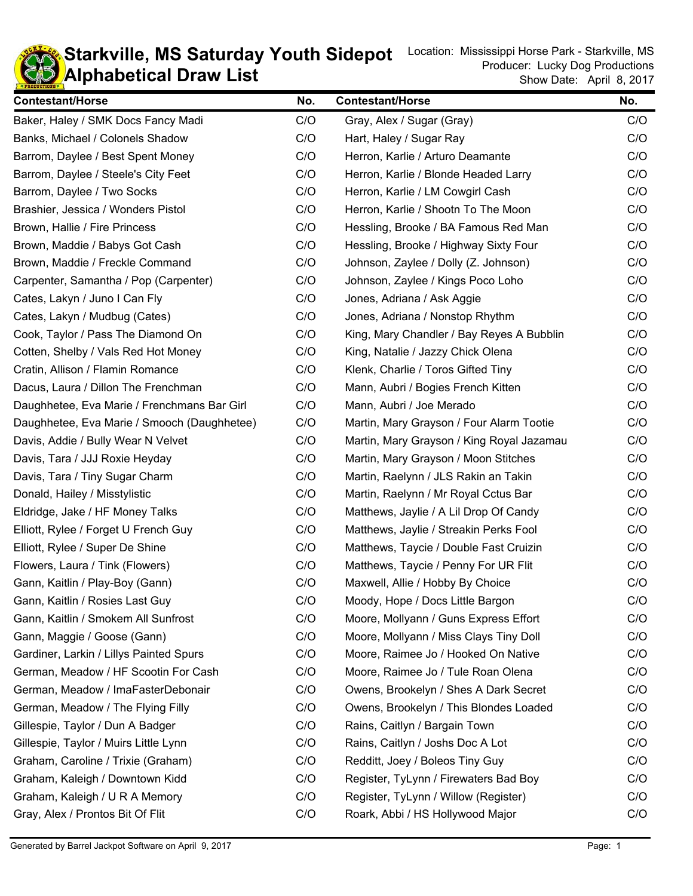

## **KD** Alphabetical Draw List **Starkville, MS Saturday Youth Sidepot** Location: Mississippi Horse Park - Starkville, MS Saturday Youth Sidepot

| <b>Contestant/Horse</b>                     | No. | <b>Contestant/Horse</b>                   | No. |
|---------------------------------------------|-----|-------------------------------------------|-----|
| Baker, Haley / SMK Docs Fancy Madi          | C/O | Gray, Alex / Sugar (Gray)                 | C/O |
| Banks, Michael / Colonels Shadow            | C/O | Hart, Haley / Sugar Ray                   | C/O |
| Barrom, Daylee / Best Spent Money           | C/O | Herron, Karlie / Arturo Deamante          | C/O |
| Barrom, Daylee / Steele's City Feet         | C/O | Herron, Karlie / Blonde Headed Larry      | C/O |
| Barrom, Daylee / Two Socks                  | C/O | Herron, Karlie / LM Cowgirl Cash          | C/O |
| Brashier, Jessica / Wonders Pistol          | C/O | Herron, Karlie / Shootn To The Moon       | C/O |
| Brown, Hallie / Fire Princess               | C/O | Hessling, Brooke / BA Famous Red Man      | C/O |
| Brown, Maddie / Babys Got Cash              | C/O | Hessling, Brooke / Highway Sixty Four     | C/O |
| Brown, Maddie / Freckle Command             | C/O | Johnson, Zaylee / Dolly (Z. Johnson)      | C/O |
| Carpenter, Samantha / Pop (Carpenter)       | C/O | Johnson, Zaylee / Kings Poco Loho         | C/O |
| Cates, Lakyn / Juno I Can Fly               | C/O | Jones, Adriana / Ask Aggie                | C/O |
| Cates, Lakyn / Mudbug (Cates)               | C/O | Jones, Adriana / Nonstop Rhythm           | C/O |
| Cook, Taylor / Pass The Diamond On          | C/O | King, Mary Chandler / Bay Reyes A Bubblin | C/O |
| Cotten, Shelby / Vals Red Hot Money         | C/O | King, Natalie / Jazzy Chick Olena         | C/O |
| Cratin, Allison / Flamin Romance            | C/O | Klenk, Charlie / Toros Gifted Tiny        | C/O |
| Dacus, Laura / Dillon The Frenchman         | C/O | Mann, Aubri / Bogies French Kitten        | C/O |
| Daughhetee, Eva Marie / Frenchmans Bar Girl | C/O | Mann, Aubri / Joe Merado                  | C/O |
| Daughhetee, Eva Marie / Smooch (Daughhetee) | C/O | Martin, Mary Grayson / Four Alarm Tootie  | C/O |
| Davis, Addie / Bully Wear N Velvet          | C/O | Martin, Mary Grayson / King Royal Jazamau | C/O |
| Davis, Tara / JJJ Roxie Heyday              | C/O | Martin, Mary Grayson / Moon Stitches      | C/O |
| Davis, Tara / Tiny Sugar Charm              | C/O | Martin, Raelynn / JLS Rakin an Takin      | C/O |
| Donald, Hailey / Misstylistic               | C/O | Martin, Raelynn / Mr Royal Cctus Bar      | C/O |
| Eldridge, Jake / HF Money Talks             | C/O | Matthews, Jaylie / A Lil Drop Of Candy    | C/O |
| Elliott, Rylee / Forget U French Guy        | C/O | Matthews, Jaylie / Streakin Perks Fool    | C/O |
| Elliott, Rylee / Super De Shine             | C/O | Matthews, Taycie / Double Fast Cruizin    | C/O |
| Flowers, Laura / Tink (Flowers)             | C/O | Matthews, Taycie / Penny For UR Flit      | C/O |
| Gann, Kaitlin / Play-Boy (Gann)             | C/O | Maxwell, Allie / Hobby By Choice          | C/O |
| Gann, Kaitlin / Rosies Last Guy             | C/O | Moody, Hope / Docs Little Bargon          | C/O |
| Gann, Kaitlin / Smokem All Sunfrost         | C/O | Moore, Mollyann / Guns Express Effort     | C/O |
| Gann, Maggie / Goose (Gann)                 | C/O | Moore, Mollyann / Miss Clays Tiny Doll    | C/O |
| Gardiner, Larkin / Lillys Painted Spurs     | C/O | Moore, Raimee Jo / Hooked On Native       | C/O |
| German, Meadow / HF Scootin For Cash        | C/O | Moore, Raimee Jo / Tule Roan Olena        | C/O |
| German, Meadow / ImaFasterDebonair          | C/O | Owens, Brookelyn / Shes A Dark Secret     | C/O |
| German, Meadow / The Flying Filly           | C/O | Owens, Brookelyn / This Blondes Loaded    | C/O |
| Gillespie, Taylor / Dun A Badger            | C/O | Rains, Caitlyn / Bargain Town             | C/O |
| Gillespie, Taylor / Muirs Little Lynn       | C/O | Rains, Caitlyn / Joshs Doc A Lot          | C/O |
| Graham, Caroline / Trixie (Graham)          | C/O | Redditt, Joey / Boleos Tiny Guy           | C/O |
| Graham, Kaleigh / Downtown Kidd             | C/O | Register, TyLynn / Firewaters Bad Boy     | C/O |
| Graham, Kaleigh / U R A Memory              | C/O | Register, TyLynn / Willow (Register)      | C/O |
| Gray, Alex / Prontos Bit Of Flit            | C/O | Roark, Abbi / HS Hollywood Major          | C/O |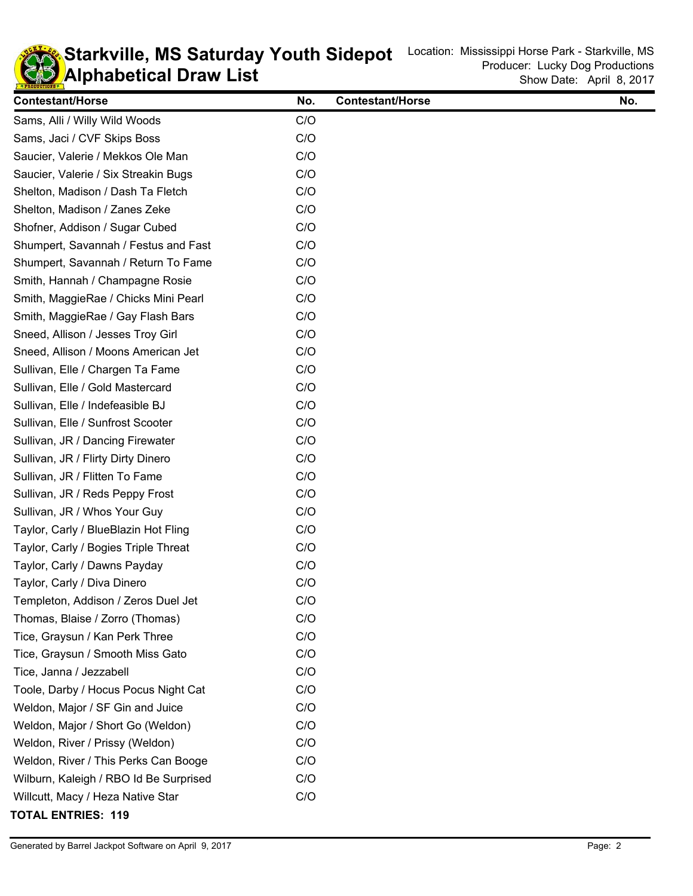

## **KD** Alphabetical Draw List **Starkville, MS Saturday Youth Sidepot** Location: Mississippi Horse Park - Starkville, MS Saturday Youth Sidepot

L,

| <b>Contestant/Horse</b>                | No. | <b>Contestant/Horse</b> | No. |
|----------------------------------------|-----|-------------------------|-----|
| Sams, Alli / Willy Wild Woods          | C/O |                         |     |
| Sams, Jaci / CVF Skips Boss            | C/O |                         |     |
| Saucier, Valerie / Mekkos Ole Man      | C/O |                         |     |
| Saucier, Valerie / Six Streakin Bugs   | C/O |                         |     |
| Shelton, Madison / Dash Ta Fletch      | C/O |                         |     |
| Shelton, Madison / Zanes Zeke          | C/O |                         |     |
| Shofner, Addison / Sugar Cubed         | C/O |                         |     |
| Shumpert, Savannah / Festus and Fast   | C/O |                         |     |
| Shumpert, Savannah / Return To Fame    | C/O |                         |     |
| Smith, Hannah / Champagne Rosie        | C/O |                         |     |
| Smith, MaggieRae / Chicks Mini Pearl   | C/O |                         |     |
| Smith, MaggieRae / Gay Flash Bars      | C/O |                         |     |
| Sneed, Allison / Jesses Troy Girl      | C/O |                         |     |
| Sneed, Allison / Moons American Jet    | C/O |                         |     |
| Sullivan, Elle / Chargen Ta Fame       | C/O |                         |     |
| Sullivan, Elle / Gold Mastercard       | C/O |                         |     |
| Sullivan, Elle / Indefeasible BJ       | C/O |                         |     |
| Sullivan, Elle / Sunfrost Scooter      | C/O |                         |     |
| Sullivan, JR / Dancing Firewater       | C/O |                         |     |
| Sullivan, JR / Flirty Dirty Dinero     | C/O |                         |     |
| Sullivan, JR / Flitten To Fame         | C/O |                         |     |
| Sullivan, JR / Reds Peppy Frost        | C/O |                         |     |
| Sullivan, JR / Whos Your Guy           | C/O |                         |     |
| Taylor, Carly / BlueBlazin Hot Fling   | C/O |                         |     |
| Taylor, Carly / Bogies Triple Threat   | C/O |                         |     |
| Taylor, Carly / Dawns Payday           | C/O |                         |     |
| Taylor, Carly / Diva Dinero            | C/O |                         |     |
| Templeton, Addison / Zeros Duel Jet    | C/O |                         |     |
| Thomas, Blaise / Zorro (Thomas)        | C/O |                         |     |
| Tice, Graysun / Kan Perk Three         | C/O |                         |     |
| Tice, Graysun / Smooth Miss Gato       | C/O |                         |     |
| Tice, Janna / Jezzabell                | C/O |                         |     |
| Toole, Darby / Hocus Pocus Night Cat   | C/O |                         |     |
| Weldon, Major / SF Gin and Juice       | C/O |                         |     |
| Weldon, Major / Short Go (Weldon)      | C/O |                         |     |
| Weldon, River / Prissy (Weldon)        | C/O |                         |     |
| Weldon, River / This Perks Can Booge   | C/O |                         |     |
| Wilburn, Kaleigh / RBO Id Be Surprised | C/O |                         |     |
| Willcutt, Macy / Heza Native Star      | C/O |                         |     |
|                                        |     |                         |     |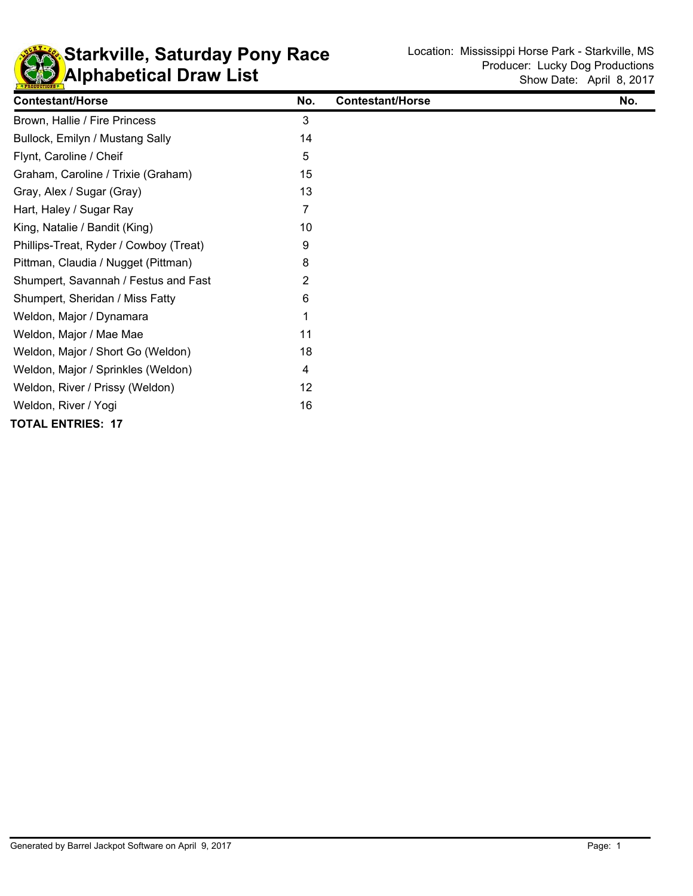

## **KD** Alphabetical Draw List **Starkville, Saturday Pony Race** Location: Mississippi Horse Park - Starkville, MS

| <b>Contestant/Horse</b>                | No. | <b>Contestant/Horse</b> | No. |
|----------------------------------------|-----|-------------------------|-----|
| Brown, Hallie / Fire Princess          | 3   |                         |     |
| Bullock, Emilyn / Mustang Sally        | 14  |                         |     |
| Flynt, Caroline / Cheif                | 5   |                         |     |
| Graham, Caroline / Trixie (Graham)     | 15  |                         |     |
| Gray, Alex / Sugar (Gray)              | 13  |                         |     |
| Hart, Haley / Sugar Ray                | 7   |                         |     |
| King, Natalie / Bandit (King)          | 10  |                         |     |
| Phillips-Treat, Ryder / Cowboy (Treat) | 9   |                         |     |
| Pittman, Claudia / Nugget (Pittman)    | 8   |                         |     |
| Shumpert, Savannah / Festus and Fast   | 2   |                         |     |
| Shumpert, Sheridan / Miss Fatty        | 6   |                         |     |
| Weldon, Major / Dynamara               |     |                         |     |
| Weldon, Major / Mae Mae                | 11  |                         |     |
| Weldon, Major / Short Go (Weldon)      | 18  |                         |     |
| Weldon, Major / Sprinkles (Weldon)     | 4   |                         |     |
| Weldon, River / Prissy (Weldon)        | 12  |                         |     |
| Weldon, River / Yogi                   | 16  |                         |     |
| <b>TOTAL ENTRIES: 17</b>               |     |                         |     |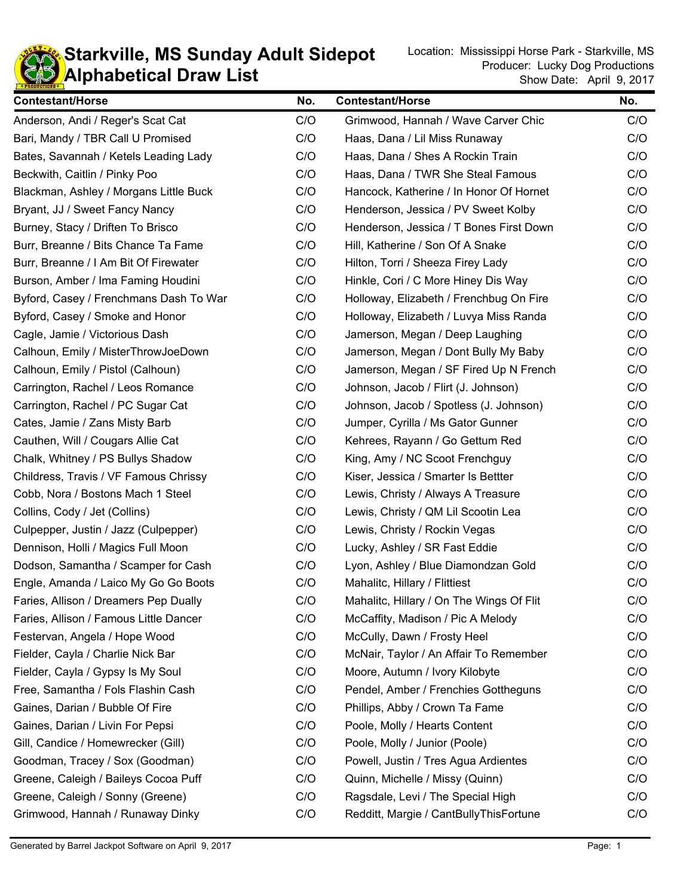

#### **KD** Alphabetical Draw List **Starkville, MS Sunday Adult Sidepot** Location: Mississippi Horse Park - Starkville, MS Sunday Adult Sidepot

| <b>Contestant/Horse</b>                | No. | <b>Contestant/Horse</b>                  | No. |
|----------------------------------------|-----|------------------------------------------|-----|
| Anderson, Andi / Reger's Scat Cat      | C/O | Grimwood, Hannah / Wave Carver Chic      | C/O |
| Bari, Mandy / TBR Call U Promised      | C/O | Haas, Dana / Lil Miss Runaway            | C/O |
| Bates, Savannah / Ketels Leading Lady  | C/O | Haas, Dana / Shes A Rockin Train         | C/O |
| Beckwith, Caitlin / Pinky Poo          | C/O | Haas, Dana / TWR She Steal Famous        | C/O |
| Blackman, Ashley / Morgans Little Buck | C/O | Hancock, Katherine / In Honor Of Hornet  | C/O |
| Bryant, JJ / Sweet Fancy Nancy         | C/O | Henderson, Jessica / PV Sweet Kolby      | C/O |
| Burney, Stacy / Driften To Brisco      | C/O | Henderson, Jessica / T Bones First Down  | C/O |
| Burr, Breanne / Bits Chance Ta Fame    | C/O | Hill, Katherine / Son Of A Snake         | C/O |
| Burr, Breanne / I Am Bit Of Firewater  | C/O | Hilton, Torri / Sheeza Firey Lady        | C/O |
| Burson, Amber / Ima Faming Houdini     | C/O | Hinkle, Cori / C More Hiney Dis Way      | C/O |
| Byford, Casey / Frenchmans Dash To War | C/O | Holloway, Elizabeth / Frenchbug On Fire  | C/O |
| Byford, Casey / Smoke and Honor        | C/O | Holloway, Elizabeth / Luvya Miss Randa   | C/O |
| Cagle, Jamie / Victorious Dash         | C/O | Jamerson, Megan / Deep Laughing          | C/O |
| Calhoun, Emily / MisterThrowJoeDown    | C/O | Jamerson, Megan / Dont Bully My Baby     | C/O |
| Calhoun, Emily / Pistol (Calhoun)      | C/O | Jamerson, Megan / SF Fired Up N French   | C/O |
| Carrington, Rachel / Leos Romance      | C/O | Johnson, Jacob / Flirt (J. Johnson)      | C/O |
| Carrington, Rachel / PC Sugar Cat      | C/O | Johnson, Jacob / Spotless (J. Johnson)   | C/O |
| Cates, Jamie / Zans Misty Barb         | C/O | Jumper, Cyrilla / Ms Gator Gunner        | C/O |
| Cauthen, Will / Cougars Allie Cat      | C/O | Kehrees, Rayann / Go Gettum Red          | C/O |
| Chalk, Whitney / PS Bullys Shadow      | C/O | King, Amy / NC Scoot Frenchguy           | C/O |
| Childress, Travis / VF Famous Chrissy  | C/O | Kiser, Jessica / Smarter Is Bettter      | C/O |
| Cobb, Nora / Bostons Mach 1 Steel      | C/O | Lewis, Christy / Always A Treasure       | C/O |
| Collins, Cody / Jet (Collins)          | C/O | Lewis, Christy / QM Lil Scootin Lea      | C/O |
| Culpepper, Justin / Jazz (Culpepper)   | C/O | Lewis, Christy / Rockin Vegas            | C/O |
| Dennison, Holli / Magics Full Moon     | C/O | Lucky, Ashley / SR Fast Eddie            | C/O |
| Dodson, Samantha / Scamper for Cash    | C/O | Lyon, Ashley / Blue Diamondzan Gold      | C/O |
| Engle, Amanda / Laico My Go Go Boots   | C/O | Mahalitc, Hillary / Flittiest            | C/O |
| Faries, Allison / Dreamers Pep Dually  | C/O | Mahalitc, Hillary / On The Wings Of Flit | C/O |
| Faries, Allison / Famous Little Dancer | C/O | McCaffity, Madison / Pic A Melody        | C/O |
| Festervan, Angela / Hope Wood          | C/O | McCully, Dawn / Frosty Heel              | C/O |
| Fielder, Cayla / Charlie Nick Bar      | C/O | McNair, Taylor / An Affair To Remember   | C/O |
| Fielder, Cayla / Gypsy Is My Soul      | C/O | Moore, Autumn / Ivory Kilobyte           | C/O |
| Free, Samantha / Fols Flashin Cash     | C/O | Pendel, Amber / Frenchies Gottheguns     | C/O |
| Gaines, Darian / Bubble Of Fire        | C/O | Phillips, Abby / Crown Ta Fame           | C/O |
| Gaines, Darian / Livin For Pepsi       | C/O | Poole, Molly / Hearts Content            | C/O |
| Gill, Candice / Homewrecker (Gill)     | C/O | Poole, Molly / Junior (Poole)            | C/O |
| Goodman, Tracey / Sox (Goodman)        | C/O | Powell, Justin / Tres Agua Ardientes     | C/O |
| Greene, Caleigh / Baileys Cocoa Puff   | C/O | Quinn, Michelle / Missy (Quinn)          | C/O |
| Greene, Caleigh / Sonny (Greene)       | C/O | Ragsdale, Levi / The Special High        | C/O |
| Grimwood, Hannah / Runaway Dinky       | C/O | Redditt, Margie / CantBullyThisFortune   | C/O |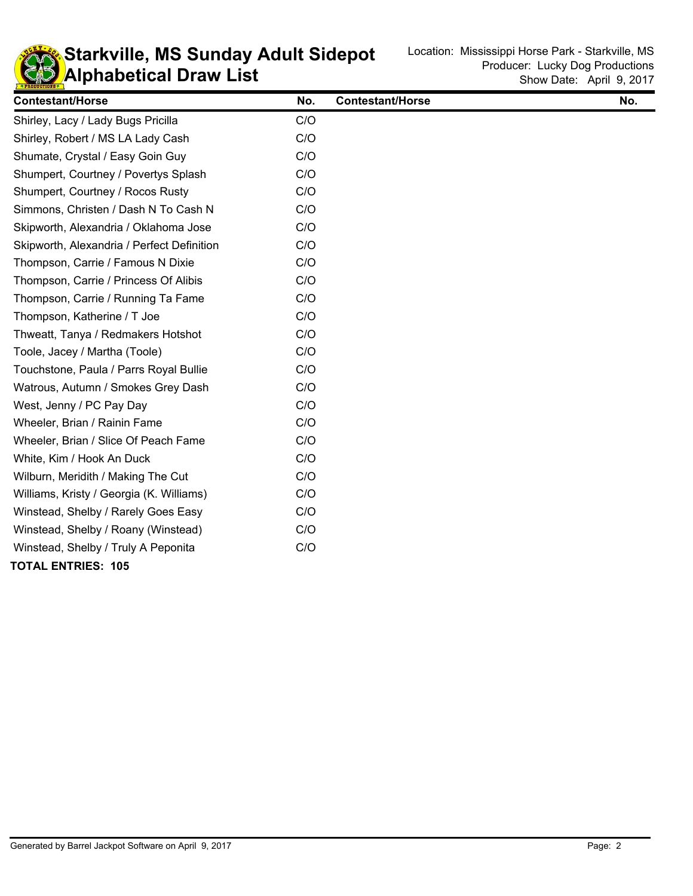

#### **KD** Alphabetical Draw List **Starkville, MS Sunday Adult Sidepot** Location: Mississippi Horse Park - Starkville, MS Sunday Adult Sidepot

| <b>Contestant/Horse</b>                    | No. | <b>Contestant/Horse</b> | No. |
|--------------------------------------------|-----|-------------------------|-----|
| Shirley, Lacy / Lady Bugs Pricilla         | C/O |                         |     |
| Shirley, Robert / MS LA Lady Cash          | C/O |                         |     |
| Shumate, Crystal / Easy Goin Guy           | C/O |                         |     |
| Shumpert, Courtney / Povertys Splash       | C/O |                         |     |
| Shumpert, Courtney / Rocos Rusty           | C/O |                         |     |
| Simmons, Christen / Dash N To Cash N       | C/O |                         |     |
| Skipworth, Alexandria / Oklahoma Jose      | C/O |                         |     |
| Skipworth, Alexandria / Perfect Definition | C/O |                         |     |
| Thompson, Carrie / Famous N Dixie          | C/O |                         |     |
| Thompson, Carrie / Princess Of Alibis      | C/O |                         |     |
| Thompson, Carrie / Running Ta Fame         | C/O |                         |     |
| Thompson, Katherine / T Joe                | C/O |                         |     |
| Thweatt, Tanya / Redmakers Hotshot         | C/O |                         |     |
| Toole, Jacey / Martha (Toole)              | C/O |                         |     |
| Touchstone, Paula / Parrs Royal Bullie     | C/O |                         |     |
| Watrous, Autumn / Smokes Grey Dash         | C/O |                         |     |
| West, Jenny / PC Pay Day                   | C/O |                         |     |
| Wheeler, Brian / Rainin Fame               | C/O |                         |     |
| Wheeler, Brian / Slice Of Peach Fame       | C/O |                         |     |
| White, Kim / Hook An Duck                  | C/O |                         |     |
| Wilburn, Meridith / Making The Cut         | C/O |                         |     |
| Williams, Kristy / Georgia (K. Williams)   | C/O |                         |     |
| Winstead, Shelby / Rarely Goes Easy        | C/O |                         |     |
| Winstead, Shelby / Roany (Winstead)        | C/O |                         |     |
| Winstead, Shelby / Truly A Peponita        | C/O |                         |     |
| <b>TOTAL ENTRIES: 105</b>                  |     |                         |     |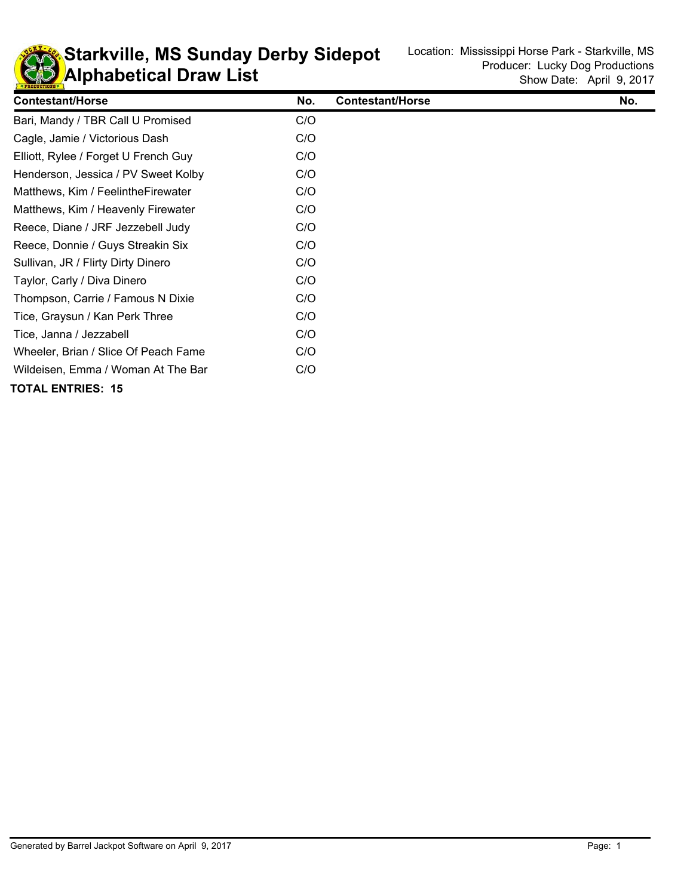

**KD** Alphabetical Draw List **Starkville, MS Sunday Derby Sidepot** Location: Mississippi Horse Park - Starkville, MS Sunday Derby Sidepot

| <b>Contestant/Horse</b>              | No. | <b>Contestant/Horse</b> | No. |
|--------------------------------------|-----|-------------------------|-----|
| Bari, Mandy / TBR Call U Promised    | C/O |                         |     |
| Cagle, Jamie / Victorious Dash       | C/O |                         |     |
| Elliott, Rylee / Forget U French Guy | C/O |                         |     |
| Henderson, Jessica / PV Sweet Kolby  | C/O |                         |     |
| Matthews, Kim / Feelinthe Firewater  | C/O |                         |     |
| Matthews, Kim / Heavenly Firewater   | C/O |                         |     |
| Reece, Diane / JRF Jezzebell Judy    | C/O |                         |     |
| Reece, Donnie / Guys Streakin Six    | C/O |                         |     |
| Sullivan, JR / Flirty Dirty Dinero   | C/O |                         |     |
| Taylor, Carly / Diva Dinero          | C/O |                         |     |
| Thompson, Carrie / Famous N Dixie    | C/O |                         |     |
| Tice, Graysun / Kan Perk Three       | C/O |                         |     |
| Tice, Janna / Jezzabell              | C/O |                         |     |
| Wheeler, Brian / Slice Of Peach Fame | C/O |                         |     |
| Wildeisen, Emma / Woman At The Bar   | C/O |                         |     |
| <b>TOTAL ENTRIES: 15</b>             |     |                         |     |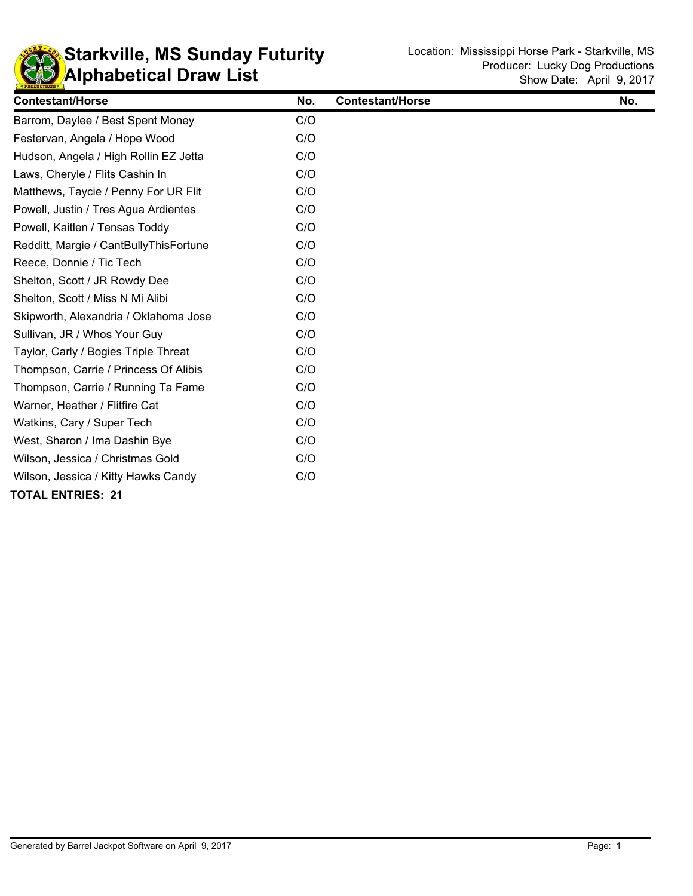

## **KD** Alphabetical Draw List **Starkville, MS Sunday Futurity** Location: Mississippi Horse Park - Starkville, MS **Sunday Futurity**

| <b>Contestant/Horse</b>                | No. | <b>Contestant/Horse</b> | No. |
|----------------------------------------|-----|-------------------------|-----|
| Barrom, Daylee / Best Spent Money      | C/O |                         |     |
| Festervan, Angela / Hope Wood          | C/O |                         |     |
| Hudson, Angela / High Rollin EZ Jetta  | C/O |                         |     |
| Laws, Cheryle / Flits Cashin In        | C/O |                         |     |
| Matthews, Taycie / Penny For UR Flit   | C/O |                         |     |
| Powell, Justin / Tres Agua Ardientes   | C/O |                         |     |
| Powell, Kaitlen / Tensas Toddy         | C/O |                         |     |
| Redditt, Margie / CantBullyThisFortune | C/O |                         |     |
| Reece, Donnie / Tic Tech               | C/O |                         |     |
| Shelton, Scott / JR Rowdy Dee          | C/O |                         |     |
| Shelton, Scott / Miss N Mi Alibi       | C/O |                         |     |
| Skipworth, Alexandria / Oklahoma Jose  | C/O |                         |     |
| Sullivan, JR / Whos Your Guy           | C/O |                         |     |
| Taylor, Carly / Bogies Triple Threat   | C/O |                         |     |
| Thompson, Carrie / Princess Of Alibis  | C/O |                         |     |
| Thompson, Carrie / Running Ta Fame     | C/O |                         |     |
| Warner, Heather / Flitfire Cat         | C/O |                         |     |
| Watkins, Cary / Super Tech             | C/O |                         |     |
| West, Sharon / Ima Dashin Bye          | C/O |                         |     |
| Wilson, Jessica / Christmas Gold       | C/O |                         |     |
| Wilson, Jessica / Kitty Hawks Candy    | C/O |                         |     |
| <b>TOTAL ENTRIES: 21</b>               |     |                         |     |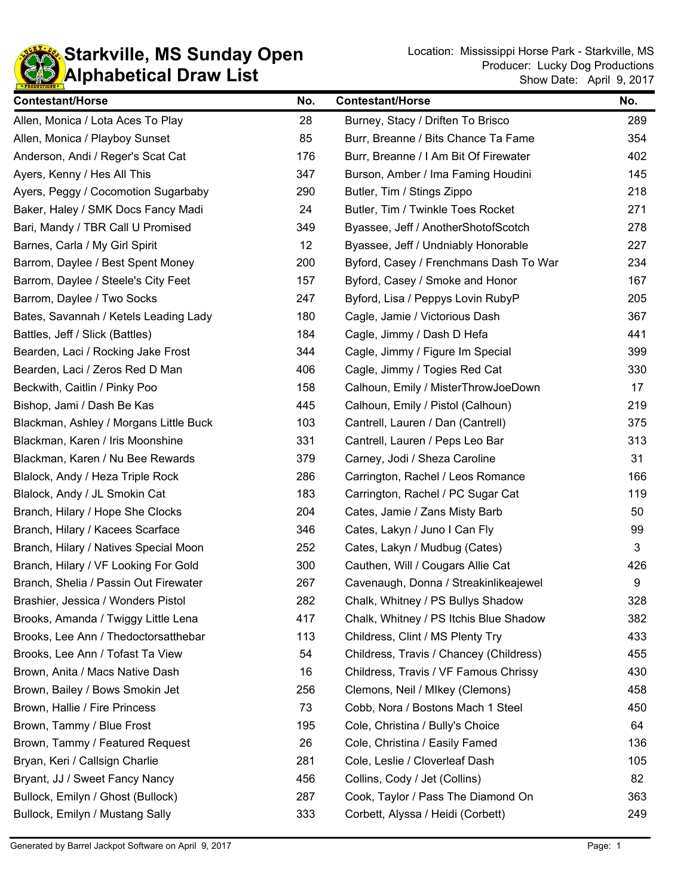

**Starkville, MS Sunday Open** Location: Mississippi Horse Park - Starkville, MS Cunday Open Show Date: April 9, 2017 Producer: Lucky Dog Productions

| <b>Contestant/Horse</b>                | No. | <b>Contestant/Horse</b>                 | No. |
|----------------------------------------|-----|-----------------------------------------|-----|
| Allen, Monica / Lota Aces To Play      | 28  | Burney, Stacy / Driften To Brisco       | 289 |
| Allen, Monica / Playboy Sunset         | 85  | Burr, Breanne / Bits Chance Ta Fame     | 354 |
| Anderson, Andi / Reger's Scat Cat      | 176 | Burr, Breanne / I Am Bit Of Firewater   | 402 |
| Ayers, Kenny / Hes All This            | 347 | Burson, Amber / Ima Faming Houdini      | 145 |
| Ayers, Peggy / Cocomotion Sugarbaby    | 290 | Butler, Tim / Stings Zippo              | 218 |
| Baker, Haley / SMK Docs Fancy Madi     | 24  | Butler, Tim / Twinkle Toes Rocket       | 271 |
| Bari, Mandy / TBR Call U Promised      | 349 | Byassee, Jeff / AnotherShotofScotch     | 278 |
| Barnes, Carla / My Girl Spirit         | 12  | Byassee, Jeff / Undniably Honorable     | 227 |
| Barrom, Daylee / Best Spent Money      | 200 | Byford, Casey / Frenchmans Dash To War  | 234 |
| Barrom, Daylee / Steele's City Feet    | 157 | Byford, Casey / Smoke and Honor         | 167 |
| Barrom, Daylee / Two Socks             | 247 | Byford, Lisa / Peppys Lovin RubyP       | 205 |
| Bates, Savannah / Ketels Leading Lady  | 180 | Cagle, Jamie / Victorious Dash          | 367 |
| Battles, Jeff / Slick (Battles)        | 184 | Cagle, Jimmy / Dash D Hefa              | 441 |
| Bearden, Laci / Rocking Jake Frost     | 344 | Cagle, Jimmy / Figure Im Special        | 399 |
| Bearden, Laci / Zeros Red D Man        | 406 | Cagle, Jimmy / Togies Red Cat           | 330 |
| Beckwith, Caitlin / Pinky Poo          | 158 | Calhoun, Emily / MisterThrowJoeDown     | 17  |
| Bishop, Jami / Dash Be Kas             | 445 | Calhoun, Emily / Pistol (Calhoun)       | 219 |
| Blackman, Ashley / Morgans Little Buck | 103 | Cantrell, Lauren / Dan (Cantrell)       | 375 |
| Blackman, Karen / Iris Moonshine       | 331 | Cantrell, Lauren / Peps Leo Bar         | 313 |
| Blackman, Karen / Nu Bee Rewards       | 379 | Carney, Jodi / Sheza Caroline           | 31  |
| Blalock, Andy / Heza Triple Rock       | 286 | Carrington, Rachel / Leos Romance       | 166 |
| Blalock, Andy / JL Smokin Cat          | 183 | Carrington, Rachel / PC Sugar Cat       | 119 |
| Branch, Hilary / Hope She Clocks       | 204 | Cates, Jamie / Zans Misty Barb          | 50  |
| Branch, Hilary / Kacees Scarface       | 346 | Cates, Lakyn / Juno I Can Fly           | 99  |
| Branch, Hilary / Natives Special Moon  | 252 | Cates, Lakyn / Mudbug (Cates)           | 3   |
| Branch, Hilary / VF Looking For Gold   | 300 | Cauthen, Will / Cougars Allie Cat       | 426 |
| Branch, Shelia / Passin Out Firewater  | 267 | Cavenaugh, Donna / Streakinlikeajewel   | 9   |
| Brashier, Jessica / Wonders Pistol     | 282 | Chalk, Whitney / PS Bullys Shadow       | 328 |
| Brooks, Amanda / Twiggy Little Lena    | 417 | Chalk, Whitney / PS Itchis Blue Shadow  | 382 |
| Brooks, Lee Ann / Thedoctorsatthebar   | 113 | Childress, Clint / MS Plenty Try        | 433 |
| Brooks, Lee Ann / Tofast Ta View       | 54  | Childress, Travis / Chancey (Childress) | 455 |
| Brown, Anita / Macs Native Dash        | 16  | Childress, Travis / VF Famous Chrissy   | 430 |
| Brown, Bailey / Bows Smokin Jet        | 256 | Clemons, Neil / Mlkey (Clemons)         | 458 |
| Brown, Hallie / Fire Princess          | 73  | Cobb, Nora / Bostons Mach 1 Steel       | 450 |
| Brown, Tammy / Blue Frost              | 195 | Cole, Christina / Bully's Choice        | 64  |
| Brown, Tammy / Featured Request        | 26  | Cole, Christina / Easily Famed          | 136 |
| Bryan, Keri / Callsign Charlie         | 281 | Cole, Leslie / Cloverleaf Dash          | 105 |
| Bryant, JJ / Sweet Fancy Nancy         | 456 | Collins, Cody / Jet (Collins)           | 82  |
| Bullock, Emilyn / Ghost (Bullock)      | 287 | Cook, Taylor / Pass The Diamond On      | 363 |
| Bullock, Emilyn / Mustang Sally        | 333 | Corbett, Alyssa / Heidi (Corbett)       | 249 |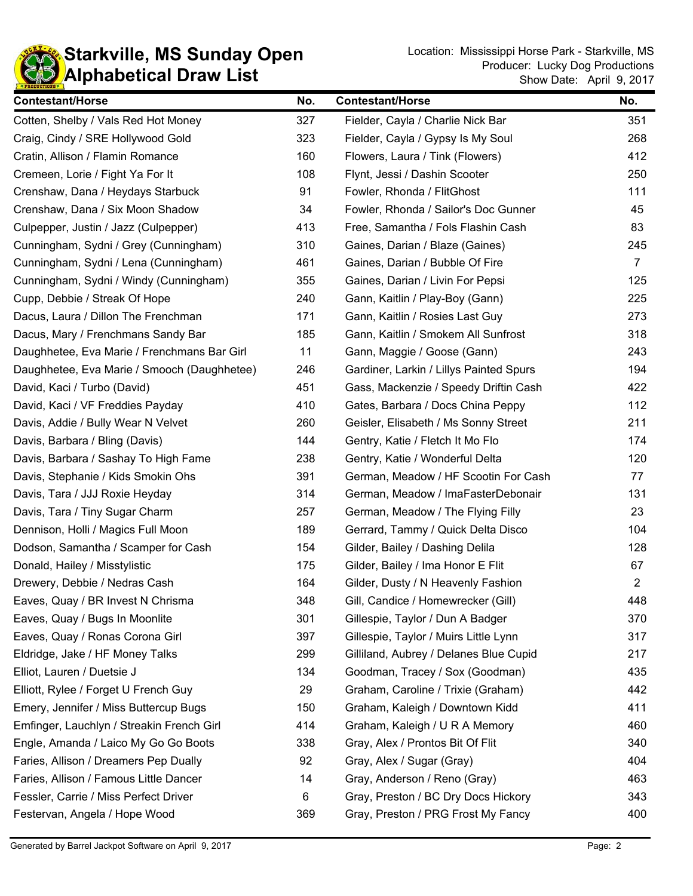

| <b>Contestant/Horse</b>                     | No. | <b>Contestant/Horse</b>                 | No.            |
|---------------------------------------------|-----|-----------------------------------------|----------------|
| Cotten, Shelby / Vals Red Hot Money         | 327 | Fielder, Cayla / Charlie Nick Bar       | 351            |
| Craig, Cindy / SRE Hollywood Gold           | 323 | Fielder, Cayla / Gypsy Is My Soul       | 268            |
| Cratin, Allison / Flamin Romance            | 160 | Flowers, Laura / Tink (Flowers)         | 412            |
| Cremeen, Lorie / Fight Ya For It            | 108 | Flynt, Jessi / Dashin Scooter           | 250            |
| Crenshaw, Dana / Heydays Starbuck           | 91  | Fowler, Rhonda / FlitGhost              | 111            |
| Crenshaw, Dana / Six Moon Shadow            | 34  | Fowler, Rhonda / Sailor's Doc Gunner    | 45             |
| Culpepper, Justin / Jazz (Culpepper)        | 413 | Free, Samantha / Fols Flashin Cash      | 83             |
| Cunningham, Sydni / Grey (Cunningham)       | 310 | Gaines, Darian / Blaze (Gaines)         | 245            |
| Cunningham, Sydni / Lena (Cunningham)       | 461 | Gaines, Darian / Bubble Of Fire         | $\overline{7}$ |
| Cunningham, Sydni / Windy (Cunningham)      | 355 | Gaines, Darian / Livin For Pepsi        | 125            |
| Cupp, Debbie / Streak Of Hope               | 240 | Gann, Kaitlin / Play-Boy (Gann)         | 225            |
| Dacus, Laura / Dillon The Frenchman         | 171 | Gann, Kaitlin / Rosies Last Guy         | 273            |
| Dacus, Mary / Frenchmans Sandy Bar          | 185 | Gann, Kaitlin / Smokem All Sunfrost     | 318            |
| Daughhetee, Eva Marie / Frenchmans Bar Girl | 11  | Gann, Maggie / Goose (Gann)             | 243            |
| Daughhetee, Eva Marie / Smooch (Daughhetee) | 246 | Gardiner, Larkin / Lillys Painted Spurs | 194            |
| David, Kaci / Turbo (David)                 | 451 | Gass, Mackenzie / Speedy Driftin Cash   | 422            |
| David, Kaci / VF Freddies Payday            | 410 | Gates, Barbara / Docs China Peppy       | 112            |
| Davis, Addie / Bully Wear N Velvet          | 260 | Geisler, Elisabeth / Ms Sonny Street    | 211            |
| Davis, Barbara / Bling (Davis)              | 144 | Gentry, Katie / Fletch It Mo Flo        | 174            |
| Davis, Barbara / Sashay To High Fame        | 238 | Gentry, Katie / Wonderful Delta         | 120            |
| Davis, Stephanie / Kids Smokin Ohs          | 391 | German, Meadow / HF Scootin For Cash    | 77             |
| Davis, Tara / JJJ Roxie Heyday              | 314 | German, Meadow / ImaFasterDebonair      | 131            |
| Davis, Tara / Tiny Sugar Charm              | 257 | German, Meadow / The Flying Filly       | 23             |
| Dennison, Holli / Magics Full Moon          | 189 | Gerrard, Tammy / Quick Delta Disco      | 104            |
| Dodson, Samantha / Scamper for Cash         | 154 | Gilder, Bailey / Dashing Delila         | 128            |
| Donald, Hailey / Misstylistic               | 175 | Gilder, Bailey / Ima Honor E Flit       | 67             |
| Drewery, Debbie / Nedras Cash               | 164 | Gilder, Dusty / N Heavenly Fashion      | $\overline{2}$ |
| Eaves, Quay / BR Invest N Chrisma           | 348 | Gill, Candice / Homewrecker (Gill)      | 448            |
| Eaves, Quay / Bugs In Moonlite              | 301 | Gillespie, Taylor / Dun A Badger        | 370            |
| Eaves, Quay / Ronas Corona Girl             | 397 | Gillespie, Taylor / Muirs Little Lynn   | 317            |
| Eldridge, Jake / HF Money Talks             | 299 | Gilliland, Aubrey / Delanes Blue Cupid  | 217            |
| Elliot, Lauren / Duetsie J                  | 134 | Goodman, Tracey / Sox (Goodman)         | 435            |
| Elliott, Rylee / Forget U French Guy        | 29  | Graham, Caroline / Trixie (Graham)      | 442            |
| Emery, Jennifer / Miss Buttercup Bugs       | 150 | Graham, Kaleigh / Downtown Kidd         | 411            |
| Emfinger, Lauchlyn / Streakin French Girl   | 414 | Graham, Kaleigh / U R A Memory          | 460            |
| Engle, Amanda / Laico My Go Go Boots        | 338 | Gray, Alex / Prontos Bit Of Flit        | 340            |
| Faries, Allison / Dreamers Pep Dually       | 92  | Gray, Alex / Sugar (Gray)               | 404            |
| Faries, Allison / Famous Little Dancer      | 14  | Gray, Anderson / Reno (Gray)            | 463            |
| Fessler, Carrie / Miss Perfect Driver       | 6   | Gray, Preston / BC Dry Docs Hickory     | 343            |
| Festervan, Angela / Hope Wood               | 369 | Gray, Preston / PRG Frost My Fancy      | 400            |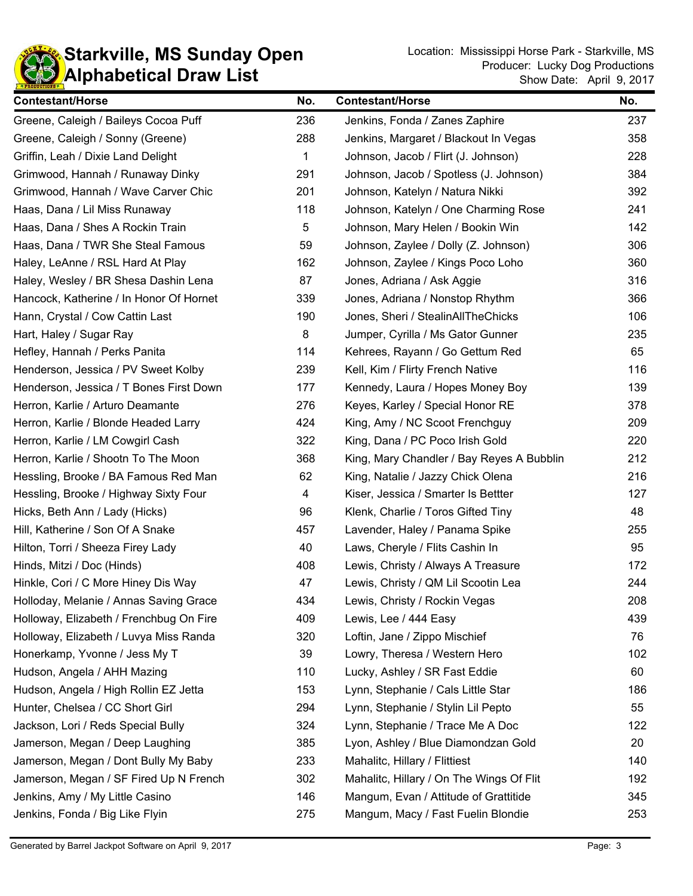

| <b>Contestant/Horse</b>                 | No. | <b>Contestant/Horse</b>                   | No. |
|-----------------------------------------|-----|-------------------------------------------|-----|
| Greene, Caleigh / Baileys Cocoa Puff    | 236 | Jenkins, Fonda / Zanes Zaphire            | 237 |
| Greene, Caleigh / Sonny (Greene)        | 288 | Jenkins, Margaret / Blackout In Vegas     | 358 |
| Griffin, Leah / Dixie Land Delight      | 1   | Johnson, Jacob / Flirt (J. Johnson)       | 228 |
| Grimwood, Hannah / Runaway Dinky        | 291 | Johnson, Jacob / Spotless (J. Johnson)    | 384 |
| Grimwood, Hannah / Wave Carver Chic     | 201 | Johnson, Katelyn / Natura Nikki           | 392 |
| Haas, Dana / Lil Miss Runaway           | 118 | Johnson, Katelyn / One Charming Rose      | 241 |
| Haas, Dana / Shes A Rockin Train        | 5   | Johnson, Mary Helen / Bookin Win          | 142 |
| Haas, Dana / TWR She Steal Famous       | 59  | Johnson, Zaylee / Dolly (Z. Johnson)      | 306 |
| Haley, LeAnne / RSL Hard At Play        | 162 | Johnson, Zaylee / Kings Poco Loho         | 360 |
| Haley, Wesley / BR Shesa Dashin Lena    | 87  | Jones, Adriana / Ask Aggie                | 316 |
| Hancock, Katherine / In Honor Of Hornet | 339 | Jones, Adriana / Nonstop Rhythm           | 366 |
| Hann, Crystal / Cow Cattin Last         | 190 | Jones, Sheri / StealinAllTheChicks        | 106 |
| Hart, Haley / Sugar Ray                 | 8   | Jumper, Cyrilla / Ms Gator Gunner         | 235 |
| Hefley, Hannah / Perks Panita           | 114 | Kehrees, Rayann / Go Gettum Red           | 65  |
| Henderson, Jessica / PV Sweet Kolby     | 239 | Kell, Kim / Flirty French Native          | 116 |
| Henderson, Jessica / T Bones First Down | 177 | Kennedy, Laura / Hopes Money Boy          | 139 |
| Herron, Karlie / Arturo Deamante        | 276 | Keyes, Karley / Special Honor RE          | 378 |
| Herron, Karlie / Blonde Headed Larry    | 424 | King, Amy / NC Scoot Frenchguy            | 209 |
| Herron, Karlie / LM Cowgirl Cash        | 322 | King, Dana / PC Poco Irish Gold           | 220 |
| Herron, Karlie / Shootn To The Moon     | 368 | King, Mary Chandler / Bay Reyes A Bubblin | 212 |
| Hessling, Brooke / BA Famous Red Man    | 62  | King, Natalie / Jazzy Chick Olena         | 216 |
| Hessling, Brooke / Highway Sixty Four   | 4   | Kiser, Jessica / Smarter Is Bettter       | 127 |
| Hicks, Beth Ann / Lady (Hicks)          | 96  | Klenk, Charlie / Toros Gifted Tiny        | 48  |
| Hill, Katherine / Son Of A Snake        | 457 | Lavender, Haley / Panama Spike            | 255 |
| Hilton, Torri / Sheeza Firey Lady       | 40  | Laws, Cheryle / Flits Cashin In           | 95  |
| Hinds, Mitzi / Doc (Hinds)              | 408 | Lewis, Christy / Always A Treasure        | 172 |
| Hinkle, Cori / C More Hiney Dis Way     | 47  | Lewis, Christy / QM Lil Scootin Lea       | 244 |
| Holloday, Melanie / Annas Saving Grace  | 434 | Lewis, Christy / Rockin Vegas             | 208 |
| Holloway, Elizabeth / Frenchbug On Fire | 409 | Lewis, Lee / 444 Easy                     | 439 |
| Holloway, Elizabeth / Luvya Miss Randa  | 320 | Loftin, Jane / Zippo Mischief             | 76  |
| Honerkamp, Yvonne / Jess My T           | 39  | Lowry, Theresa / Western Hero             | 102 |
| Hudson, Angela / AHH Mazing             | 110 | Lucky, Ashley / SR Fast Eddie             | 60  |
| Hudson, Angela / High Rollin EZ Jetta   | 153 | Lynn, Stephanie / Cals Little Star        | 186 |
| Hunter, Chelsea / CC Short Girl         | 294 | Lynn, Stephanie / Stylin Lil Pepto        | 55  |
| Jackson, Lori / Reds Special Bully      | 324 | Lynn, Stephanie / Trace Me A Doc          | 122 |
| Jamerson, Megan / Deep Laughing         | 385 | Lyon, Ashley / Blue Diamondzan Gold       | 20  |
| Jamerson, Megan / Dont Bully My Baby    | 233 | Mahalitc, Hillary / Flittiest             | 140 |
| Jamerson, Megan / SF Fired Up N French  | 302 | Mahalitc, Hillary / On The Wings Of Flit  | 192 |
| Jenkins, Amy / My Little Casino         | 146 | Mangum, Evan / Attitude of Grattitide     |     |
| Jenkins, Fonda / Big Like Flyin         | 275 | Mangum, Macy / Fast Fuelin Blondie        | 253 |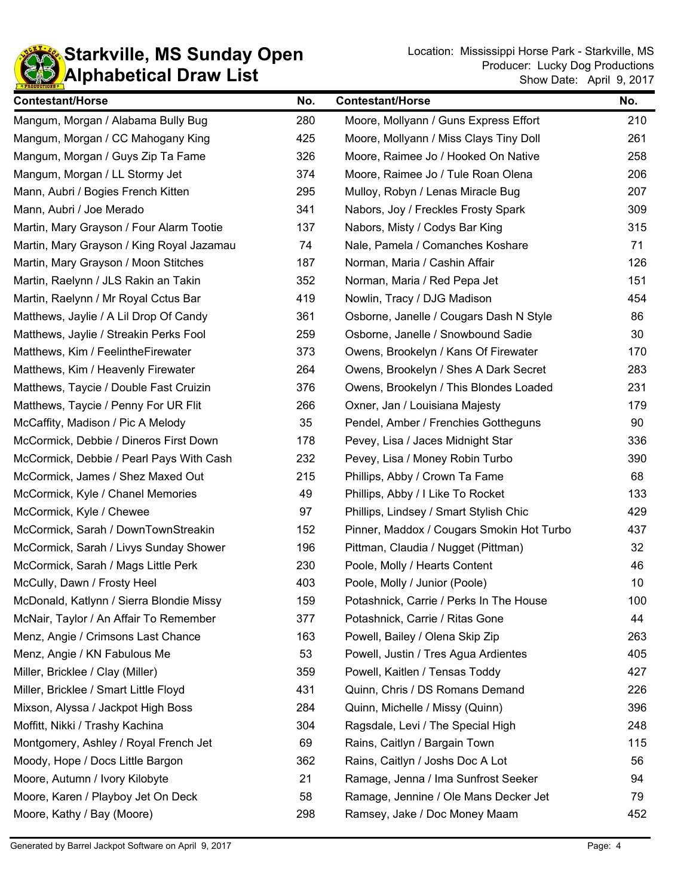

| <b>Contestant/Horse</b>                   | No. | <b>Contestant/Horse</b>                   | No. |
|-------------------------------------------|-----|-------------------------------------------|-----|
| Mangum, Morgan / Alabama Bully Bug        | 280 | Moore, Mollyann / Guns Express Effort     | 210 |
| Mangum, Morgan / CC Mahogany King         | 425 | Moore, Mollyann / Miss Clays Tiny Doll    | 261 |
| Mangum, Morgan / Guys Zip Ta Fame         | 326 | Moore, Raimee Jo / Hooked On Native       | 258 |
| Mangum, Morgan / LL Stormy Jet            | 374 | Moore, Raimee Jo / Tule Roan Olena        | 206 |
| Mann, Aubri / Bogies French Kitten        | 295 | Mulloy, Robyn / Lenas Miracle Bug         | 207 |
| Mann, Aubri / Joe Merado                  | 341 | Nabors, Joy / Freckles Frosty Spark       | 309 |
| Martin, Mary Grayson / Four Alarm Tootie  | 137 | Nabors, Misty / Codys Bar King            | 315 |
| Martin, Mary Grayson / King Royal Jazamau | 74  | Nale, Pamela / Comanches Koshare          | 71  |
| Martin, Mary Grayson / Moon Stitches      | 187 | Norman, Maria / Cashin Affair             | 126 |
| Martin, Raelynn / JLS Rakin an Takin      | 352 | Norman, Maria / Red Pepa Jet              | 151 |
| Martin, Raelynn / Mr Royal Cctus Bar      | 419 | Nowlin, Tracy / DJG Madison               | 454 |
| Matthews, Jaylie / A Lil Drop Of Candy    | 361 | Osborne, Janelle / Cougars Dash N Style   | 86  |
| Matthews, Jaylie / Streakin Perks Fool    | 259 | Osborne, Janelle / Snowbound Sadie        | 30  |
| Matthews, Kim / FeelintheFirewater        | 373 | Owens, Brookelyn / Kans Of Firewater      | 170 |
| Matthews, Kim / Heavenly Firewater        | 264 | Owens, Brookelyn / Shes A Dark Secret     | 283 |
| Matthews, Taycie / Double Fast Cruizin    | 376 | Owens, Brookelyn / This Blondes Loaded    | 231 |
| Matthews, Taycie / Penny For UR Flit      | 266 | Oxner, Jan / Louisiana Majesty            | 179 |
| McCaffity, Madison / Pic A Melody         | 35  | Pendel, Amber / Frenchies Gottheguns      | 90  |
| McCormick, Debbie / Dineros First Down    | 178 | Pevey, Lisa / Jaces Midnight Star         | 336 |
| McCormick, Debbie / Pearl Pays With Cash  | 232 | Pevey, Lisa / Money Robin Turbo           | 390 |
| McCormick, James / Shez Maxed Out         | 215 | Phillips, Abby / Crown Ta Fame            | 68  |
| McCormick, Kyle / Chanel Memories         | 49  | Phillips, Abby / I Like To Rocket         | 133 |
| McCormick, Kyle / Chewee                  | 97  | Phillips, Lindsey / Smart Stylish Chic    | 429 |
| McCormick, Sarah / DownTownStreakin       | 152 | Pinner, Maddox / Cougars Smokin Hot Turbo | 437 |
| McCormick, Sarah / Livys Sunday Shower    | 196 | Pittman, Claudia / Nugget (Pittman)       | 32  |
| McCormick, Sarah / Mags Little Perk       | 230 | Poole, Molly / Hearts Content             | 46  |
| McCully, Dawn / Frosty Heel               | 403 | Poole, Molly / Junior (Poole)             | 10  |
| McDonald, Katlynn / Sierra Blondie Missy  | 159 | Potashnick, Carrie / Perks In The House   | 100 |
| McNair, Taylor / An Affair To Remember    | 377 | Potashnick, Carrie / Ritas Gone           | 44  |
| Menz, Angie / Crimsons Last Chance        | 163 | Powell, Bailey / Olena Skip Zip           | 263 |
| Menz, Angie / KN Fabulous Me              | 53  | Powell, Justin / Tres Agua Ardientes      | 405 |
| Miller, Bricklee / Clay (Miller)          | 359 | Powell, Kaitlen / Tensas Toddy            | 427 |
| Miller, Bricklee / Smart Little Floyd     | 431 | Quinn, Chris / DS Romans Demand           | 226 |
| Mixson, Alyssa / Jackpot High Boss        | 284 | Quinn, Michelle / Missy (Quinn)           | 396 |
| Moffitt, Nikki / Trashy Kachina           | 304 | Ragsdale, Levi / The Special High         | 248 |
| Montgomery, Ashley / Royal French Jet     | 69  | Rains, Caitlyn / Bargain Town             | 115 |
| Moody, Hope / Docs Little Bargon          | 362 | Rains, Caitlyn / Joshs Doc A Lot          | 56  |
| Moore, Autumn / Ivory Kilobyte            | 21  | Ramage, Jenna / Ima Sunfrost Seeker       |     |
| Moore, Karen / Playboy Jet On Deck        | 58  | Ramage, Jennine / Ole Mans Decker Jet     | 79  |
| Moore, Kathy / Bay (Moore)                | 298 | Ramsey, Jake / Doc Money Maam             | 452 |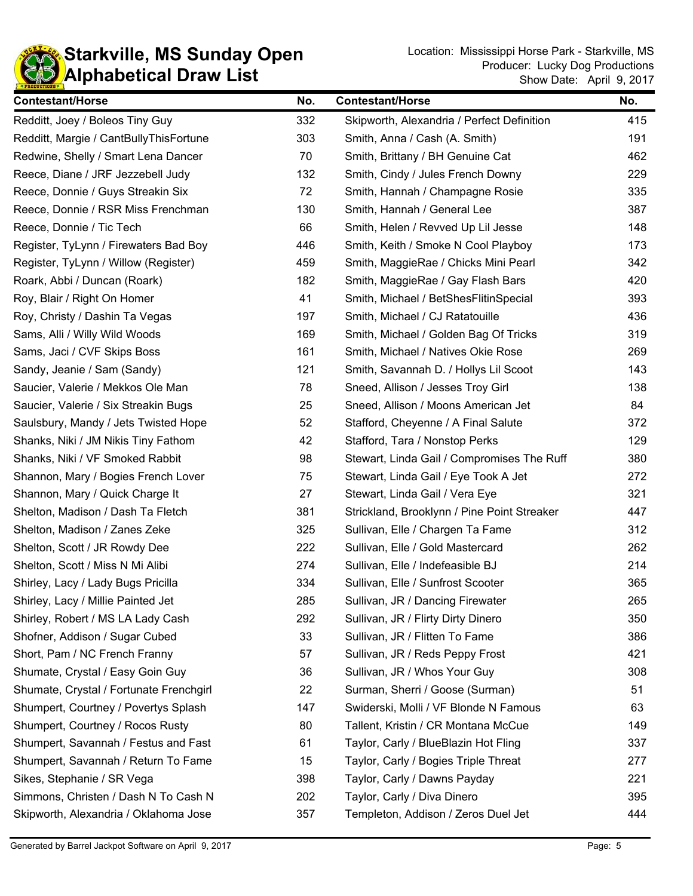

| <b>Contestant/Horse</b>                 | No. | <b>Contestant/Horse</b>                     | No. |
|-----------------------------------------|-----|---------------------------------------------|-----|
| Redditt, Joey / Boleos Tiny Guy         | 332 | Skipworth, Alexandria / Perfect Definition  | 415 |
| Redditt, Margie / CantBullyThisFortune  | 303 | Smith, Anna / Cash (A. Smith)               | 191 |
| Redwine, Shelly / Smart Lena Dancer     | 70  | Smith, Brittany / BH Genuine Cat            | 462 |
| Reece, Diane / JRF Jezzebell Judy       | 132 | Smith, Cindy / Jules French Downy           | 229 |
| Reece, Donnie / Guys Streakin Six       | 72  | Smith, Hannah / Champagne Rosie             | 335 |
| Reece, Donnie / RSR Miss Frenchman      | 130 | Smith, Hannah / General Lee                 | 387 |
| Reece, Donnie / Tic Tech                | 66  | Smith, Helen / Revved Up Lil Jesse          | 148 |
| Register, TyLynn / Firewaters Bad Boy   | 446 | Smith, Keith / Smoke N Cool Playboy         | 173 |
| Register, TyLynn / Willow (Register)    | 459 | Smith, MaggieRae / Chicks Mini Pearl        | 342 |
| Roark, Abbi / Duncan (Roark)            | 182 | Smith, MaggieRae / Gay Flash Bars           | 420 |
| Roy, Blair / Right On Homer             | 41  | Smith, Michael / BetShesFlitinSpecial       | 393 |
| Roy, Christy / Dashin Ta Vegas          | 197 | Smith, Michael / CJ Ratatouille             | 436 |
| Sams, Alli / Willy Wild Woods           | 169 | Smith, Michael / Golden Bag Of Tricks       | 319 |
| Sams, Jaci / CVF Skips Boss             | 161 | Smith, Michael / Natives Okie Rose          | 269 |
| Sandy, Jeanie / Sam (Sandy)             | 121 | Smith, Savannah D. / Hollys Lil Scoot       | 143 |
| Saucier, Valerie / Mekkos Ole Man       | 78  | Sneed, Allison / Jesses Troy Girl           | 138 |
| Saucier, Valerie / Six Streakin Bugs    | 25  | Sneed, Allison / Moons American Jet         | 84  |
| Saulsbury, Mandy / Jets Twisted Hope    | 52  | Stafford, Cheyenne / A Final Salute         | 372 |
| Shanks, Niki / JM Nikis Tiny Fathom     | 42  | Stafford, Tara / Nonstop Perks              | 129 |
| Shanks, Niki / VF Smoked Rabbit         | 98  | Stewart, Linda Gail / Compromises The Ruff  | 380 |
| Shannon, Mary / Bogies French Lover     | 75  | Stewart, Linda Gail / Eye Took A Jet        | 272 |
| Shannon, Mary / Quick Charge It         | 27  | Stewart, Linda Gail / Vera Eye              | 321 |
| Shelton, Madison / Dash Ta Fletch       | 381 | Strickland, Brooklynn / Pine Point Streaker | 447 |
| Shelton, Madison / Zanes Zeke           | 325 | Sullivan, Elle / Chargen Ta Fame            | 312 |
| Shelton, Scott / JR Rowdy Dee           | 222 | Sullivan, Elle / Gold Mastercard            | 262 |
| Shelton, Scott / Miss N Mi Alibi        | 274 | Sullivan, Elle / Indefeasible BJ            | 214 |
| Shirley, Lacy / Lady Bugs Pricilla      | 334 | Sullivan, Elle / Sunfrost Scooter           | 365 |
| Shirley, Lacy / Millie Painted Jet      | 285 | Sullivan, JR / Dancing Firewater            | 265 |
| Shirley, Robert / MS LA Lady Cash       | 292 | Sullivan, JR / Flirty Dirty Dinero          | 350 |
| Shofner, Addison / Sugar Cubed          | 33  | Sullivan, JR / Flitten To Fame              | 386 |
| Short, Pam / NC French Franny           | 57  | Sullivan, JR / Reds Peppy Frost             | 421 |
| Shumate, Crystal / Easy Goin Guy        | 36  | Sullivan, JR / Whos Your Guy                | 308 |
| Shumate, Crystal / Fortunate Frenchgirl | 22  | Surman, Sherri / Goose (Surman)             | 51  |
| Shumpert, Courtney / Povertys Splash    | 147 | Swiderski, Molli / VF Blonde N Famous       | 63  |
| Shumpert, Courtney / Rocos Rusty        | 80  | Tallent, Kristin / CR Montana McCue         | 149 |
| Shumpert, Savannah / Festus and Fast    | 61  | Taylor, Carly / BlueBlazin Hot Fling        |     |
| Shumpert, Savannah / Return To Fame     | 15  | Taylor, Carly / Bogies Triple Threat        | 277 |
| Sikes, Stephanie / SR Vega              | 398 | Taylor, Carly / Dawns Payday                | 221 |
| Simmons, Christen / Dash N To Cash N    | 202 | Taylor, Carly / Diva Dinero                 |     |
| Skipworth, Alexandria / Oklahoma Jose   | 357 | Templeton, Addison / Zeros Duel Jet         | 444 |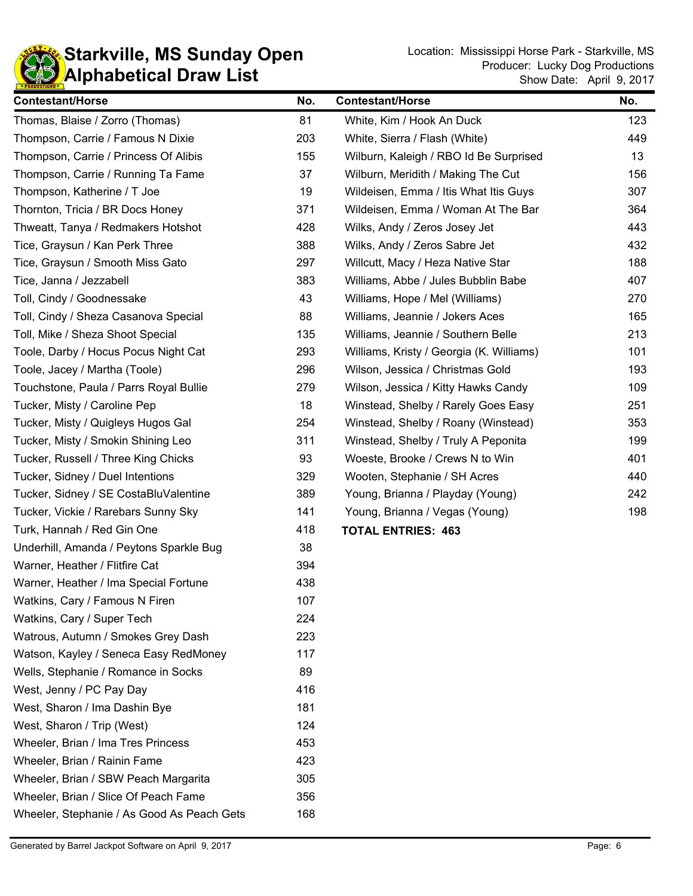

| <b>Contestant/Horse</b>                    | No. | <b>Contestant/Horse</b>                  | No. |
|--------------------------------------------|-----|------------------------------------------|-----|
| Thomas, Blaise / Zorro (Thomas)            | 81  | White, Kim / Hook An Duck                | 123 |
| Thompson, Carrie / Famous N Dixie          | 203 | White, Sierra / Flash (White)            | 449 |
| Thompson, Carrie / Princess Of Alibis      | 155 | Wilburn, Kaleigh / RBO Id Be Surprised   | 13  |
| Thompson, Carrie / Running Ta Fame         | 37  | Wilburn, Meridith / Making The Cut       | 156 |
| Thompson, Katherine / T Joe                | 19  | Wildeisen, Emma / Itis What Itis Guys    | 307 |
| Thornton, Tricia / BR Docs Honey           | 371 | Wildeisen, Emma / Woman At The Bar       | 364 |
| Thweatt, Tanya / Redmakers Hotshot         | 428 | Wilks, Andy / Zeros Josey Jet            | 443 |
| Tice, Graysun / Kan Perk Three             | 388 | Wilks, Andy / Zeros Sabre Jet            | 432 |
| Tice, Graysun / Smooth Miss Gato           | 297 | Willcutt, Macy / Heza Native Star        | 188 |
| Tice, Janna / Jezzabell                    | 383 | Williams, Abbe / Jules Bubblin Babe      | 407 |
| Toll, Cindy / Goodnessake                  | 43  | Williams, Hope / Mel (Williams)          | 270 |
| Toll, Cindy / Sheza Casanova Special       | 88  | Williams, Jeannie / Jokers Aces          | 165 |
| Toll, Mike / Sheza Shoot Special           | 135 | Williams, Jeannie / Southern Belle       | 213 |
| Toole, Darby / Hocus Pocus Night Cat       | 293 | Williams, Kristy / Georgia (K. Williams) | 101 |
| Toole, Jacey / Martha (Toole)              | 296 | Wilson, Jessica / Christmas Gold         | 193 |
| Touchstone, Paula / Parrs Royal Bullie     | 279 | Wilson, Jessica / Kitty Hawks Candy      | 109 |
| Tucker, Misty / Caroline Pep               | 18  | Winstead, Shelby / Rarely Goes Easy      | 251 |
| Tucker, Misty / Quigleys Hugos Gal         | 254 | Winstead, Shelby / Roany (Winstead)      | 353 |
| Tucker, Misty / Smokin Shining Leo         | 311 | Winstead, Shelby / Truly A Peponita      | 199 |
| Tucker, Russell / Three King Chicks        | 93  | Woeste, Brooke / Crews N to Win          | 401 |
| Tucker, Sidney / Duel Intentions           | 329 | Wooten, Stephanie / SH Acres             | 440 |
| Tucker, Sidney / SE CostaBluValentine      | 389 | Young, Brianna / Playday (Young)         | 242 |
| Tucker, Vickie / Rarebars Sunny Sky        | 141 | Young, Brianna / Vegas (Young)           | 198 |
| Turk, Hannah / Red Gin One                 | 418 | <b>TOTAL ENTRIES: 463</b>                |     |
| Underhill, Amanda / Peytons Sparkle Bug    | 38  |                                          |     |
| Warner, Heather / Flitfire Cat             | 394 |                                          |     |
| Warner, Heather / Ima Special Fortune      | 438 |                                          |     |
| Watkins, Cary / Famous N Firen             | 107 |                                          |     |
| Watkins, Cary / Super Tech                 | 224 |                                          |     |
| Watrous, Autumn / Smokes Grey Dash         | 223 |                                          |     |
| Watson, Kayley / Seneca Easy RedMoney      | 117 |                                          |     |
| Wells, Stephanie / Romance in Socks        | 89  |                                          |     |
| West, Jenny / PC Pay Day                   | 416 |                                          |     |
| West, Sharon / Ima Dashin Bye              | 181 |                                          |     |
| West, Sharon / Trip (West)                 | 124 |                                          |     |
| Wheeler, Brian / Ima Tres Princess         | 453 |                                          |     |
| Wheeler, Brian / Rainin Fame               | 423 |                                          |     |
| Wheeler, Brian / SBW Peach Margarita       | 305 |                                          |     |
| Wheeler, Brian / Slice Of Peach Fame       | 356 |                                          |     |
| Wheeler, Stephanie / As Good As Peach Gets | 168 |                                          |     |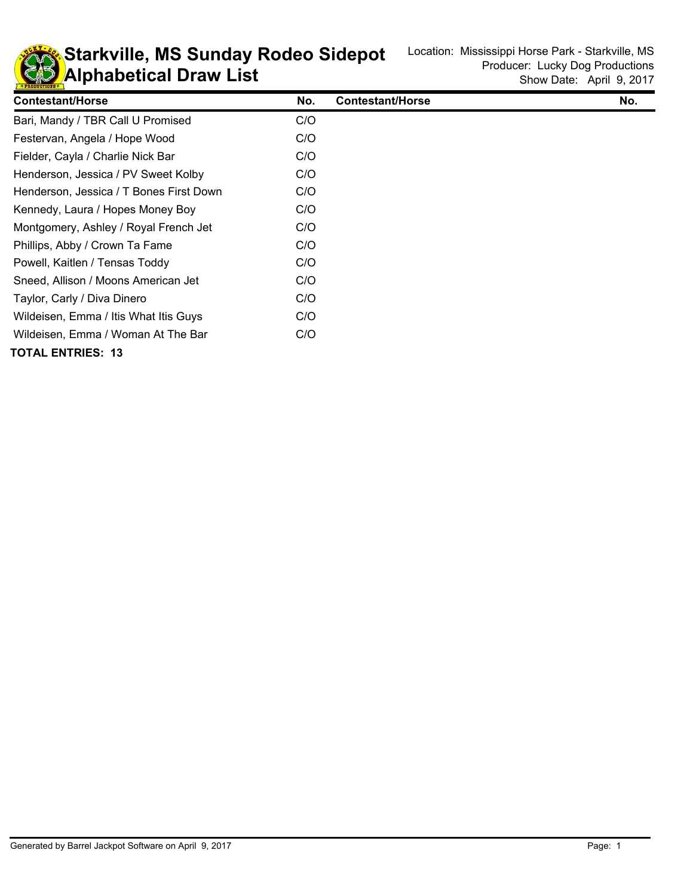

**KD** Alphabetical Draw List **Starkville, MS Sunday Rodeo Sidepot** Location: Mississippi Horse Park - Starkville, MS

| <b>Contestant/Horse</b>                 | No. | <b>Contestant/Horse</b> | No. |
|-----------------------------------------|-----|-------------------------|-----|
| Bari, Mandy / TBR Call U Promised       | C/O |                         |     |
| Festervan, Angela / Hope Wood           | C/O |                         |     |
| Fielder, Cayla / Charlie Nick Bar       | C/O |                         |     |
| Henderson, Jessica / PV Sweet Kolby     | C/O |                         |     |
| Henderson, Jessica / T Bones First Down | C/O |                         |     |
| Kennedy, Laura / Hopes Money Boy        | C/O |                         |     |
| Montgomery, Ashley / Royal French Jet   | C/O |                         |     |
| Phillips, Abby / Crown Ta Fame          | C/O |                         |     |
| Powell, Kaitlen / Tensas Toddy          | C/O |                         |     |
| Sneed, Allison / Moons American Jet     | C/O |                         |     |
| Taylor, Carly / Diva Dinero             | C/O |                         |     |
| Wildeisen, Emma / Itis What Itis Guys   | C/O |                         |     |
| Wildeisen, Emma / Woman At The Bar      | C/O |                         |     |
| TOTAL ENTRIES: 13                       |     |                         |     |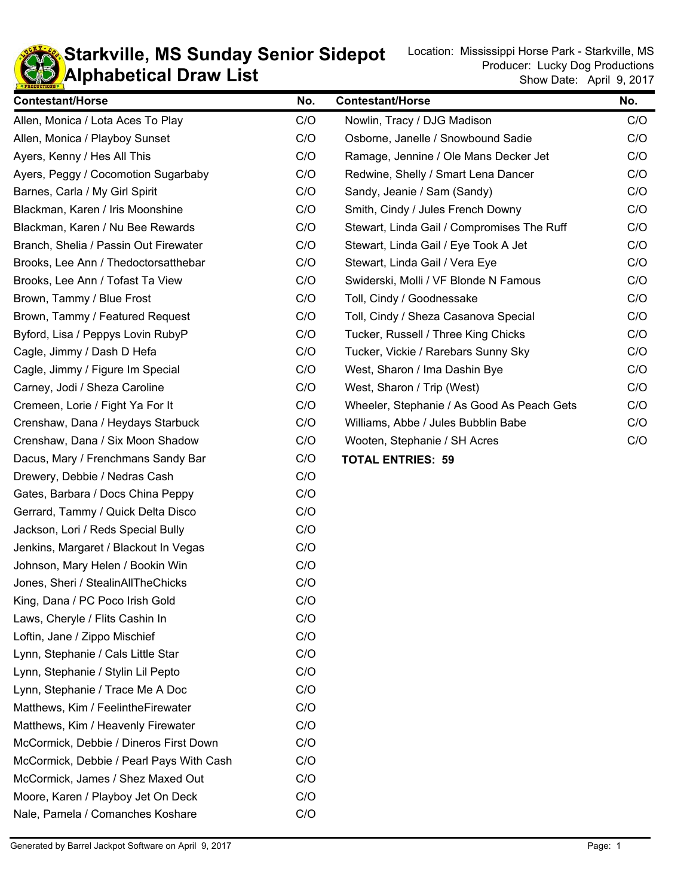

## **KD** Alphabetical Draw List **Starkville, MS Sunday Senior Sidepot** Location: Mississippi Horse Park - Starkville, MS Sunday Senior Sidepot

| <b>Contestant/Horse</b>                  | No. | <b>Contestant/Horse</b>                    | No. |
|------------------------------------------|-----|--------------------------------------------|-----|
| Allen, Monica / Lota Aces To Play        | C/O | Nowlin, Tracy / DJG Madison                | C/O |
| Allen, Monica / Playboy Sunset           | C/O | Osborne, Janelle / Snowbound Sadie         |     |
| Ayers, Kenny / Hes All This              | C/O | Ramage, Jennine / Ole Mans Decker Jet      |     |
| Ayers, Peggy / Cocomotion Sugarbaby      | C/O | Redwine, Shelly / Smart Lena Dancer        |     |
| Barnes, Carla / My Girl Spirit           | C/O | Sandy, Jeanie / Sam (Sandy)                |     |
| Blackman, Karen / Iris Moonshine         | C/O | Smith, Cindy / Jules French Downy          |     |
| Blackman, Karen / Nu Bee Rewards         | C/O | Stewart, Linda Gail / Compromises The Ruff | C/O |
| Branch, Shelia / Passin Out Firewater    | C/O | Stewart, Linda Gail / Eye Took A Jet       | C/O |
| Brooks, Lee Ann / Thedoctorsatthebar     | C/O | Stewart, Linda Gail / Vera Eye             | C/O |
| Brooks, Lee Ann / Tofast Ta View         | C/O | Swiderski, Molli / VF Blonde N Famous      | C/O |
| Brown, Tammy / Blue Frost                | C/O | Toll, Cindy / Goodnessake                  | C/O |
| Brown, Tammy / Featured Request          | C/O | Toll, Cindy / Sheza Casanova Special       | C/O |
| Byford, Lisa / Peppys Lovin RubyP        | C/O | Tucker, Russell / Three King Chicks        | C/O |
| Cagle, Jimmy / Dash D Hefa               | C/O | Tucker, Vickie / Rarebars Sunny Sky        | C/O |
| Cagle, Jimmy / Figure Im Special         | C/O | West, Sharon / Ima Dashin Bye              | C/O |
| Carney, Jodi / Sheza Caroline            | C/O | West, Sharon / Trip (West)                 | C/O |
| Cremeen, Lorie / Fight Ya For It         | C/O | Wheeler, Stephanie / As Good As Peach Gets | C/O |
| Crenshaw, Dana / Heydays Starbuck        | C/O | Williams, Abbe / Jules Bubblin Babe        | C/O |
| Crenshaw, Dana / Six Moon Shadow         | C/O | Wooten, Stephanie / SH Acres               | C/O |
| Dacus, Mary / Frenchmans Sandy Bar       | C/O | <b>TOTAL ENTRIES: 59</b>                   |     |
| Drewery, Debbie / Nedras Cash            | C/O |                                            |     |
| Gates, Barbara / Docs China Peppy        | C/O |                                            |     |
| Gerrard, Tammy / Quick Delta Disco       | C/O |                                            |     |
| Jackson, Lori / Reds Special Bully       | C/O |                                            |     |
| Jenkins, Margaret / Blackout In Vegas    | C/O |                                            |     |
| Johnson, Mary Helen / Bookin Win         | C/O |                                            |     |
| Jones, Sheri / StealinAllTheChicks       | C/O |                                            |     |
| King, Dana / PC Poco Irish Gold          | C/O |                                            |     |
| Laws, Cheryle / Flits Cashin In          | C/O |                                            |     |
| Loftin, Jane / Zippo Mischief            | C/O |                                            |     |
| Lynn, Stephanie / Cals Little Star       | C/O |                                            |     |
| Lynn, Stephanie / Stylin Lil Pepto       | C/O |                                            |     |
| Lynn, Stephanie / Trace Me A Doc         | C/O |                                            |     |
| Matthews, Kim / FeelintheFirewater       | C/O |                                            |     |
| Matthews, Kim / Heavenly Firewater       | C/O |                                            |     |
| McCormick, Debbie / Dineros First Down   | C/O |                                            |     |
| McCormick, Debbie / Pearl Pays With Cash | C/O |                                            |     |
| McCormick, James / Shez Maxed Out        | C/O |                                            |     |
| Moore, Karen / Playboy Jet On Deck       | C/O |                                            |     |
| Nale, Pamela / Comanches Koshare         | C/O |                                            |     |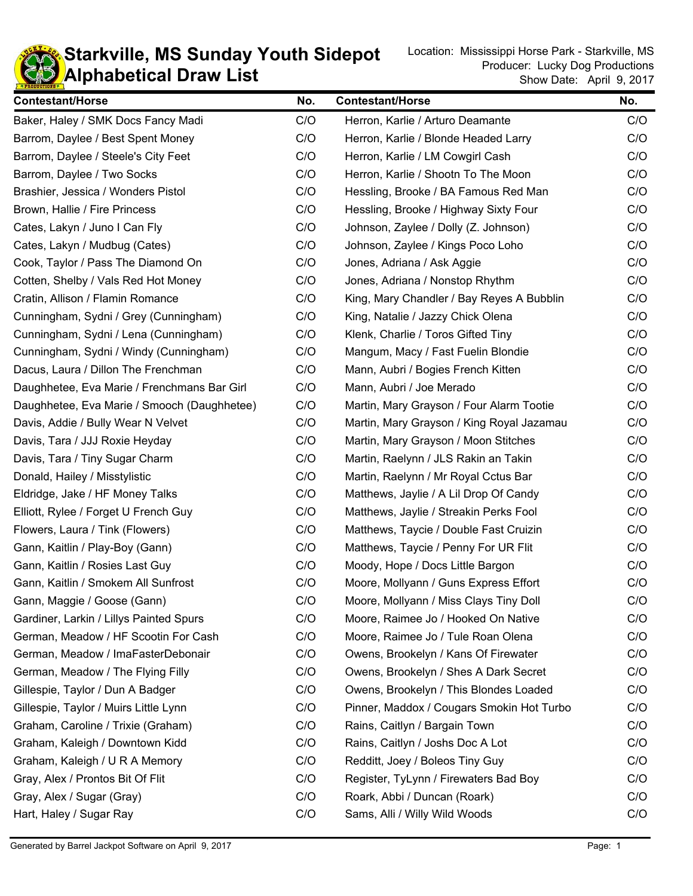

#### **KD** Alphabetical Draw List **Starkville, MS Sunday Youth Sidepot** Location: Mississippi Horse Park - Starkville, MS

| <b>Contestant/Horse</b>                     | No. | <b>Contestant/Horse</b>                   | No. |
|---------------------------------------------|-----|-------------------------------------------|-----|
| Baker, Haley / SMK Docs Fancy Madi          | C/O | Herron, Karlie / Arturo Deamante          | C/O |
| Barrom, Daylee / Best Spent Money           | C/O | Herron, Karlie / Blonde Headed Larry      |     |
| Barrom, Daylee / Steele's City Feet         | C/O | Herron, Karlie / LM Cowgirl Cash          | C/O |
| Barrom, Daylee / Two Socks                  | C/O | Herron, Karlie / Shootn To The Moon       | C/O |
| Brashier, Jessica / Wonders Pistol          | C/O | Hessling, Brooke / BA Famous Red Man      | C/O |
| Brown, Hallie / Fire Princess               | C/O | Hessling, Brooke / Highway Sixty Four     | C/O |
| Cates, Lakyn / Juno I Can Fly               | C/O | Johnson, Zaylee / Dolly (Z. Johnson)      | C/O |
| Cates, Lakyn / Mudbug (Cates)               | C/O | Johnson, Zaylee / Kings Poco Loho         | C/O |
| Cook, Taylor / Pass The Diamond On          | C/O | Jones, Adriana / Ask Aggie                | C/O |
| Cotten, Shelby / Vals Red Hot Money         | C/O | Jones, Adriana / Nonstop Rhythm           | C/O |
| Cratin, Allison / Flamin Romance            | C/O | King, Mary Chandler / Bay Reyes A Bubblin | C/O |
| Cunningham, Sydni / Grey (Cunningham)       | C/O | King, Natalie / Jazzy Chick Olena         | C/O |
| Cunningham, Sydni / Lena (Cunningham)       | C/O | Klenk, Charlie / Toros Gifted Tiny        | C/O |
| Cunningham, Sydni / Windy (Cunningham)      | C/O | Mangum, Macy / Fast Fuelin Blondie        | C/O |
| Dacus, Laura / Dillon The Frenchman         | C/O | Mann, Aubri / Bogies French Kitten        | C/O |
| Daughhetee, Eva Marie / Frenchmans Bar Girl | C/O | Mann, Aubri / Joe Merado                  | C/O |
| Daughhetee, Eva Marie / Smooch (Daughhetee) | C/O | Martin, Mary Grayson / Four Alarm Tootie  | C/O |
| Davis, Addie / Bully Wear N Velvet          | C/O | Martin, Mary Grayson / King Royal Jazamau | C/O |
| Davis, Tara / JJJ Roxie Heyday              | C/O | Martin, Mary Grayson / Moon Stitches      | C/O |
| Davis, Tara / Tiny Sugar Charm              | C/O | Martin, Raelynn / JLS Rakin an Takin      | C/O |
| Donald, Hailey / Misstylistic               | C/O | Martin, Raelynn / Mr Royal Cctus Bar      | C/O |
| Eldridge, Jake / HF Money Talks             | C/O | Matthews, Jaylie / A Lil Drop Of Candy    | C/O |
| Elliott, Rylee / Forget U French Guy        | C/O | Matthews, Jaylie / Streakin Perks Fool    | C/O |
| Flowers, Laura / Tink (Flowers)             | C/O | Matthews, Taycie / Double Fast Cruizin    | C/O |
| Gann, Kaitlin / Play-Boy (Gann)             | C/O | Matthews, Taycie / Penny For UR Flit      | C/O |
| Gann, Kaitlin / Rosies Last Guy             | C/O | Moody, Hope / Docs Little Bargon          | C/O |
| Gann, Kaitlin / Smokem All Sunfrost         | C/O | Moore, Mollyann / Guns Express Effort     | C/O |
| Gann, Maggie / Goose (Gann)                 | C/O | Moore, Mollyann / Miss Clays Tiny Doll    | C/O |
| Gardiner, Larkin / Lillys Painted Spurs     | C/O | Moore, Raimee Jo / Hooked On Native       | C/O |
| German, Meadow / HF Scootin For Cash        | C/O | Moore, Raimee Jo / Tule Roan Olena        | C/O |
| German, Meadow / ImaFasterDebonair          | C/O | Owens, Brookelyn / Kans Of Firewater      | C/O |
| German, Meadow / The Flying Filly           | C/O | Owens, Brookelyn / Shes A Dark Secret     | C/O |
| Gillespie, Taylor / Dun A Badger            | C/O | Owens, Brookelyn / This Blondes Loaded    | C/O |
| Gillespie, Taylor / Muirs Little Lynn       | C/O | Pinner, Maddox / Cougars Smokin Hot Turbo | C/O |
| Graham, Caroline / Trixie (Graham)          | C/O | Rains, Caitlyn / Bargain Town             | C/O |
| Graham, Kaleigh / Downtown Kidd             | C/O | Rains, Caitlyn / Joshs Doc A Lot          | C/O |
| Graham, Kaleigh / U R A Memory              | C/O | Redditt, Joey / Boleos Tiny Guy           | C/O |
| Gray, Alex / Prontos Bit Of Flit            | C/O | Register, TyLynn / Firewaters Bad Boy     | C/O |
| Gray, Alex / Sugar (Gray)                   | C/O | Roark, Abbi / Duncan (Roark)              |     |
| Hart, Haley / Sugar Ray                     | C/O | Sams, Alli / Willy Wild Woods             | C/O |